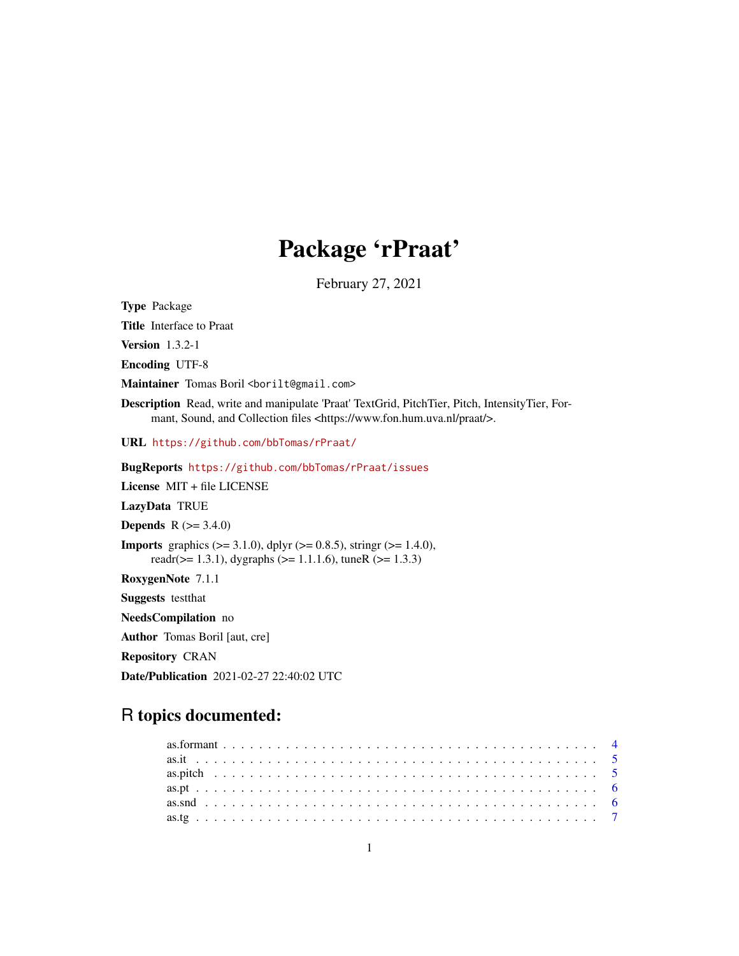# Package 'rPraat'

February 27, 2021

<span id="page-0-0"></span>Type Package Title Interface to Praat Version 1.3.2-1 Encoding UTF-8 Maintainer Tomas Boril <br/> <br/>borilt@gmail.com> Description Read, write and manipulate 'Praat' TextGrid, PitchTier, Pitch, IntensityTier, Formant, Sound, and Collection files <https://www.fon.hum.uva.nl/praat/>. URL <https://github.com/bbTomas/rPraat/> BugReports <https://github.com/bbTomas/rPraat/issues> License MIT + file LICENSE LazyData TRUE **Depends**  $R (= 3.4.0)$ **Imports** graphics  $(>= 3.1.0)$ , dplyr  $(>= 0.8.5)$ , stringr  $(>= 1.4.0)$ , readr( $>= 1.3.1$ ), dygraphs ( $>= 1.1.1.6$ ), tuneR ( $>= 1.3.3$ ) RoxygenNote 7.1.1 Suggests testthat NeedsCompilation no Author Tomas Boril [aut, cre]

R topics documented:

Date/Publication 2021-02-27 22:40:02 UTC

Repository CRAN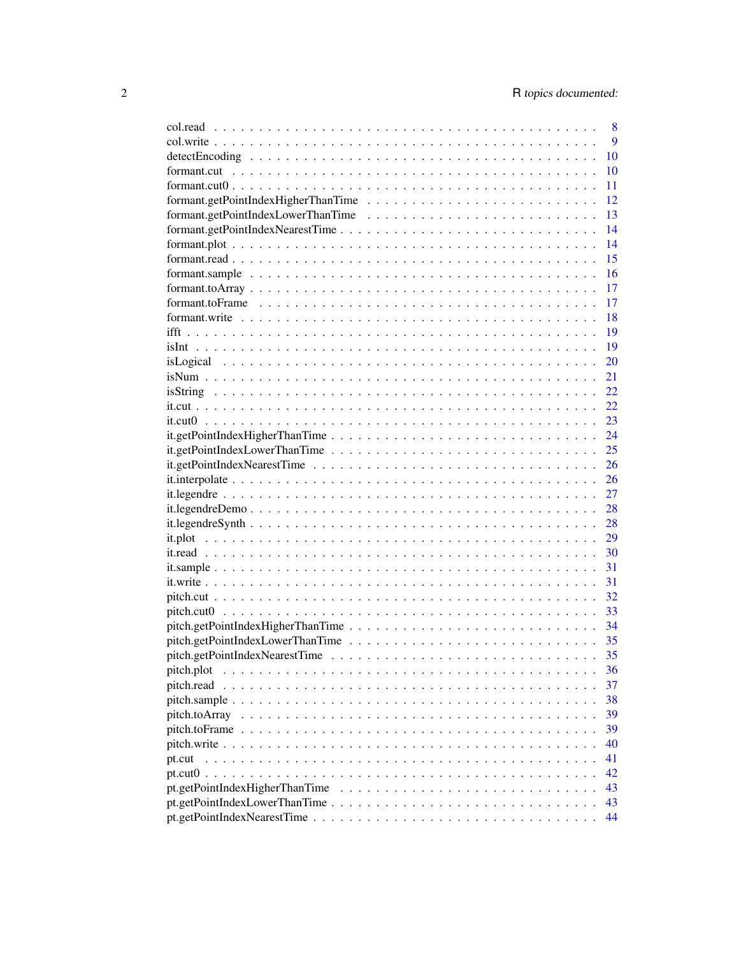|                                                                                                              | 8  |
|--------------------------------------------------------------------------------------------------------------|----|
|                                                                                                              | 9  |
|                                                                                                              | 10 |
|                                                                                                              | 10 |
| $formant.cut0$                                                                                               | 11 |
|                                                                                                              | 12 |
|                                                                                                              | 13 |
| formant.getPointIndexNearestTime                                                                             | 14 |
|                                                                                                              | 14 |
|                                                                                                              | 15 |
|                                                                                                              | 16 |
| $formant_toArray \ldots \ldots \ldots \ldots \ldots \ldots \ldots \ldots \ldots \ldots \ldots \ldots \ldots$ | 17 |
|                                                                                                              | 17 |
| formant.write $\ldots \ldots \ldots \ldots \ldots \ldots \ldots \ldots \ldots \ldots \ldots \ldots \ldots$   | 18 |
|                                                                                                              | 19 |
|                                                                                                              | 19 |
|                                                                                                              | 20 |
|                                                                                                              |    |
|                                                                                                              | 21 |
|                                                                                                              | 22 |
|                                                                                                              | 22 |
|                                                                                                              | 23 |
|                                                                                                              | 24 |
|                                                                                                              | 25 |
|                                                                                                              | 26 |
|                                                                                                              | 26 |
|                                                                                                              | 27 |
|                                                                                                              | 28 |
|                                                                                                              | 28 |
|                                                                                                              | 29 |
|                                                                                                              | 30 |
|                                                                                                              | 31 |
|                                                                                                              | 31 |
|                                                                                                              | 32 |
|                                                                                                              | 33 |
|                                                                                                              | 34 |
|                                                                                                              | 35 |
|                                                                                                              | 35 |
| pitch.plot                                                                                                   | 36 |
| pitch.read                                                                                                   | 37 |
|                                                                                                              | 38 |
|                                                                                                              | 39 |
|                                                                                                              | 39 |
|                                                                                                              | 40 |
| pt.cut                                                                                                       | 41 |
|                                                                                                              | 42 |
|                                                                                                              | 43 |
|                                                                                                              | 43 |
|                                                                                                              | 44 |
|                                                                                                              |    |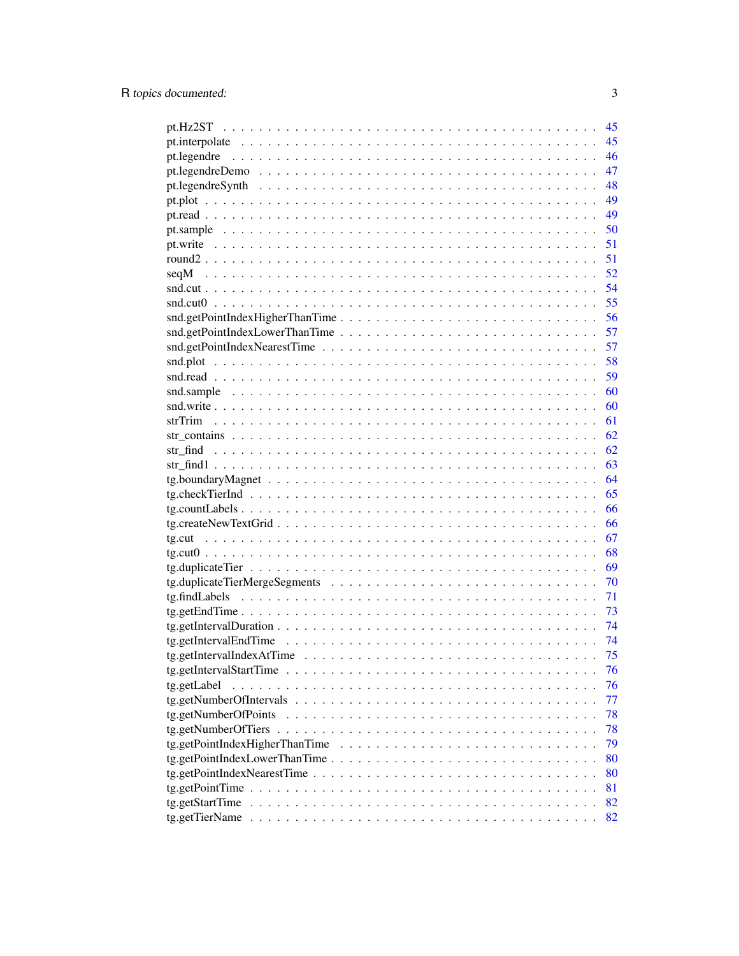|                                                                                                                 | 45 |
|-----------------------------------------------------------------------------------------------------------------|----|
|                                                                                                                 | 45 |
|                                                                                                                 | 46 |
|                                                                                                                 | 47 |
|                                                                                                                 | 48 |
|                                                                                                                 | 49 |
|                                                                                                                 | 49 |
|                                                                                                                 | 50 |
|                                                                                                                 | 51 |
|                                                                                                                 | 51 |
| seqM                                                                                                            | 52 |
|                                                                                                                 | 54 |
|                                                                                                                 | 55 |
| snd.getPointIndexHigherThanTime                                                                                 | 56 |
|                                                                                                                 | 57 |
|                                                                                                                 | 57 |
|                                                                                                                 | 58 |
|                                                                                                                 | 59 |
|                                                                                                                 | 60 |
|                                                                                                                 | 60 |
|                                                                                                                 | 61 |
|                                                                                                                 | 62 |
|                                                                                                                 | 62 |
|                                                                                                                 | 63 |
|                                                                                                                 | 64 |
|                                                                                                                 | 65 |
|                                                                                                                 | 66 |
|                                                                                                                 | 66 |
|                                                                                                                 | 67 |
|                                                                                                                 | 68 |
|                                                                                                                 | 69 |
|                                                                                                                 | 70 |
|                                                                                                                 | 71 |
|                                                                                                                 | 73 |
| $tg.getInterval$ Duration $\ldots \ldots \ldots \ldots \ldots \ldots \ldots \ldots \ldots \ldots \ldots \ldots$ | 74 |
|                                                                                                                 | 74 |
|                                                                                                                 | 75 |
|                                                                                                                 | 76 |
| tg.getLabel                                                                                                     | 76 |
|                                                                                                                 | 77 |
|                                                                                                                 | 78 |
|                                                                                                                 | 78 |
| $tg.getPointIndexHigherThanTime \dots \dots \dots \dots \dots \dots \dots \dots \dots \dots \dots \dots$        | 79 |
| $tg.getPointIndexLowerThanTime \dots \dots \dots \dots \dots \dots \dots \dots \dots \dots \dots \dots$         | 80 |
|                                                                                                                 | 80 |
| $tg.getPointTime \dots \dots \dots \dots \dots \dots \dots \dots \dots \dots \dots \dots \dots \dots \dots$     | 81 |
| tg.getStartTime                                                                                                 | 82 |
|                                                                                                                 | 82 |

 $\overline{3}$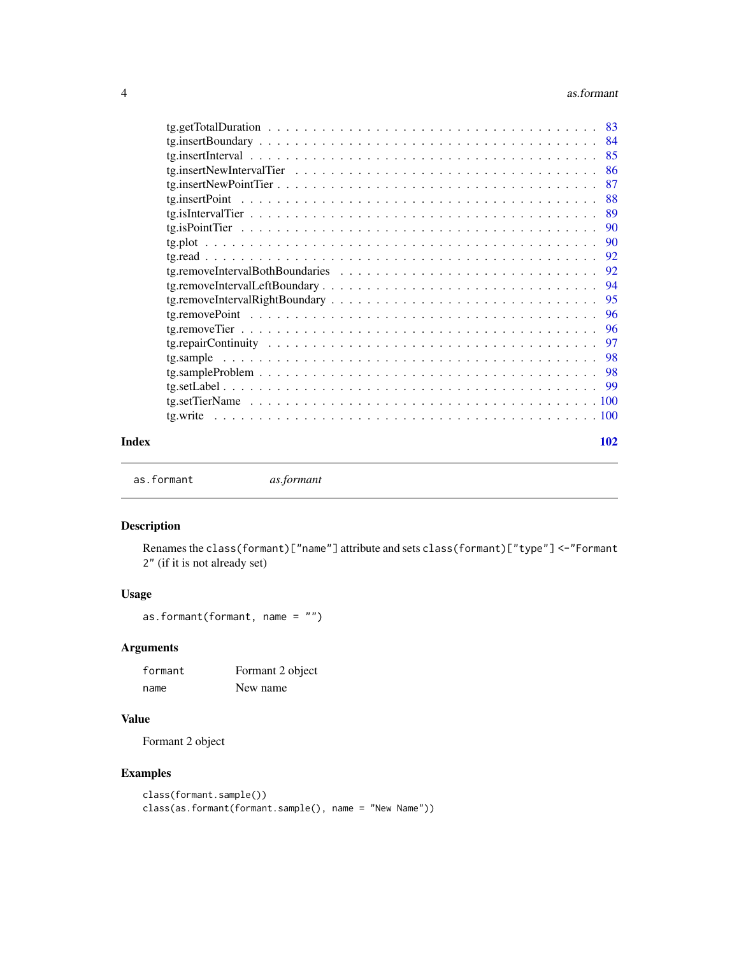#### <span id="page-3-0"></span>4 assume that the contract of the contract of the contract of the contract of the contract of the contract of the contract of the contract of the contract of the contract of the contract of the contract of the contract of

|       | 85  |  |
|-------|-----|--|
|       | -86 |  |
|       | -87 |  |
|       |     |  |
|       |     |  |
|       |     |  |
|       |     |  |
|       |     |  |
|       |     |  |
|       |     |  |
|       |     |  |
|       |     |  |
|       |     |  |
|       |     |  |
|       |     |  |
|       |     |  |
|       |     |  |
|       |     |  |
|       |     |  |
| Index | 102 |  |

as.formant *as.formant*

# Description

Renames the class(formant)["name"] attribute and sets class(formant)["type"] <-"Formant 2" (if it is not already set)

# Usage

```
as.formant(formant, name = "")
```
# Arguments

| formant | Formant 2 object |
|---------|------------------|
| name    | New name         |

# Value

Formant 2 object

```
class(formant.sample())
class(as.formant(formant.sample(), name = "New Name"))
```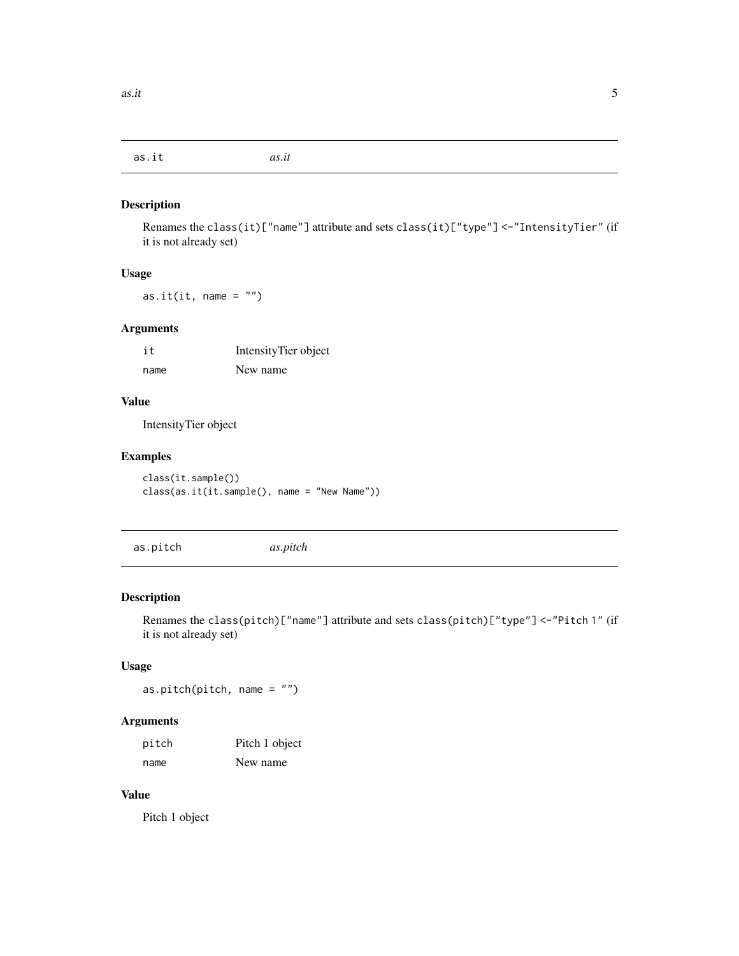<span id="page-4-0"></span>as.it *as.it*

#### Description

Renames the class(it)["name"] attribute and sets class(it)["type"] <-"IntensityTier" (if it is not already set)

#### Usage

as.it(it, name =  $"$ )

# Arguments

| it   | IntensityTier object |
|------|----------------------|
| name | New name             |

#### Value

IntensityTier object

# Examples

class(it.sample()) class(as.it(it.sample(), name = "New Name"))

as.pitch *as.pitch*

# Description

Renames the class(pitch)["name"] attribute and sets class(pitch)["type"] <-"Pitch 1" (if it is not already set)

#### Usage

as.pitch(pitch, name = "")

# Arguments

| pitch | Pitch 1 object |
|-------|----------------|
| name  | New name       |

#### Value

Pitch 1 object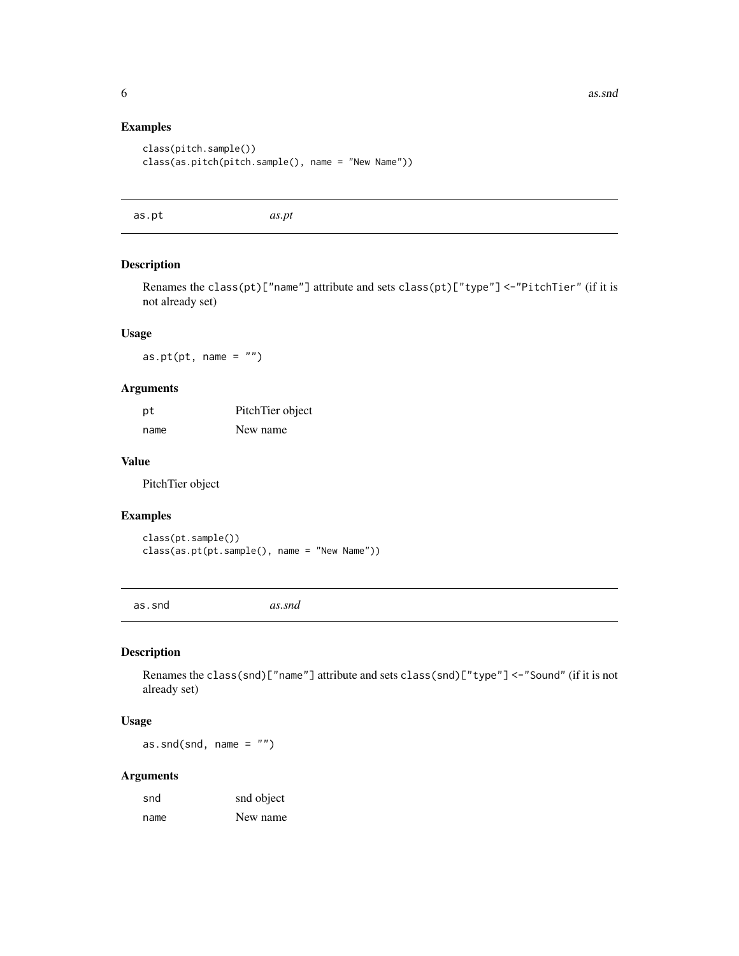#### Examples

```
class(pitch.sample())
class(as.pitch(pitch.sample(), name = "New Name"))
```
as.pt *as.pt*

# Description

Renames the class(pt)["name"] attribute and sets class(pt)["type"] <-"PitchTier" (if it is not already set)

#### Usage

as.pt( $pt$ , name =  $"$ )

#### Arguments

| рt   | PitchTier object |
|------|------------------|
| name | New name         |

#### Value

PitchTier object

# Examples

class(pt.sample()) class(as.pt(pt.sample(), name = "New Name"))

as.snd *as.snd*

# Description

Renames the class(snd)["name"] attribute and sets class(snd)["type"] <-"Sound" (if it is not already set)

# Usage

as.snd(snd, name =  $"$ )

| snd  | snd object |
|------|------------|
| name | New name   |

<span id="page-5-0"></span>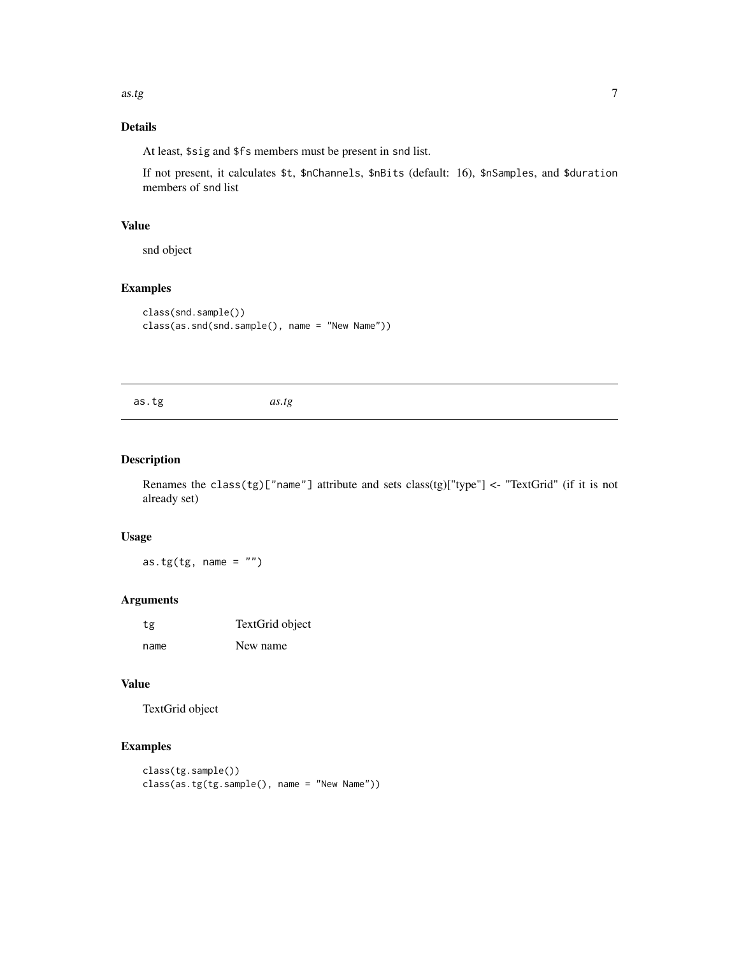<span id="page-6-0"></span>as.tg  $\sim$  7

# Details

At least, \$sig and \$fs members must be present in snd list.

If not present, it calculates \$t, \$nChannels, \$nBits (default: 16), \$nSamples, and \$duration members of snd list

#### Value

snd object

# Examples

```
class(snd.sample())
class(as.snd(snd.sample(), name = "New Name"))
```

| as.tg |
|-------|
|-------|

# Description

Renames the class(tg)["name"] attribute and sets class(tg)["type"] <- "TextGrid" (if it is not already set)

# Usage

as.tg(tg, name =  $"$ )

#### Arguments

| tg   | TextGrid object |
|------|-----------------|
| name | New name        |

# Value

TextGrid object

```
class(tg.sample())
class(as.tg(tg.sample(), name = "New Name"))
```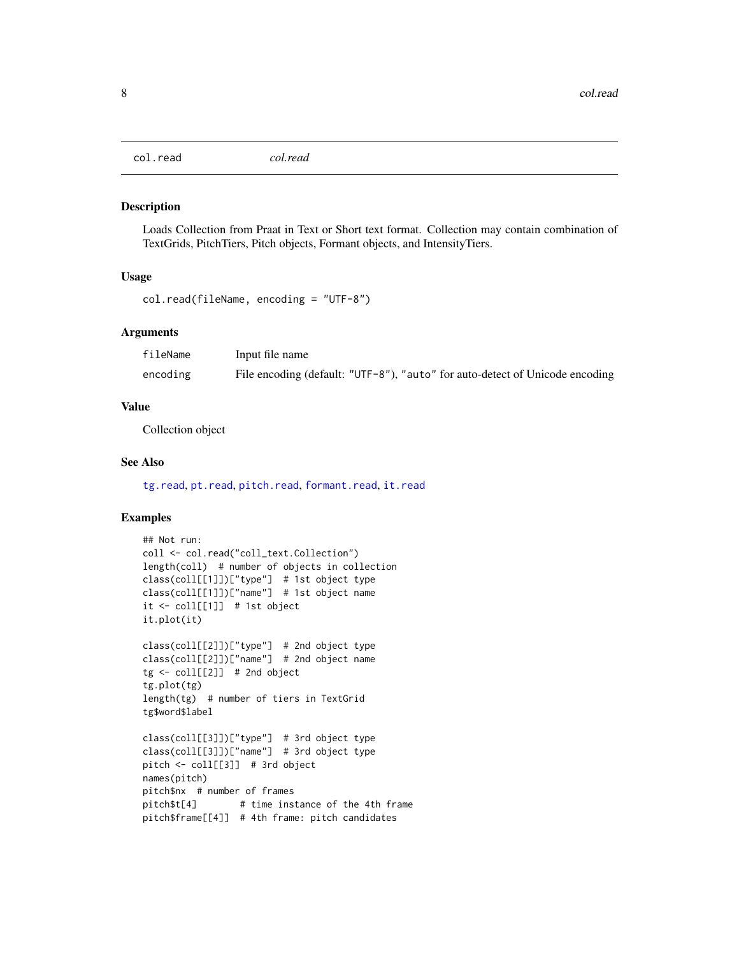<span id="page-7-1"></span><span id="page-7-0"></span>col.read *col.read*

#### Description

Loads Collection from Praat in Text or Short text format. Collection may contain combination of TextGrids, PitchTiers, Pitch objects, Formant objects, and IntensityTiers.

#### Usage

```
col.read(fileName, encoding = "UTF-8")
```
#### Arguments

| fileName | Input file name                                                              |
|----------|------------------------------------------------------------------------------|
| encoding | File encoding (default: "UTF-8"), "auto" for auto-detect of Unicode encoding |

#### Value

Collection object

#### See Also

[tg.read](#page-91-1), [pt.read](#page-48-1), [pitch.read](#page-36-1), [formant.read](#page-14-1), [it.read](#page-29-1)

```
## Not run:
coll <- col.read("coll_text.Collection")
length(coll) # number of objects in collection
class(coll[[1]])["type"] # 1st object type
class(coll[[1]])["name"] # 1st object name
it <- coll[[1]] # 1st object
it.plot(it)
class(coll[[2]])["type"] # 2nd object type
class(coll[[2]])["name"] # 2nd object name
tg \leftarrow coll[[2]] # 2nd object
tg.plot(tg)
length(tg) # number of tiers in TextGrid
tg$word$label
class(coll[[3]])["type"] # 3rd object type
class(coll[[3]])["name"] # 3rd object type
pitch <- coll[[3]] # 3rd object
names(pitch)
pitch$nx # number of frames
pitch$t[4] # time instance of the 4th frame
pitch$frame[[4]] # 4th frame: pitch candidates
```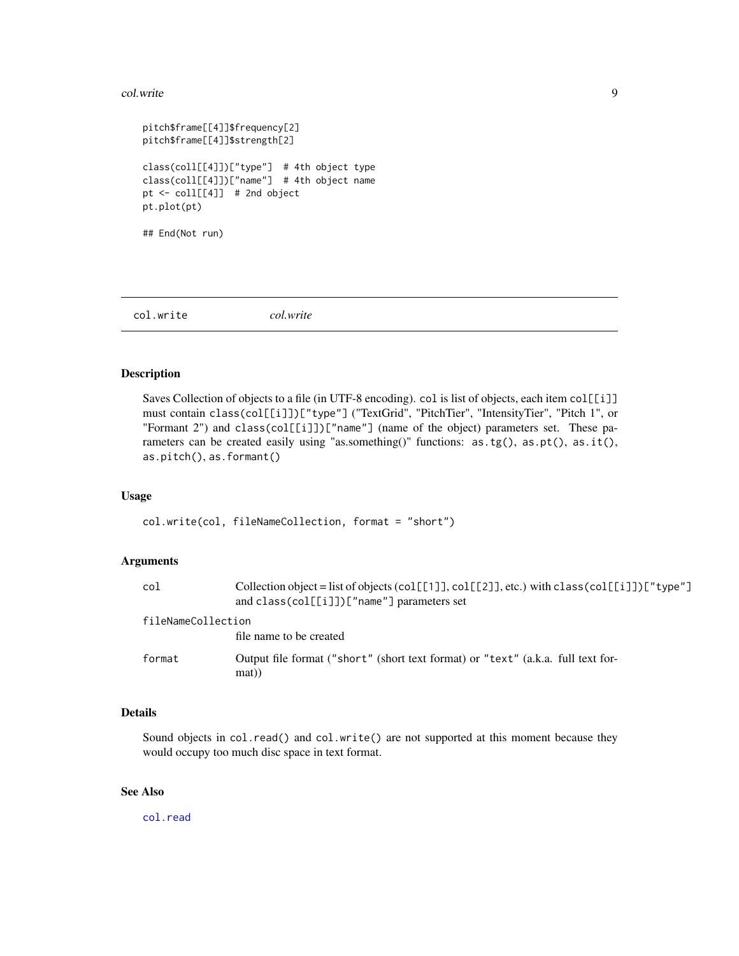#### <span id="page-8-0"></span>col.write 9

```
pitch$frame[[4]]$frequency[2]
pitch$frame[[4]]$strength[2]
class(coll[[4]])["type"] # 4th object type
class(coll[[4]])["name"] # 4th object name
pt <- coll[[4]] # 2nd object
pt.plot(pt)
## End(Not run)
```
col.write *col.write*

#### Description

Saves Collection of objects to a file (in UTF-8 encoding). col is list of objects, each item col[[i]] must contain class(col[[i]])["type"] ("TextGrid", "PitchTier", "IntensityTier", "Pitch 1", or "Formant 2") and class(col[[i]])["name"] (name of the object) parameters set. These parameters can be created easily using "as.something()" functions: as.tg(), as.pt(), as.it(), as.pitch(), as.formant()

#### Usage

col.write(col, fileNameCollection, format = "short")

#### Arguments

| col                | Collection object = list of objects (col[[1]], col[[2]], etc.) with class (col[[i]]) ["type"]<br>and $class(col[[i]])['name"] parameters set$ |
|--------------------|-----------------------------------------------------------------------------------------------------------------------------------------------|
| fileNameCollection | file name to be created                                                                                                                       |
| format             | Output file format ("short" (short text format) or "text" (a.k.a. full text for-<br>mat)                                                      |

# Details

Sound objects in col.read() and col.write() are not supported at this moment because they would occupy too much disc space in text format.

# See Also

[col.read](#page-7-1)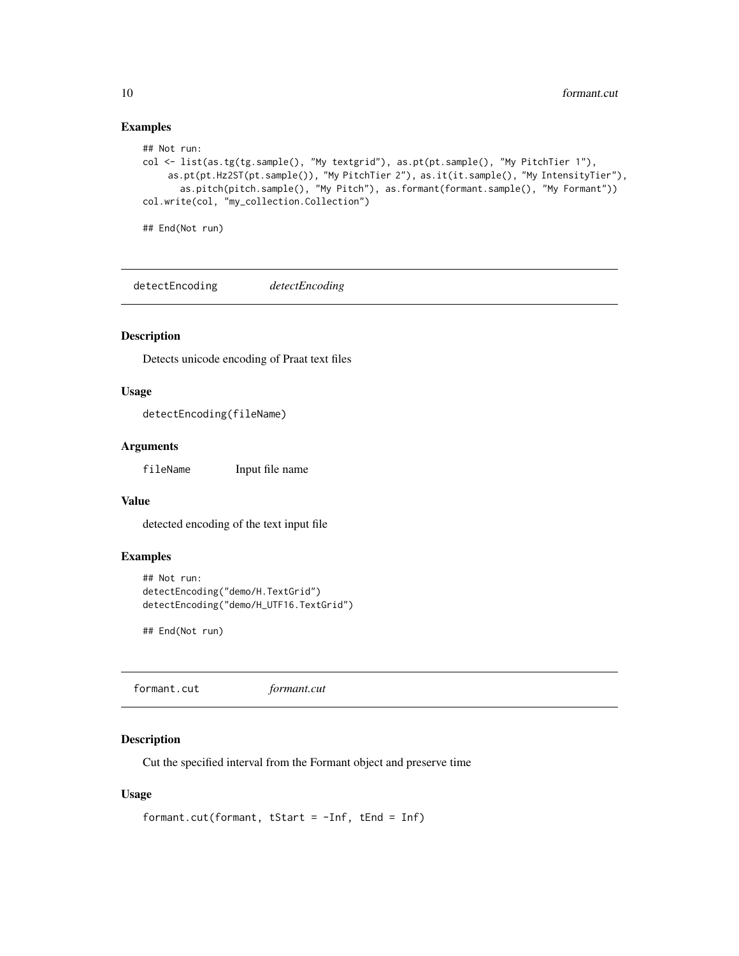# Examples

```
## Not run:
col <- list(as.tg(tg.sample(), "My textgrid"), as.pt(pt.sample(), "My PitchTier 1"),
    as.pt(pt.Hz2ST(pt.sample()), "My PitchTier 2"), as.it(it.sample(), "My IntensityTier"),
       as.pitch(pitch.sample(), "My Pitch"), as.formant(formant.sample(), "My Formant"))
col.write(col, "my_collection.Collection")
## End(Not run)
```
detectEncoding *detectEncoding*

#### Description

Detects unicode encoding of Praat text files

#### Usage

```
detectEncoding(fileName)
```
#### Arguments

fileName Input file name

#### Value

detected encoding of the text input file

# Examples

```
## Not run:
detectEncoding("demo/H.TextGrid")
detectEncoding("demo/H_UTF16.TextGrid")
```
## End(Not run)

<span id="page-9-1"></span>formant.cut *formant.cut*

#### Description

Cut the specified interval from the Formant object and preserve time

#### Usage

```
formant.cut(formant, tStart = -Inf, tEnd = Inf)
```
<span id="page-9-0"></span>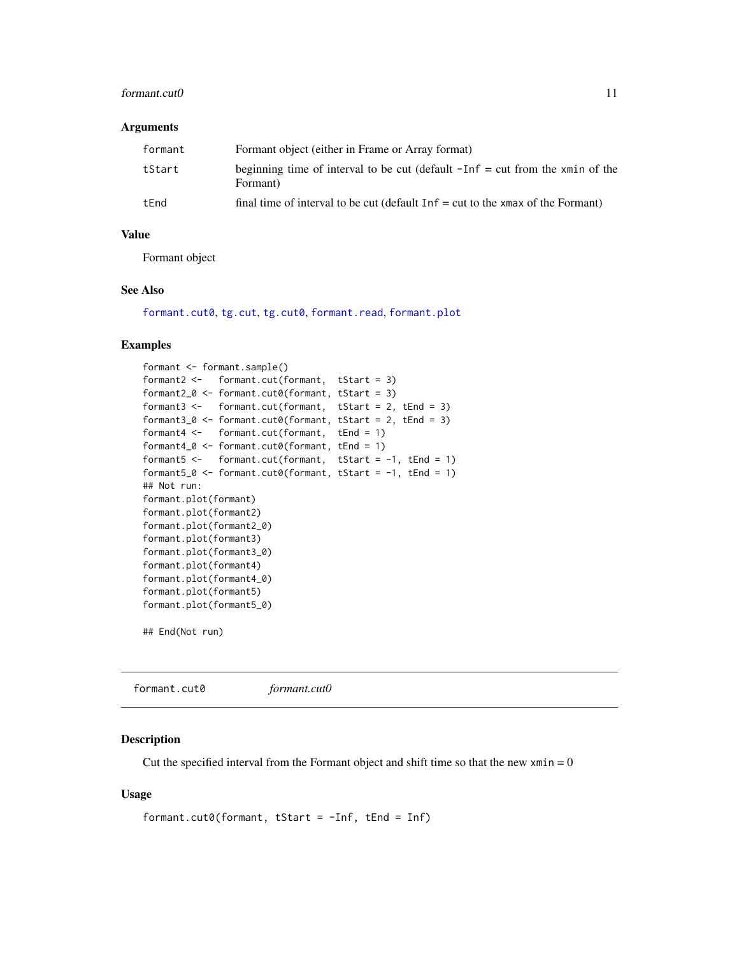#### <span id="page-10-0"></span>formant.cut0 11

#### **Arguments**

| formant | Formant object (either in Frame or Array format)                                            |
|---------|---------------------------------------------------------------------------------------------|
| tStart  | beginning time of interval to be cut (default $-Inf = cut$ from the xmin of the<br>Formant) |
| tEnd    | final time of interval to be cut (default $Inf = cut$ to the xmax of the Formant)           |

#### Value

Formant object

#### See Also

[formant.cut0](#page-10-1), [tg.cut](#page-66-1), [tg.cut0](#page-67-1), [formant.read](#page-14-1), [formant.plot](#page-13-1)

#### Examples

```
formant <- formant.sample()
formant2 <- formant.cut(formant, tStart = 3)
formant2_0 <- formant.cut0(formant, tStart = 3)
formant3 <- formant.cut(formant, tStart = 2, tEnd = 3)
formant3_0 <- formant.cut0(formant, tStart = 2, tEnd = 3)
formant4 <- formant.cut(formant, tEnd = 1)
formant4_0 <- formant.cut0(formant, tEnd = 1)
formant5 <- formant.cut(formant, tStart = -1, tEnd = 1)
formant5_0 <- formant.cut0(formant, tStart = -1, tEnd = 1)
## Not run:
formant.plot(formant)
formant.plot(formant2)
formant.plot(formant2_0)
formant.plot(formant3)
formant.plot(formant3_0)
formant.plot(formant4)
formant.plot(formant4_0)
formant.plot(formant5)
formant.plot(formant5_0)
```

```
## End(Not run)
```
<span id="page-10-1"></span>formant.cut0 *formant.cut0*

#### Description

Cut the specified interval from the Formant object and shift time so that the new  $xmin = 0$ 

#### Usage

```
formant.cut0(formant, tStart = -Inf, tEnd = Inf)
```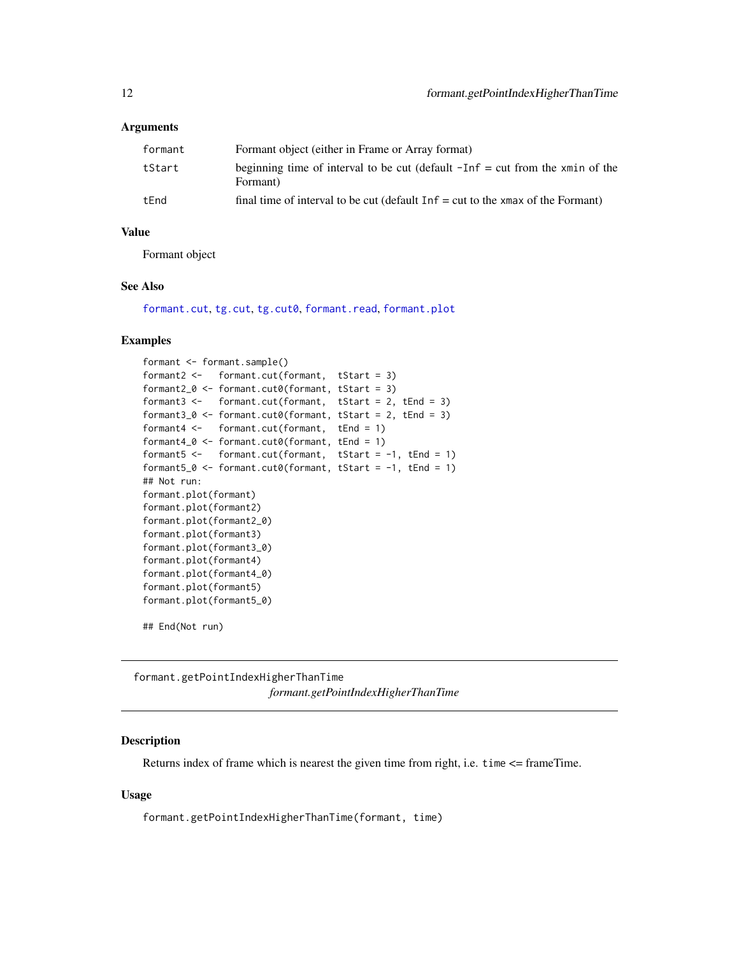#### <span id="page-11-0"></span>**Arguments**

| formant | Formant object (either in Frame or Array format)                                            |
|---------|---------------------------------------------------------------------------------------------|
| tStart  | beginning time of interval to be cut (default $-Inf = cut$ from the xmin of the<br>Formant) |
| tEnd    | final time of interval to be cut (default $Inf = cut$ to the xmax of the Formant)           |

#### Value

Formant object

#### See Also

[formant.cut](#page-9-1), [tg.cut](#page-66-1), [tg.cut0](#page-67-1), [formant.read](#page-14-1), [formant.plot](#page-13-1)

#### Examples

```
formant <- formant.sample()
formant2 <- formant.cut(formant, tStart = 3)
formant2_0 <- formant.cut0(formant, tStart = 3)
formant3 <- formant.cut(formant, tStart = 2, tEnd = 3)
formant3_0 <- formant.cut0(formant, tStart = 2, tEnd = 3)
formant4 <- formant.cut(formant, tEnd = 1)
formant4_0 <- formant.cut0(formant, tEnd = 1)
formant5 <- formant.cut(formant, tStart = -1, tEnd = 1)
formant5_0 <- formant.cut0(formant, tStart = -1, tEnd = 1)
## Not run:
formant.plot(formant)
formant.plot(formant2)
formant.plot(formant2_0)
formant.plot(formant3)
formant.plot(formant3_0)
formant.plot(formant4)
formant.plot(formant4_0)
formant.plot(formant5)
formant.plot(formant5_0)
```
## End(Not run)

<span id="page-11-1"></span>formant.getPointIndexHigherThanTime *formant.getPointIndexHigherThanTime*

# Description

Returns index of frame which is nearest the given time from right, i.e. time <= frameTime.

#### Usage

formant.getPointIndexHigherThanTime(formant, time)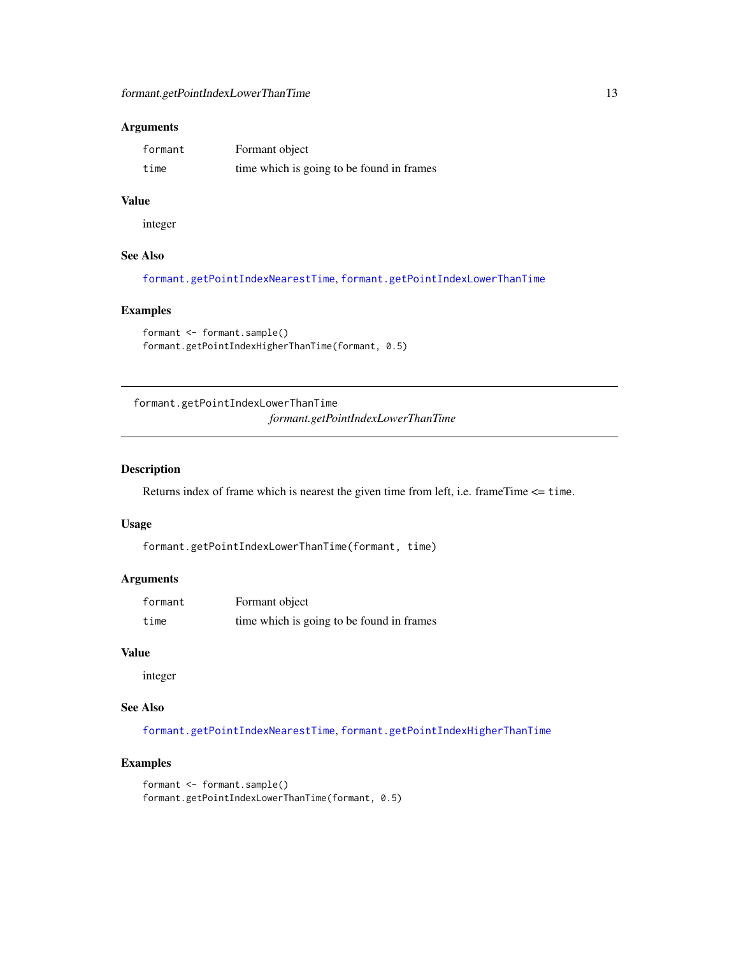#### <span id="page-12-0"></span>Arguments

| formant | Formant object                            |
|---------|-------------------------------------------|
| time    | time which is going to be found in frames |

#### Value

integer

#### See Also

[formant.getPointIndexNearestTime](#page-13-2), [formant.getPointIndexLowerThanTime](#page-12-1)

# Examples

```
formant <- formant.sample()
formant.getPointIndexHigherThanTime(formant, 0.5)
```
<span id="page-12-1"></span>formant.getPointIndexLowerThanTime *formant.getPointIndexLowerThanTime*

# Description

Returns index of frame which is nearest the given time from left, i.e. frameTime <= time.

#### Usage

formant.getPointIndexLowerThanTime(formant, time)

#### Arguments

| formant | Formant object                            |
|---------|-------------------------------------------|
| time    | time which is going to be found in frames |

#### Value

integer

# See Also

[formant.getPointIndexNearestTime](#page-13-2), [formant.getPointIndexHigherThanTime](#page-11-1)

```
formant <- formant.sample()
formant.getPointIndexLowerThanTime(formant, 0.5)
```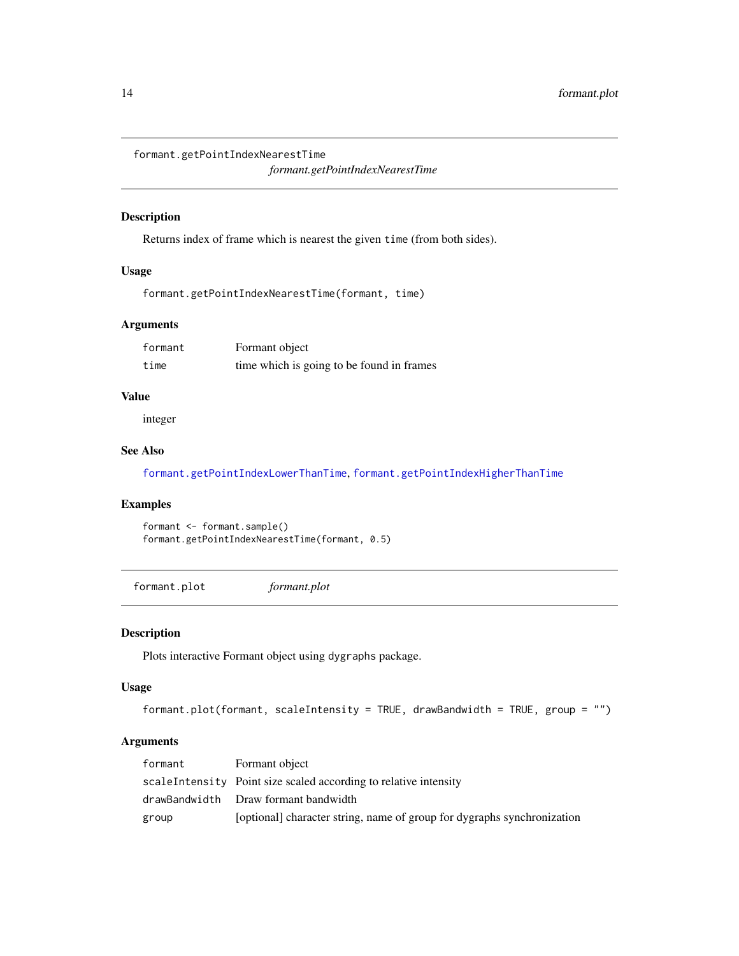<span id="page-13-2"></span><span id="page-13-0"></span>formant.getPointIndexNearestTime

*formant.getPointIndexNearestTime*

# Description

Returns index of frame which is nearest the given time (from both sides).

#### Usage

formant.getPointIndexNearestTime(formant, time)

# Arguments

| formant | Formant object                            |
|---------|-------------------------------------------|
| time    | time which is going to be found in frames |

#### Value

integer

# See Also

[formant.getPointIndexLowerThanTime](#page-12-1), [formant.getPointIndexHigherThanTime](#page-11-1)

# Examples

```
formant <- formant.sample()
formant.getPointIndexNearestTime(formant, 0.5)
```
<span id="page-13-1"></span>formant.plot *formant.plot*

#### Description

Plots interactive Formant object using dygraphs package.

#### Usage

```
formant.plot(formant, scaleIntensity = TRUE, drawBandwidth = TRUE, group = "")
```

| formant | Formant object                                                          |
|---------|-------------------------------------------------------------------------|
|         | scaleIntensity Point size scaled according to relative intensity        |
|         | drawBandwidth Draw formant bandwidth                                    |
| group   | [optional] character string, name of group for dygraphs synchronization |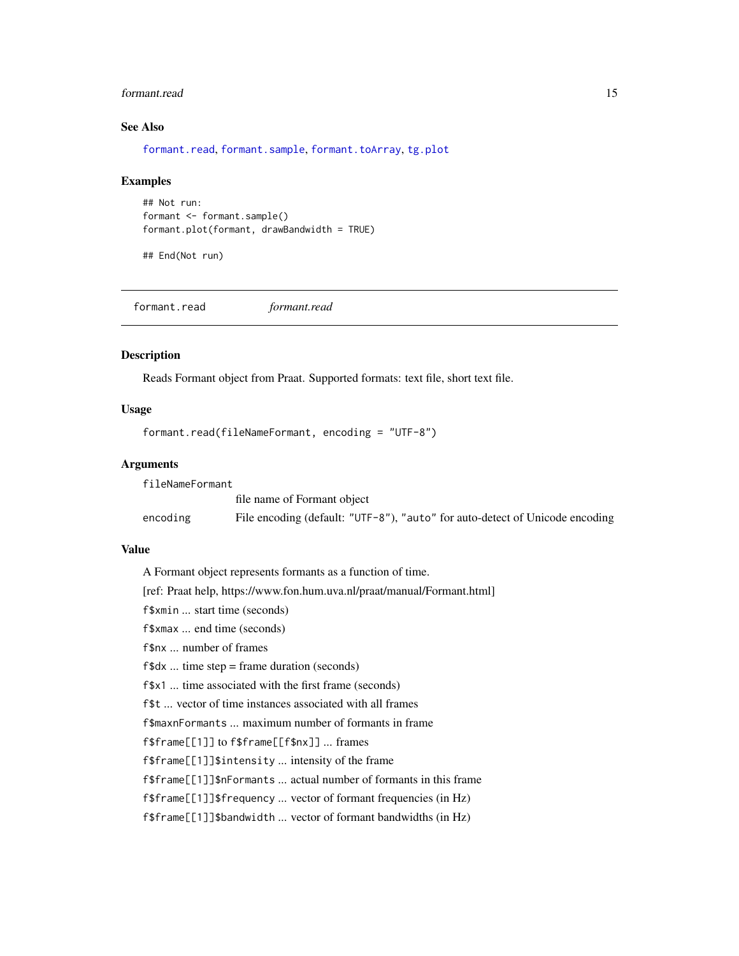#### <span id="page-14-0"></span>formant.read 15

#### See Also

[formant.read](#page-14-1), [formant.sample](#page-15-1), [formant.toArray](#page-16-1), [tg.plot](#page-89-1)

#### Examples

```
## Not run:
formant <- formant.sample()
formant.plot(formant, drawBandwidth = TRUE)
```
## End(Not run)

<span id="page-14-1"></span>formant.read *formant.read*

#### Description

Reads Formant object from Praat. Supported formats: text file, short text file.

#### Usage

```
formant.read(fileNameFormant, encoding = "UTF-8")
```
#### Arguments

| fileNameFormant |                                                                              |
|-----------------|------------------------------------------------------------------------------|
|                 | file name of Formant object                                                  |
| encoding        | File encoding (default: "UTF-8"), "auto" for auto-detect of Unicode encoding |

#### Value

A Formant object represents formants as a function of time.

[ref: Praat help, https://www.fon.hum.uva.nl/praat/manual/Formant.html]

f\$xmin ... start time (seconds)

f\$xmax ... end time (seconds)

f\$nx ... number of frames

f\$dx ... time step = frame duration (seconds)

f\$x1 ... time associated with the first frame (seconds)

f\$t ... vector of time instances associated with all frames

f\$maxnFormants ... maximum number of formants in frame

f\$frame[[1]] to f\$frame[[f\$nx]] ... frames

f\$frame[[1]]\$intensity ... intensity of the frame

f\$frame[[1]]\$nFormants ... actual number of formants in this frame

f\$frame[[1]]\$frequency ... vector of formant frequencies (in Hz)

f\$frame[[1]]\$bandwidth ... vector of formant bandwidths (in Hz)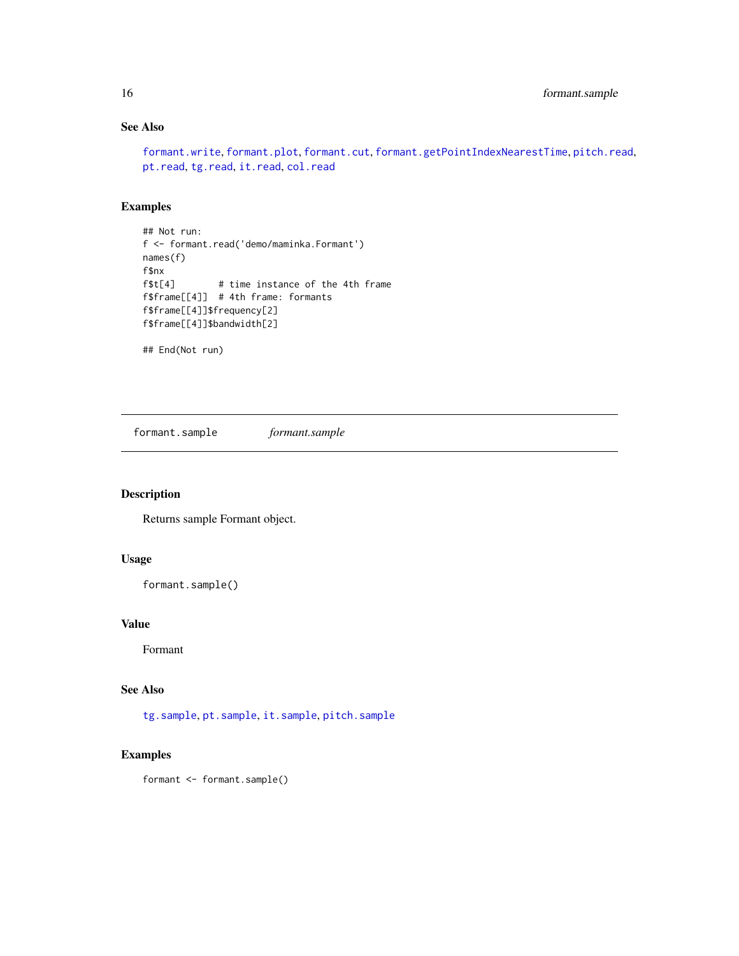# See Also

[formant.write](#page-17-1), [formant.plot](#page-13-1), [formant.cut](#page-9-1), [formant.getPointIndexNearestTime](#page-13-2), [pitch.read](#page-36-1), [pt.read](#page-48-1), [tg.read](#page-91-1), [it.read](#page-29-1), [col.read](#page-7-1)

# Examples

```
## Not run:
f <- formant.read('demo/maminka.Formant')
names(f)
f$nx
f$t[4] # time instance of the 4th frame
f$frame[[4]] # 4th frame: formants
f$frame[[4]]$frequency[2]
f$frame[[4]]$bandwidth[2]
```
## End(Not run)

<span id="page-15-1"></span>formant.sample *formant.sample*

#### Description

Returns sample Formant object.

#### Usage

```
formant.sample()
```
#### Value

Formant

#### See Also

[tg.sample](#page-97-1), [pt.sample](#page-49-1), [it.sample](#page-30-1), [pitch.sample](#page-37-1)

```
formant <- formant.sample()
```
<span id="page-15-0"></span>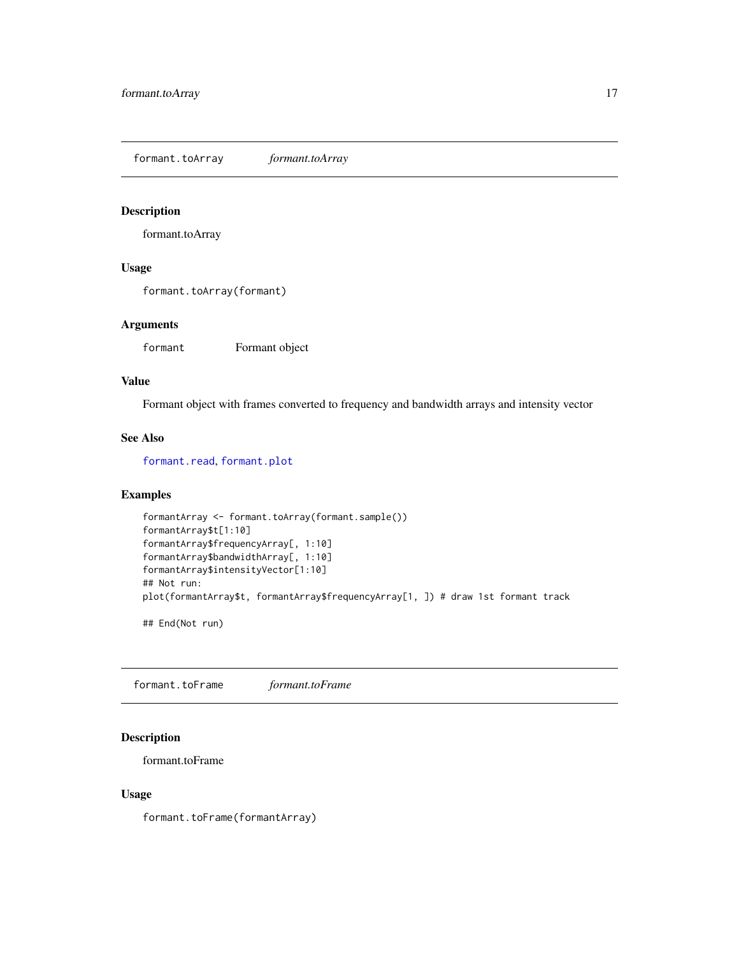<span id="page-16-1"></span><span id="page-16-0"></span>formant.toArray *formant.toArray*

# Description

formant.toArray

# Usage

formant.toArray(formant)

#### Arguments

formant Formant object

#### Value

Formant object with frames converted to frequency and bandwidth arrays and intensity vector

#### See Also

[formant.read](#page-14-1), [formant.plot](#page-13-1)

#### Examples

```
formantArray <- formant.toArray(formant.sample())
formantArray$t[1:10]
formantArray$frequencyArray[, 1:10]
formantArray$bandwidthArray[, 1:10]
formantArray$intensityVector[1:10]
## Not run:
plot(formantArray$t, formantArray$frequencyArray[1, ]) # draw 1st formant track
```
## End(Not run)

formant.toFrame *formant.toFrame*

# Description

formant.toFrame

#### Usage

formant.toFrame(formantArray)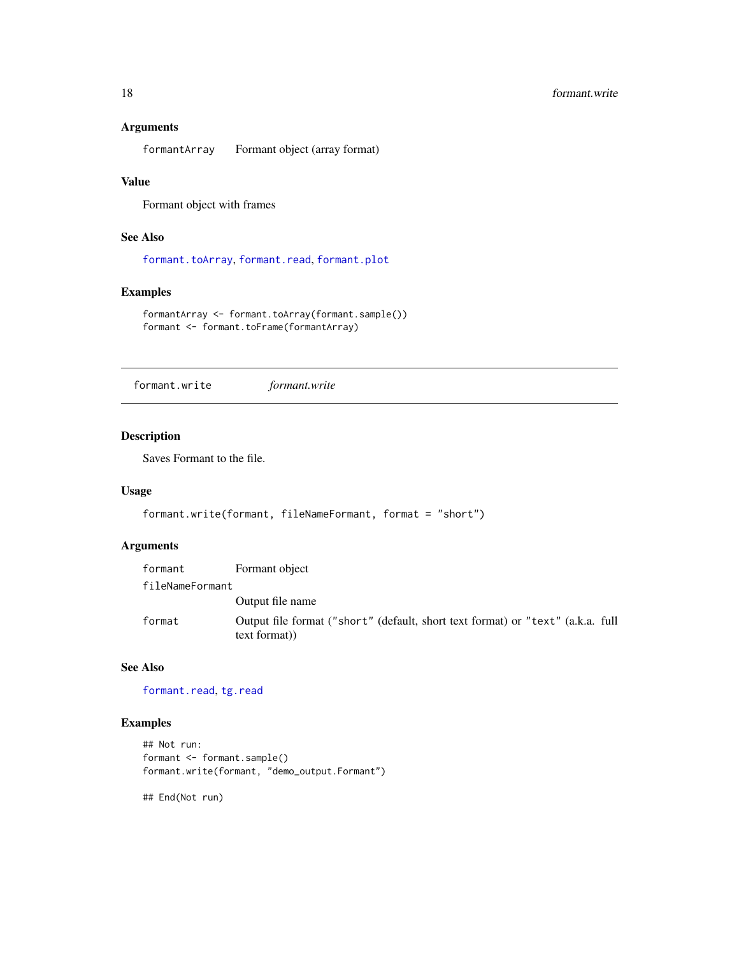#### Arguments

formantArray Formant object (array format)

#### Value

Formant object with frames

# See Also

[formant.toArray](#page-16-1), [formant.read](#page-14-1), [formant.plot](#page-13-1)

# Examples

```
formantArray <- formant.toArray(formant.sample())
formant <- formant.toFrame(formantArray)
```
<span id="page-17-1"></span>formant.write *formant.write*

#### Description

Saves Formant to the file.

#### Usage

```
formant.write(formant, fileNameFormant, format = "short")
```
#### Arguments

| formant         | Formant object                                                                                  |
|-----------------|-------------------------------------------------------------------------------------------------|
| fileNameFormant |                                                                                                 |
|                 | Output file name                                                                                |
| format          | Output file format ("short" (default, short text format) or "text" (a.k.a. full<br>text format) |

# See Also

[formant.read](#page-14-1), [tg.read](#page-91-1)

# Examples

```
## Not run:
formant <- formant.sample()
formant.write(formant, "demo_output.Formant")
```
## End(Not run)

<span id="page-17-0"></span>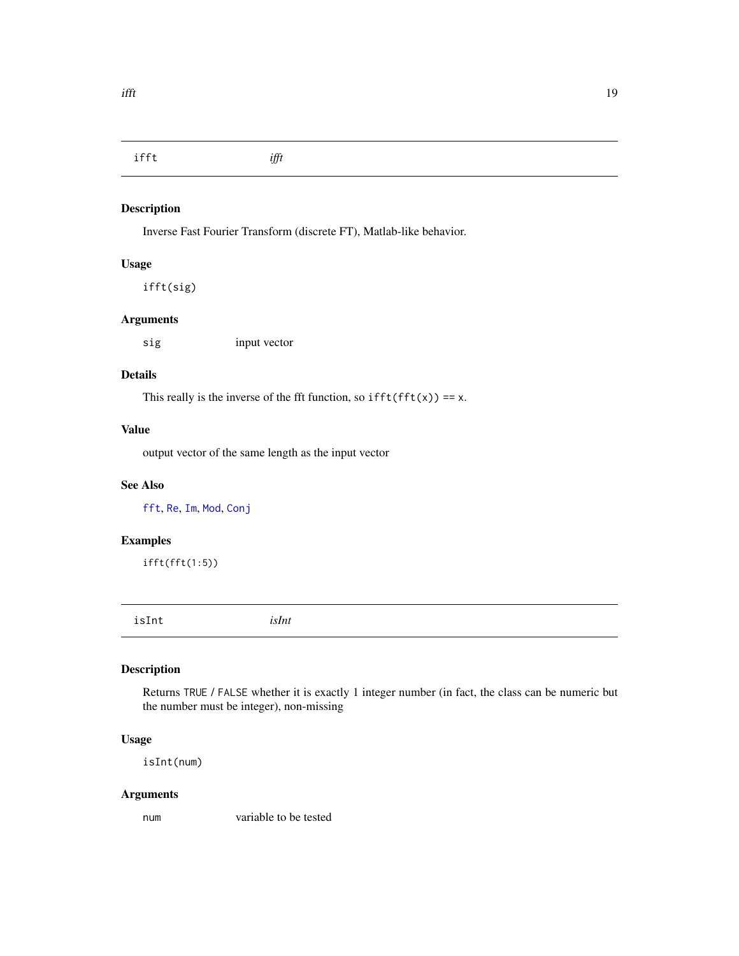<span id="page-18-0"></span>ifft *ifft*

# Description

Inverse Fast Fourier Transform (discrete FT), Matlab-like behavior.

#### Usage

ifft(sig)

#### Arguments

sig input vector

#### Details

This really is the inverse of the fft function, so  $ifft(fft(x)) == x$ .

#### Value

output vector of the same length as the input vector

# See Also

[fft](#page-0-0), [Re](#page-0-0), [Im](#page-0-0), [Mod](#page-0-0), [Conj](#page-0-0)

#### Examples

ifft(fft(1:5))

<span id="page-18-1"></span>isInt *isInt*

# Description

Returns TRUE / FALSE whether it is exactly 1 integer number (in fact, the class can be numeric but the number must be integer), non-missing

# Usage

isInt(num)

# Arguments

num variable to be tested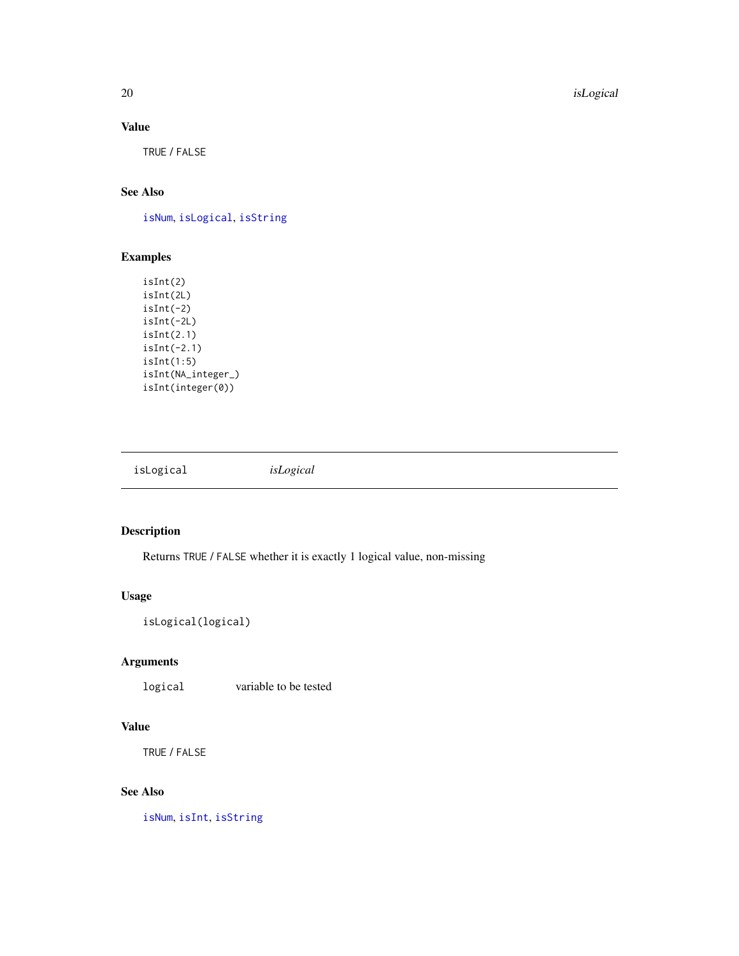20 **isLogical** 

# Value

TRUE / FALSE

# See Also

[isNum](#page-20-1), [isLogical](#page-19-1), [isString](#page-21-1)

# Examples

```
isInt(2)
isInt(2L)
isInt(-2)isInt(-2L)
isInt(2.1)
isInt(-2.1)
isInt(1:5)
isInt(NA_integer_)
isInt(integer(0))
```
<span id="page-19-1"></span>isLogical *isLogical*

# Description

Returns TRUE / FALSE whether it is exactly 1 logical value, non-missing

# Usage

isLogical(logical)

# Arguments

logical variable to be tested

#### Value

TRUE / FALSE

# See Also

[isNum](#page-20-1), [isInt](#page-18-1), [isString](#page-21-1)

<span id="page-19-0"></span>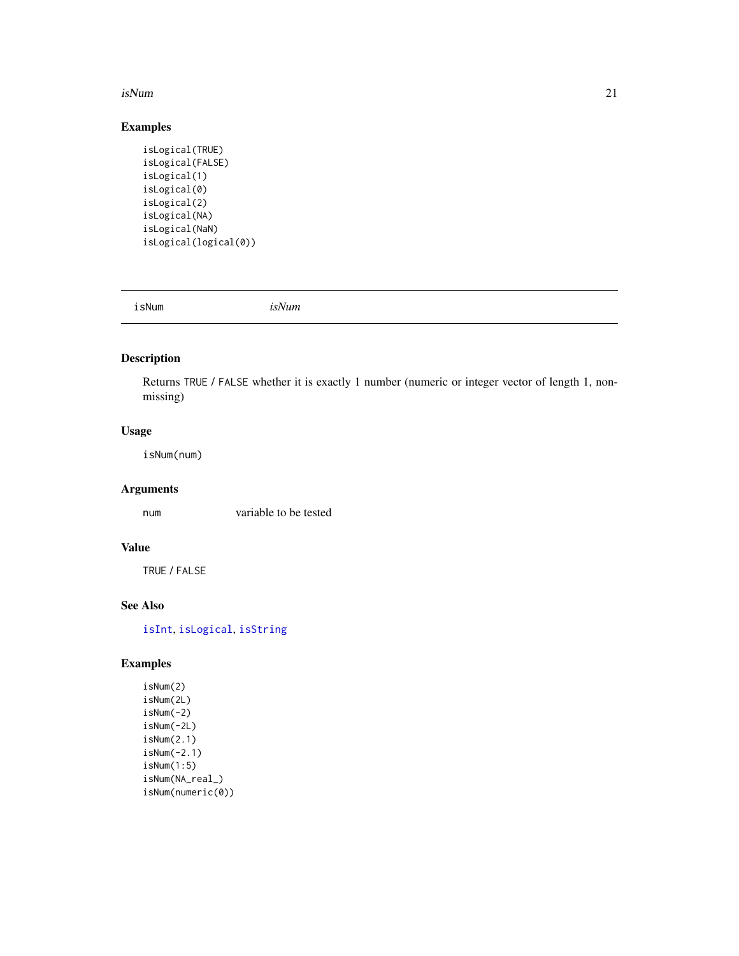#### <span id="page-20-0"></span>isNum 21

# Examples

```
isLogical(TRUE)
isLogical(FALSE)
isLogical(1)
isLogical(0)
isLogical(2)
isLogical(NA)
isLogical(NaN)
isLogical(logical(0))
```
<span id="page-20-1"></span>isNum *isNum*

# Description

Returns TRUE / FALSE whether it is exactly 1 number (numeric or integer vector of length 1, nonmissing)

# Usage

isNum(num)

# Arguments

num variable to be tested

#### Value

TRUE / FALSE

# See Also

[isInt](#page-18-1), [isLogical](#page-19-1), [isString](#page-21-1)

# Examples

isNum(2) isNum(2L) isNum(-2) isNum(-2L) isNum(2.1) isNum(-2.1) isNum(1:5) isNum(NA\_real\_) isNum(numeric(0))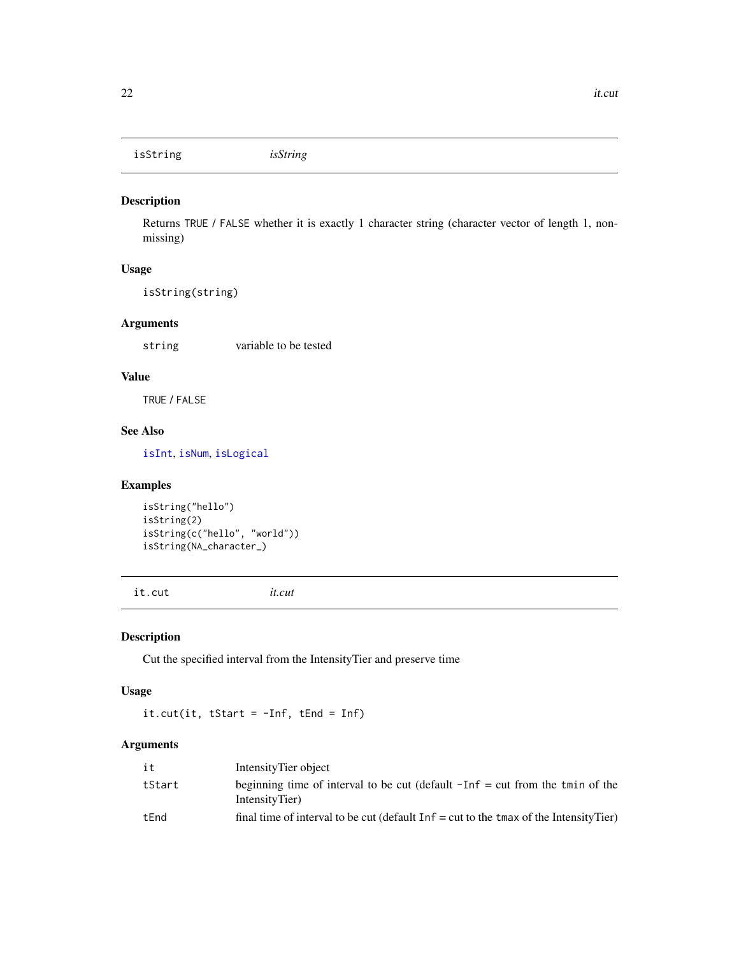<span id="page-21-1"></span><span id="page-21-0"></span>isString *isString*

#### Description

Returns TRUE / FALSE whether it is exactly 1 character string (character vector of length 1, nonmissing)

# Usage

isString(string)

# Arguments

string variable to be tested

#### Value

TRUE / FALSE

# See Also

[isInt](#page-18-1), [isNum](#page-20-1), [isLogical](#page-19-1)

#### Examples

isString("hello") isString(2) isString(c("hello", "world")) isString(NA\_character\_)

<span id="page-21-2"></span>it.cut *it.cut*

# Description

Cut the specified interval from the IntensityTier and preserve time

# Usage

it.cut(it, tStart =  $-Inf$ , tEnd =  $Inf$ )

| it     | IntensityTier object                                                                              |
|--------|---------------------------------------------------------------------------------------------------|
| tStart | beginning time of interval to be cut (default $-Inf = cut$ from the tmin of the<br>IntensityTier) |
| tEnd   | final time of interval to be cut (default $Inf = cut$ to the tmax of the Intensity Tier)          |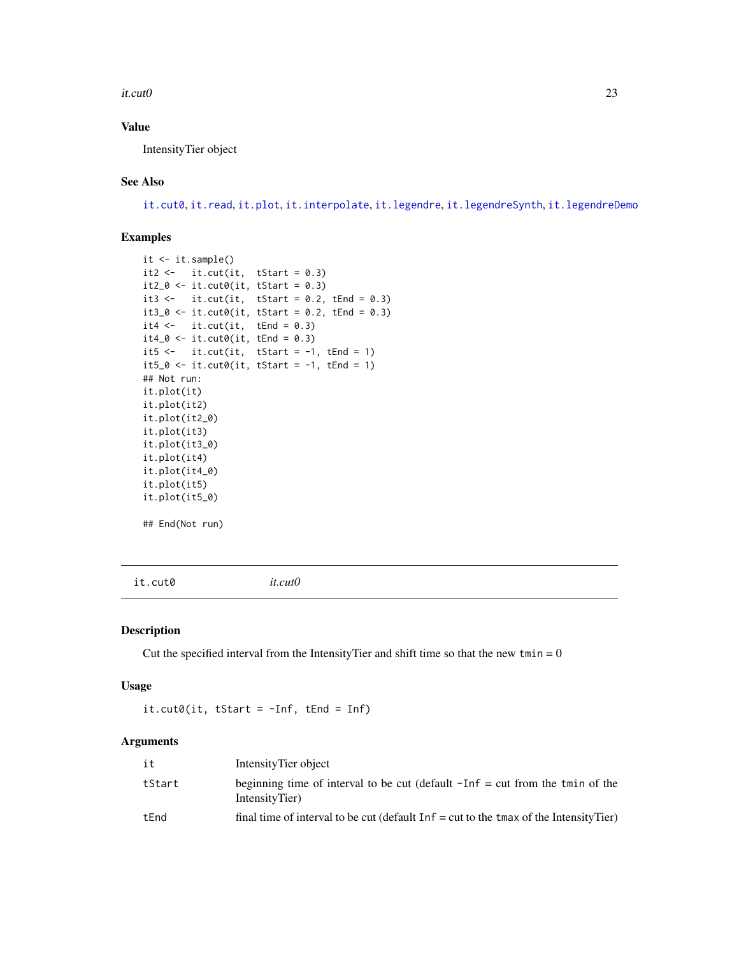#### <span id="page-22-0"></span>it.cut0  $23$

# Value

IntensityTier object

#### See Also

[it.cut0](#page-22-1), [it.read](#page-29-1), [it.plot](#page-28-1), [it.interpolate](#page-25-1), [it.legendre](#page-26-1), [it.legendreSynth](#page-27-1), [it.legendreDemo](#page-27-2)

# Examples

```
it <- it.sample()
it2 <- it.cut(it, tStart = 0.3)it2_0 \leftarrow it. cut0(it, tStart = 0.3)it3 <- it.cut(it, tStart = 0.2, tEnd = 0.3)
it3_0 \leftarrow it.cut0(it, tStart = 0.2, tEnd = 0.3)it4 \leftarrow it.cut(it, tEnd = 0.3)
it4_0 \leftarrow it. cut0(it, tEnd = 0.3)it5 <- it.cut(it, tStart = -1, tEnd = 1)
it5_0 \leftarrow it. cut0(it, tStart = -1, tEnd = 1)## Not run:
it.plot(it)
it.plot(it2)
it.plot(it2_0)
it.plot(it3)
it.plot(it3_0)
it.plot(it4)
it.plot(it4_0)
it.plot(it5)
it.plot(it5_0)
## End(Not run)
```
<span id="page-22-1"></span>it.cut0 *it.cut0*

#### Description

Cut the specified interval from the IntensityTier and shift time so that the new tmin =  $0$ 

#### Usage

it.cut0(it, tStart = -Inf, tEnd = Inf)

| it     | IntensityTier object                                                                               |
|--------|----------------------------------------------------------------------------------------------------|
| tStart | beginning time of interval to be cut (default $-I$ nf = cut from the tmin of the<br>IntensityTier) |
| tEnd   | final time of interval to be cut (default $Inf = cut$ to the tmax of the Intensity Tier)           |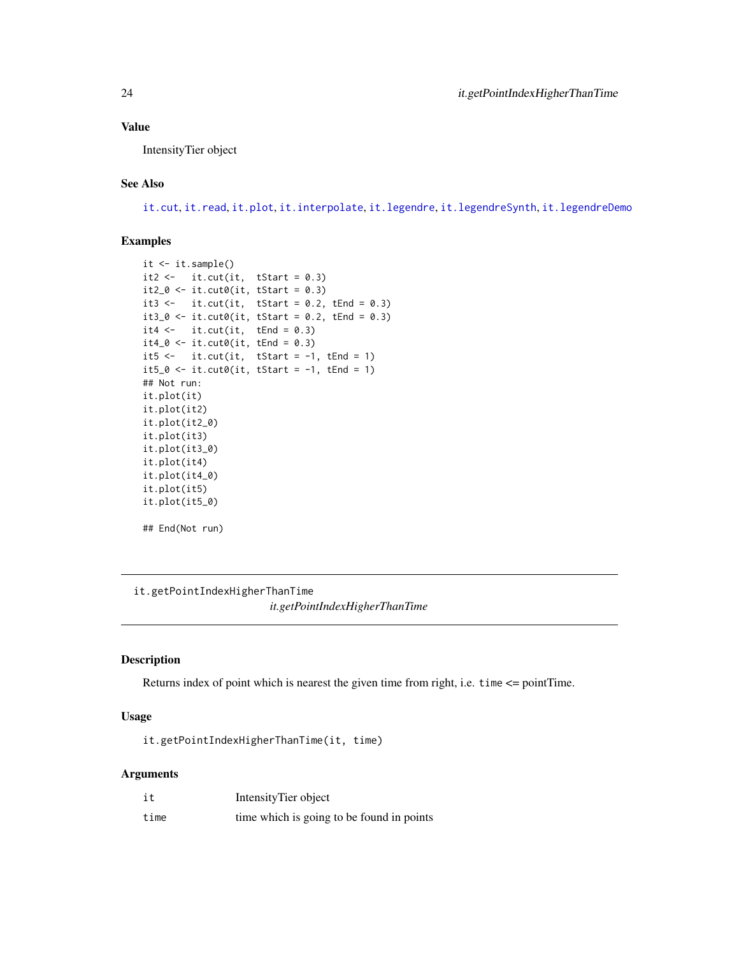#### <span id="page-23-0"></span>Value

IntensityTier object

#### See Also

[it.cut](#page-21-2), [it.read](#page-29-1), [it.plot](#page-28-1), [it.interpolate](#page-25-1), [it.legendre](#page-26-1), [it.legendreSynth](#page-27-1), [it.legendreDemo](#page-27-2)

#### Examples

```
it <- it.sample()
it2 \leftarrow it.cut(it, tStart = 0.3)
it2_0 \leftarrow it. cut0(it, tStart = 0.3)it3 <- it.cut(it, tStart = 0.2, tEnd = 0.3)
it3_0 \leftarrow it. cut0(it, tStart = 0.2, tEnd = 0.3)it4 \leftarrow it.cut(it, tEnd = 0.3)
it4_0 \leftarrow it. cut0(it, tEnd = 0.3)it5 <- it.cut(it, tStart = -1, tEnd = 1)
it5_0 \leftarrow it. cut0(it, tStart = -1, tEnd = 1)## Not run:
it.plot(it)
it.plot(it2)
it.plot(it2_0)
it.plot(it3)
it.plot(it3_0)
it.plot(it4)
it.plot(it4_0)
it.plot(it5)
it.plot(it5_0)
## End(Not run)
```
<span id="page-23-1"></span>it.getPointIndexHigherThanTime *it.getPointIndexHigherThanTime*

#### Description

Returns index of point which is nearest the given time from right, i.e. time <= pointTime.

# Usage

it.getPointIndexHigherThanTime(it, time)

| it   | Intensity Tier object                     |
|------|-------------------------------------------|
| time | time which is going to be found in points |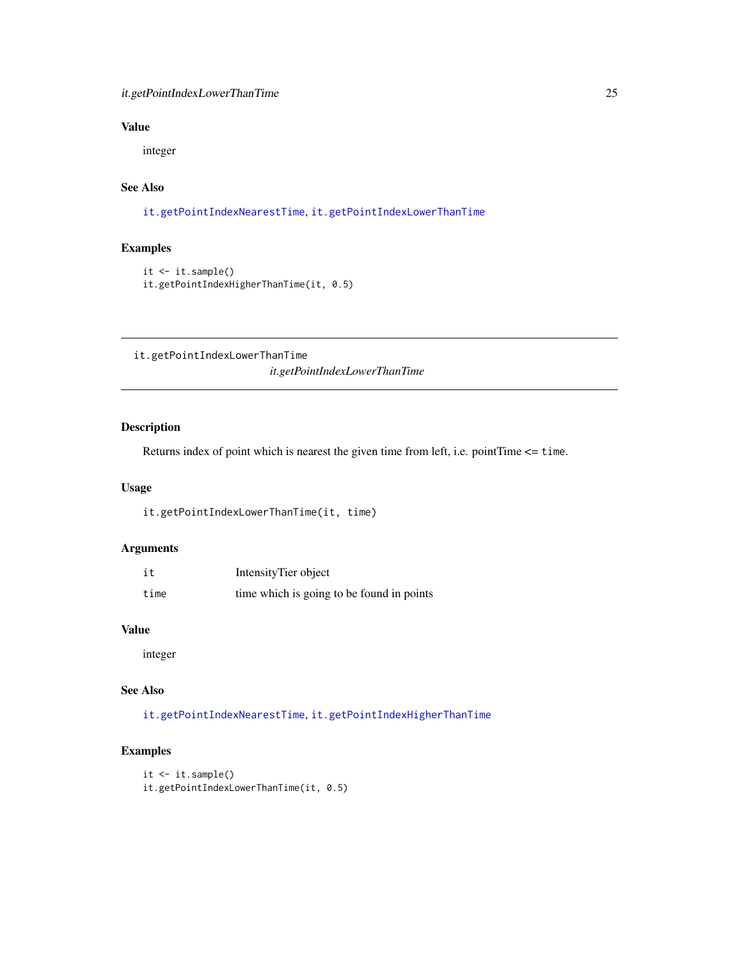# <span id="page-24-0"></span>Value

integer

# See Also

[it.getPointIndexNearestTime](#page-25-2), [it.getPointIndexLowerThanTime](#page-24-1)

#### Examples

```
it <- it.sample()
it.getPointIndexHigherThanTime(it, 0.5)
```
<span id="page-24-1"></span>it.getPointIndexLowerThanTime *it.getPointIndexLowerThanTime*

#### Description

Returns index of point which is nearest the given time from left, i.e. pointTime <= time.

#### Usage

it.getPointIndexLowerThanTime(it, time)

# Arguments

| it   | IntensityTier object                      |
|------|-------------------------------------------|
| time | time which is going to be found in points |

#### Value

integer

# See Also

[it.getPointIndexNearestTime](#page-25-2), [it.getPointIndexHigherThanTime](#page-23-1)

```
it \leftarrow it.sample()
it.getPointIndexLowerThanTime(it, 0.5)
```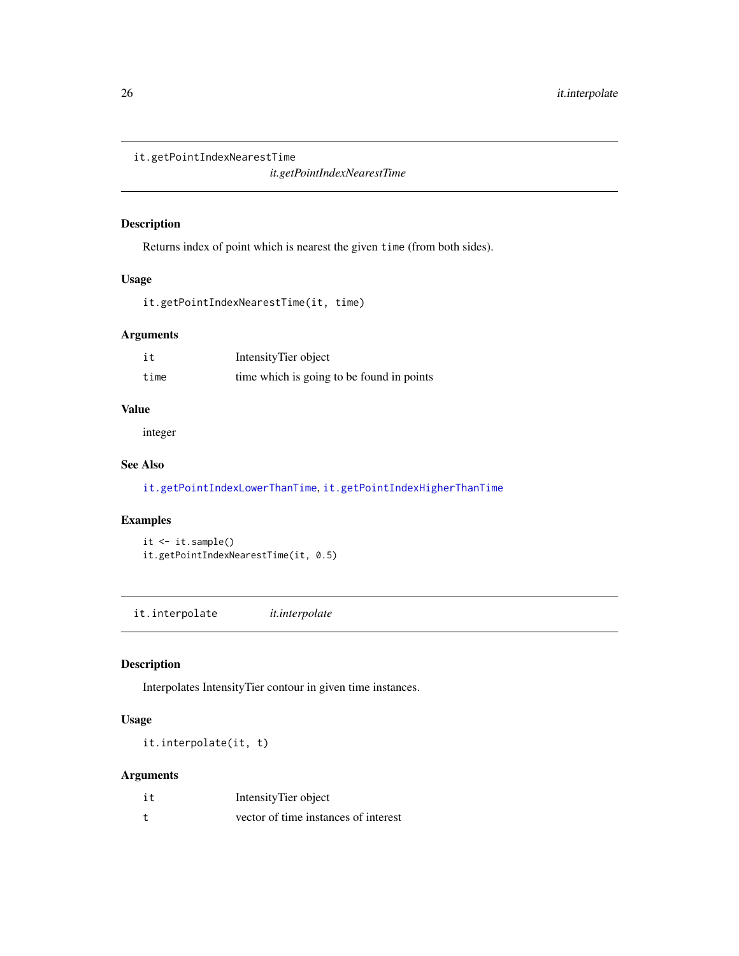```
it.getPointIndexNearestTime
```
*it.getPointIndexNearestTime*

# Description

Returns index of point which is nearest the given time (from both sides).

#### Usage

it.getPointIndexNearestTime(it, time)

# Arguments

| it   | IntensityTier object                      |
|------|-------------------------------------------|
| time | time which is going to be found in points |

#### Value

integer

# See Also

[it.getPointIndexLowerThanTime](#page-24-1), [it.getPointIndexHigherThanTime](#page-23-1)

#### Examples

it <- it.sample() it.getPointIndexNearestTime(it, 0.5)

<span id="page-25-1"></span>it.interpolate *it.interpolate*

# Description

Interpolates IntensityTier contour in given time instances.

#### Usage

it.interpolate(it, t)

| it | IntensityTier object                 |
|----|--------------------------------------|
|    | vector of time instances of interest |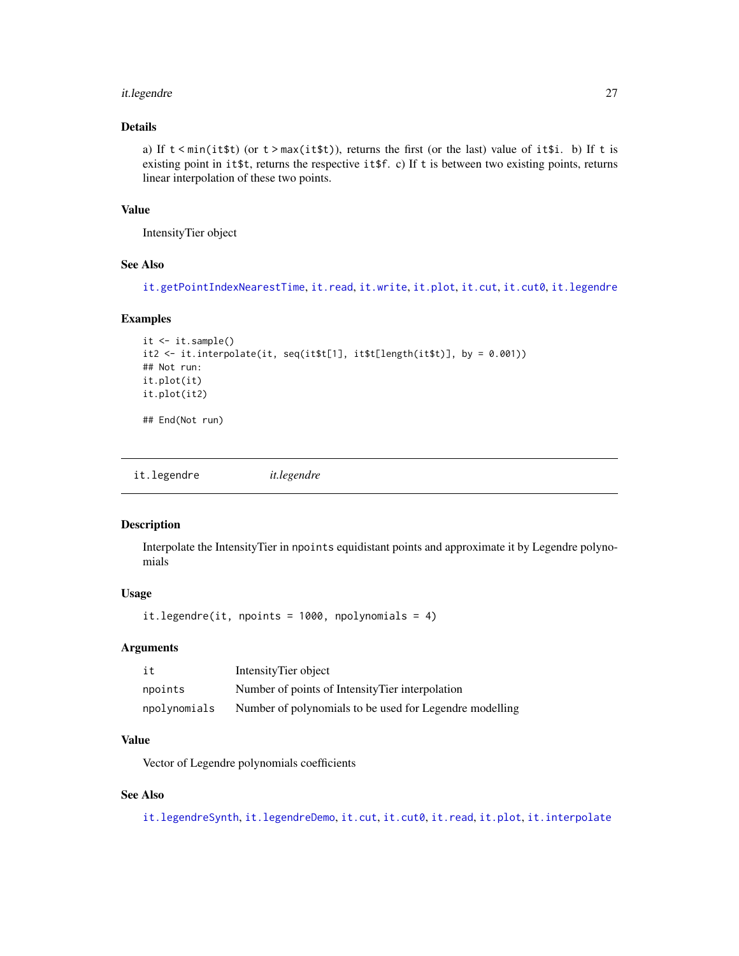# <span id="page-26-0"></span>it.legendre 27

# Details

a) If  $t$  < min(it  $t$ ) (or  $t$  > max(it  $t$ )), returns the first (or the last) value of it  $t$  is b) If  $t$  is existing point in it\$t, returns the respective it\$f. c) If t is between two existing points, returns linear interpolation of these two points.

#### Value

IntensityTier object

# See Also

[it.getPointIndexNearestTime](#page-25-2), [it.read](#page-29-1), [it.write](#page-30-2), [it.plot](#page-28-1), [it.cut](#page-21-2), [it.cut0](#page-22-1), [it.legendre](#page-26-1)

#### Examples

```
it \leftarrow it.sumple()it2 <- it.interpolate(it, seq(it$t[1], it$t[length(it$t)], by = 0.001))
## Not run:
it.plot(it)
it.plot(it2)
## End(Not run)
```
<span id="page-26-1"></span>it.legendre *it.legendre*

#### Description

Interpolate the IntensityTier in npoints equidistant points and approximate it by Legendre polynomials

#### Usage

it.legendre(it, npoints =  $1000$ , npolynomials = 4)

# Arguments

| it           | Intensity Tier object                                   |
|--------------|---------------------------------------------------------|
| npoints      | Number of points of Intensity Tier interpolation        |
| npolynomials | Number of polynomials to be used for Legendre modelling |

# Value

Vector of Legendre polynomials coefficients

# See Also

[it.legendreSynth](#page-27-1), [it.legendreDemo](#page-27-2), [it.cut](#page-21-2), [it.cut0](#page-22-1), [it.read](#page-29-1), [it.plot](#page-28-1), [it.interpolate](#page-25-1)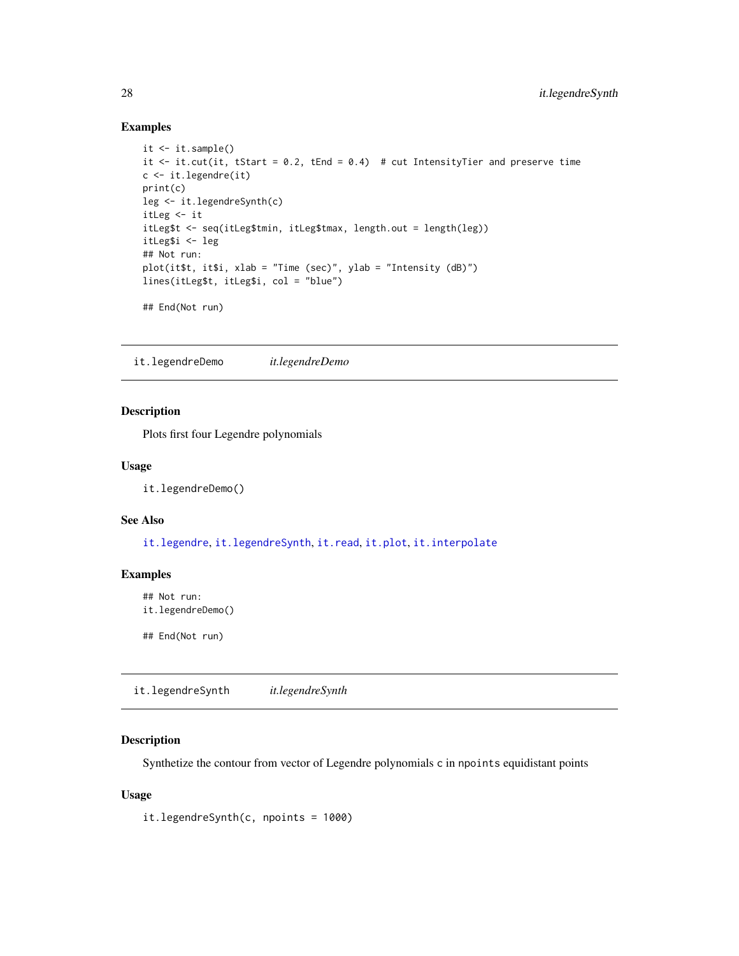#### Examples

```
it \leftarrow it.\text{sample}()it \le it.cut(it, tStart = 0.2, tEnd = 0.4) # cut IntensityTier and preserve time
c <- it.legendre(it)
print(c)
leg <- it.legendreSynth(c)
itLeg <- it
itLeg$t <- seq(itLeg$tmin, itLeg$tmax, length.out = length(leg))
itLeg$i <- leg
## Not run:
plot(it$t, it$i, xlab = "Time (sec)", ylab = "Intensity (dB)")
lines(itLeg$t, itLeg$i, col = "blue")
## End(Not run)
```
<span id="page-27-2"></span>it.legendreDemo *it.legendreDemo*

# Description

Plots first four Legendre polynomials

#### Usage

it.legendreDemo()

#### See Also

[it.legendre](#page-26-1), [it.legendreSynth](#page-27-1), [it.read](#page-29-1), [it.plot](#page-28-1), [it.interpolate](#page-25-1)

#### Examples

## Not run: it.legendreDemo()

## End(Not run)

<span id="page-27-1"></span>it.legendreSynth *it.legendreSynth*

# Description

Synthetize the contour from vector of Legendre polynomials c in npoints equidistant points

#### Usage

it.legendreSynth(c, npoints = 1000)

<span id="page-27-0"></span>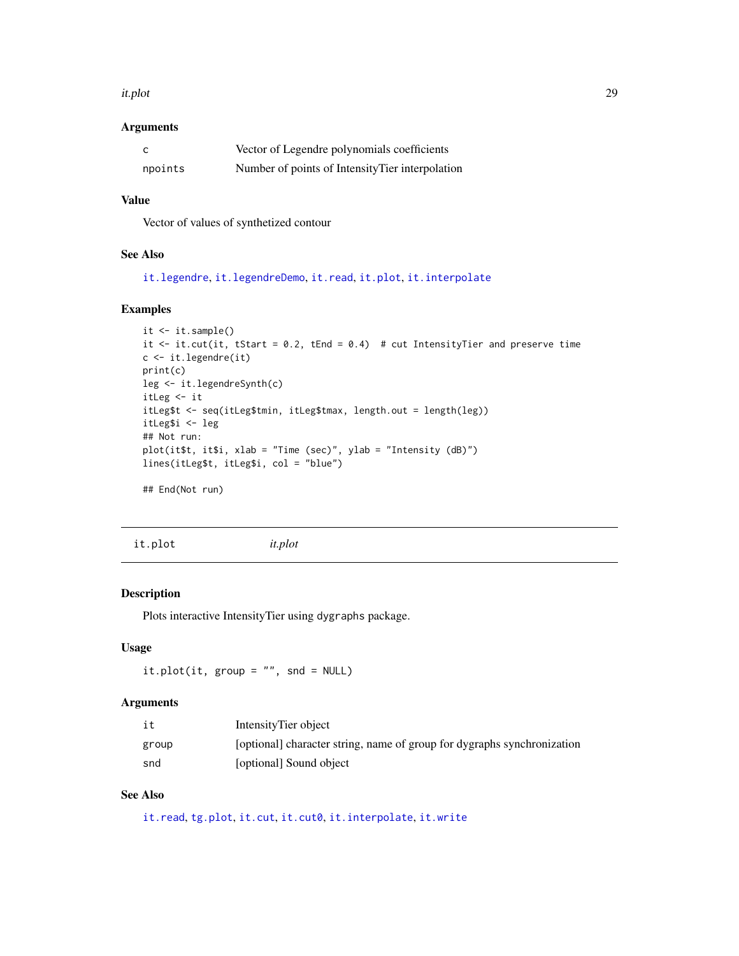#### <span id="page-28-0"></span>it.plot 29

#### Arguments

|         | Vector of Legendre polynomials coefficients      |
|---------|--------------------------------------------------|
| npoints | Number of points of Intensity Tier interpolation |

# Value

Vector of values of synthetized contour

#### See Also

[it.legendre](#page-26-1), [it.legendreDemo](#page-27-2), [it.read](#page-29-1), [it.plot](#page-28-1), [it.interpolate](#page-25-1)

#### Examples

```
it \leftarrow it.\text{sample}()it \le it.cut(it, tStart = 0.2, tEnd = 0.4) # cut IntensityTier and preserve time
c <- it.legendre(it)
print(c)
leg <- it.legendreSynth(c)
itLeg <- it
itLeg$t <- seq(itLeg$tmin, itLeg$tmax, length.out = length(leg))
itLeg$i <- leg
## Not run:
plot(it$t, it$i, xlab = "Time (sec)", ylab = "Intensity (dB)")
lines(itLeg$t, itLeg$i, col = "blue")
## End(Not run)
```
<span id="page-28-1"></span>it.plot *it.plot*

#### Description

Plots interactive IntensityTier using dygraphs package.

# Usage

it.plot(it, group = "", snd = NULL)

#### Arguments

| it    | IntensityTier object                                                    |
|-------|-------------------------------------------------------------------------|
| group | [optional] character string, name of group for dygraphs synchronization |
| snd   | [optional] Sound object                                                 |

# See Also

[it.read](#page-29-1), [tg.plot](#page-89-1), [it.cut](#page-21-2), [it.cut0](#page-22-1), [it.interpolate](#page-25-1), [it.write](#page-30-2)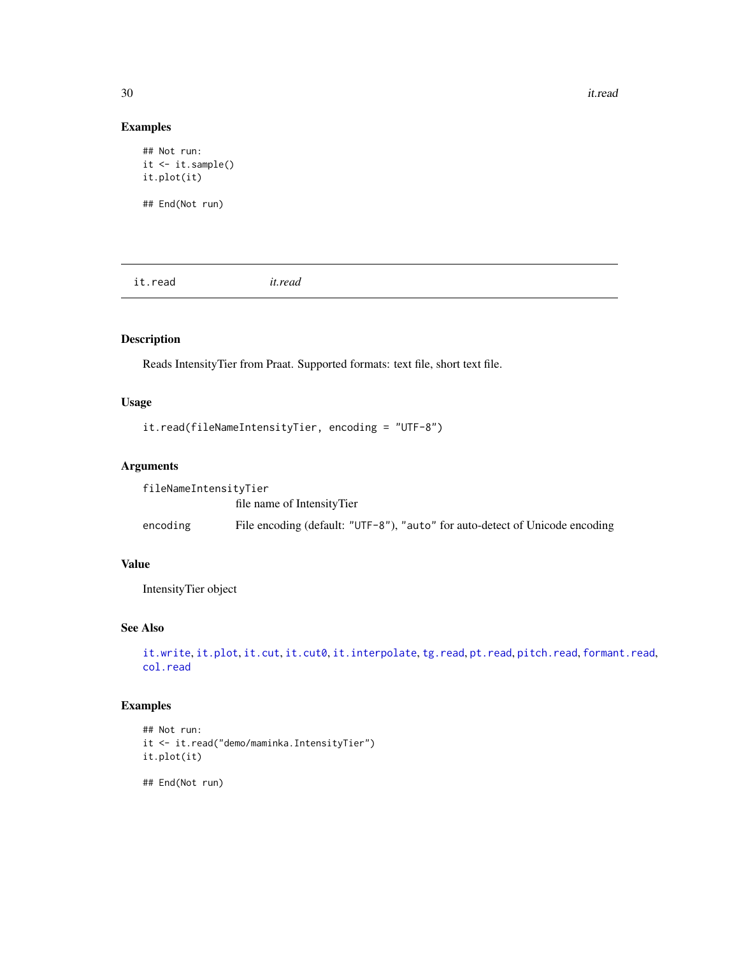30 it.read

# Examples

```
## Not run:
it <- it.sample()
it.plot(it)
## End(Not run)
```
<span id="page-29-1"></span>it.read *it.read*

# Description

Reads IntensityTier from Praat. Supported formats: text file, short text file.

# Usage

```
it.read(fileNameIntensityTier, encoding = "UTF-8")
```
#### Arguments

| fileNameIntensityTier |                                                                              |
|-----------------------|------------------------------------------------------------------------------|
|                       | file name of Intensity Tier                                                  |
| encoding              | File encoding (default: "UTF-8"), "auto" for auto-detect of Unicode encoding |

#### Value

IntensityTier object

# See Also

```
it.writeit.plotit.cutit.cut0it.interpolatetg.readpt.readpitch.readformant.read,
col.read
```
# Examples

```
## Not run:
it <- it.read("demo/maminka.IntensityTier")
it.plot(it)
```
## End(Not run)

<span id="page-29-0"></span>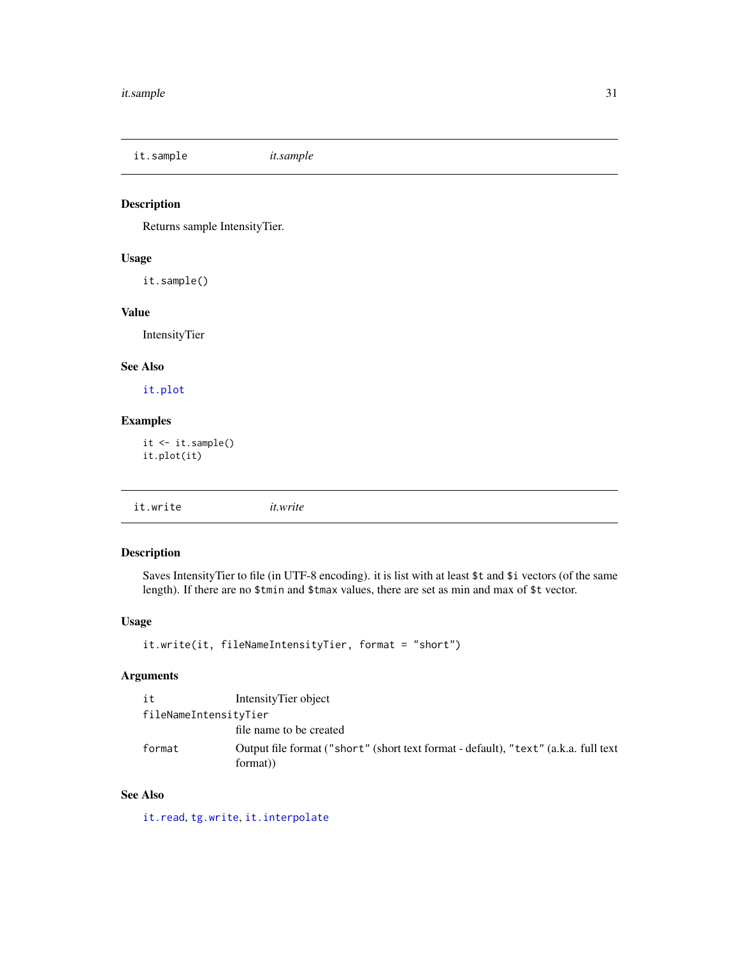<span id="page-30-1"></span><span id="page-30-0"></span>it.sample *it.sample*

# Description

Returns sample IntensityTier.

# Usage

it.sample()

# Value

IntensityTier

# See Also

[it.plot](#page-28-1)

#### Examples

it <- it.sample() it.plot(it)

<span id="page-30-2"></span>it.write *it.write*

# Description

Saves IntensityTier to file (in UTF-8 encoding). it is list with at least \$t and \$i vectors (of the same length). If there are no \$tmin and \$tmax values, there are set as min and max of \$t vector.

# Usage

```
it.write(it, fileNameIntensityTier, format = "short")
```
# Arguments

| it                    | IntensityTier object                                                                             |
|-----------------------|--------------------------------------------------------------------------------------------------|
| fileNameIntensityTier |                                                                                                  |
|                       | file name to be created                                                                          |
| format                | Output file format ("short" (short text format - default), "text" (a.k.a. full text")<br>format) |

# See Also

[it.read](#page-29-1), [tg.write](#page-99-1), [it.interpolate](#page-25-1)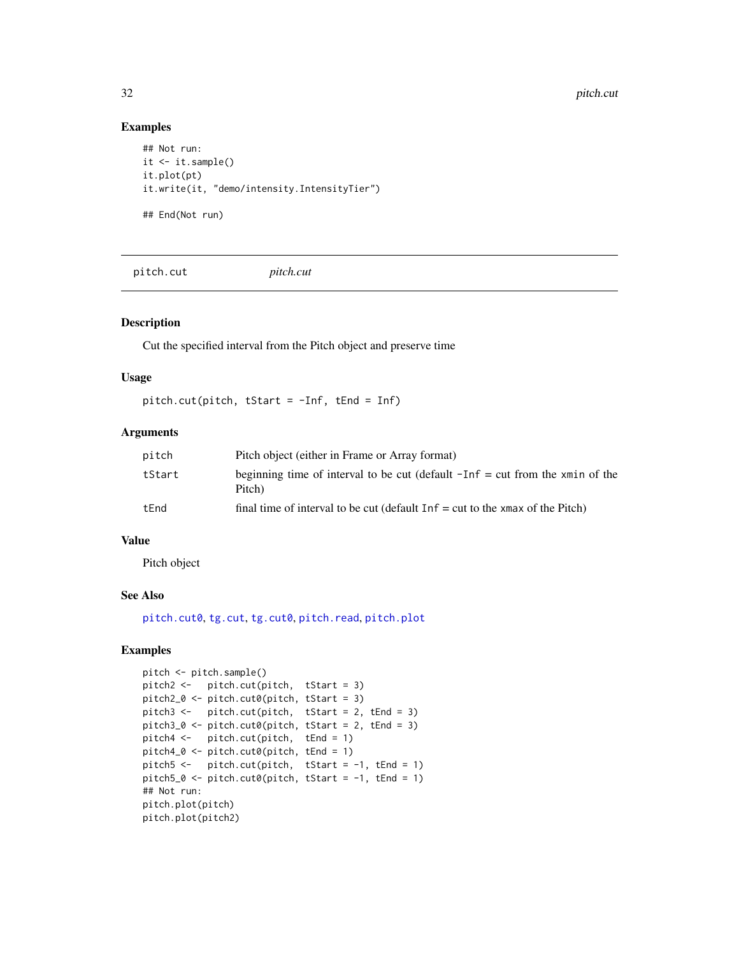#### Examples

```
## Not run:
it \leftarrow it.\nsample()it.plot(pt)
it.write(it, "demo/intensity.IntensityTier")
## End(Not run)
```
<span id="page-31-1"></span>pitch.cut *pitch.cut*

#### Description

Cut the specified interval from the Pitch object and preserve time

#### Usage

pitch.cut(pitch, tStart = -Inf, tEnd = Inf)

#### Arguments

| pitch  | Pitch object (either in Frame or Array format)                                            |
|--------|-------------------------------------------------------------------------------------------|
| tStart | beginning time of interval to be cut (default $-Inf = cut$ from the xmin of the<br>Pitch) |
| tFnd   | final time of interval to be cut (default $Inf = cut$ to the xmax of the Pitch)           |

#### Value

Pitch object

#### See Also

[pitch.cut0](#page-32-1), [tg.cut](#page-66-1), [tg.cut0](#page-67-1), [pitch.read](#page-36-1), [pitch.plot](#page-35-1)

```
pitch <- pitch.sample()
pitch2 <- pitch.cut(pitch, tStart = 3)
pitch2_0 <- pitch.cut0(pitch, tStart = 3)
pitch3 <- pitch.cut(pitch, tStart = 2, tEnd = 3)
pitch3_0 \leftarrow pitch.cut0(pitch, tStart = 2, tEnd = 3)pitch4 <- pitch.cut(pitch, tEnd = 1)
pitch4_0 <- pitch.cut0(pitch, tEnd = 1)
pitch5 <- pitch.cut(pitch, tStart = -1, tEnd = 1)
pitch5_0 \leftarrow pitch.cut0(pitch, tStart = -1, tEnd = 1)## Not run:
pitch.plot(pitch)
pitch.plot(pitch2)
```
<span id="page-31-0"></span>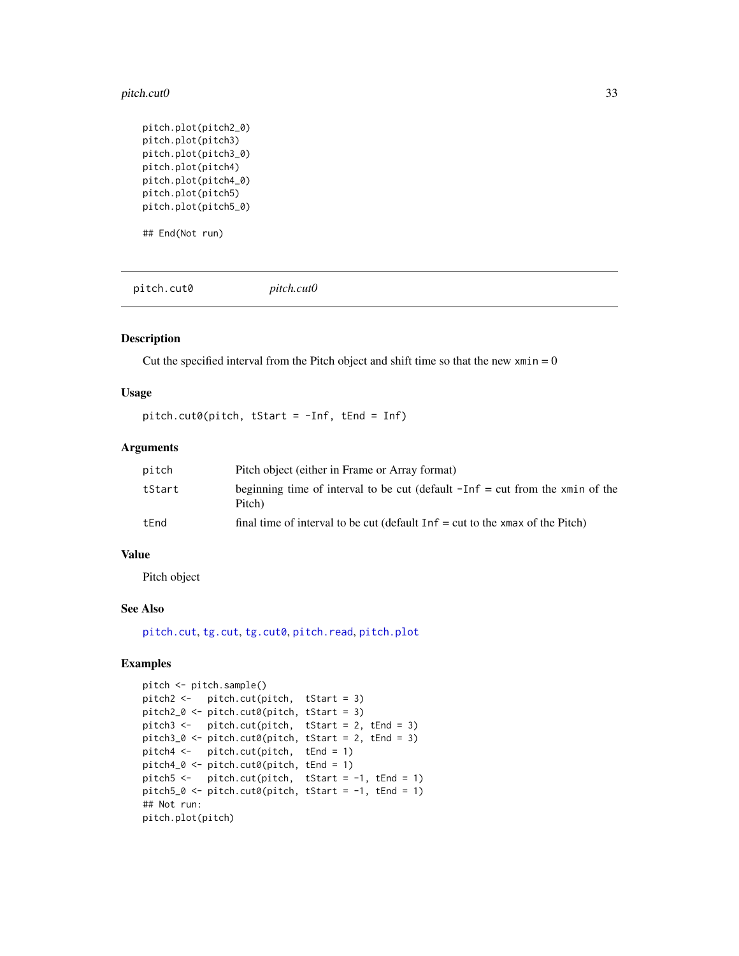#### <span id="page-32-0"></span>pitch.cut0 33

```
pitch.plot(pitch2_0)
pitch.plot(pitch3)
pitch.plot(pitch3_0)
pitch.plot(pitch4)
pitch.plot(pitch4_0)
pitch.plot(pitch5)
pitch.plot(pitch5_0)
```
## End(Not run)

<span id="page-32-1"></span>pitch.cut0 *pitch.cut0*

# **Description**

Cut the specified interval from the Pitch object and shift time so that the new  $xmin = 0$ 

# Usage

pitch.cut0(pitch, tStart = -Inf, tEnd = Inf)

#### Arguments

| pitch  | Pitch object (either in Frame or Array format)                                            |
|--------|-------------------------------------------------------------------------------------------|
| tStart | beginning time of interval to be cut (default $-Inf = cut$ from the xmin of the<br>Pitch) |
| tEnd   | final time of interval to be cut (default $Inf = cut$ to the xmax of the Pitch)           |

#### Value

Pitch object

#### See Also

[pitch.cut](#page-31-1), [tg.cut](#page-66-1), [tg.cut0](#page-67-1), [pitch.read](#page-36-1), [pitch.plot](#page-35-1)

```
pitch <- pitch.sample()
pitch2 <- pitch.cut(pitch, tStart = 3)
pitch2_0 <- pitch.cut0(pitch, tStart = 3)
pitch3 <- pitch.cut(pitch, tStart = 2, tEnd = 3)
pitch3_0 \leftarrow pitch.cut0(pitch, tStart = 2, tEnd = 3)pitch4 <- pitch.cut(pitch, tEnd = 1)
pitch4_0 <- pitch.cut0(pitch, tEnd = 1)
pitch5 <- pitch.cut(pitch, tStart = -1, tEnd = 1)
pitch5_0 \leftarrow pitch.cut0(pitch, tStart = -1, tEnd = 1)## Not run:
pitch.plot(pitch)
```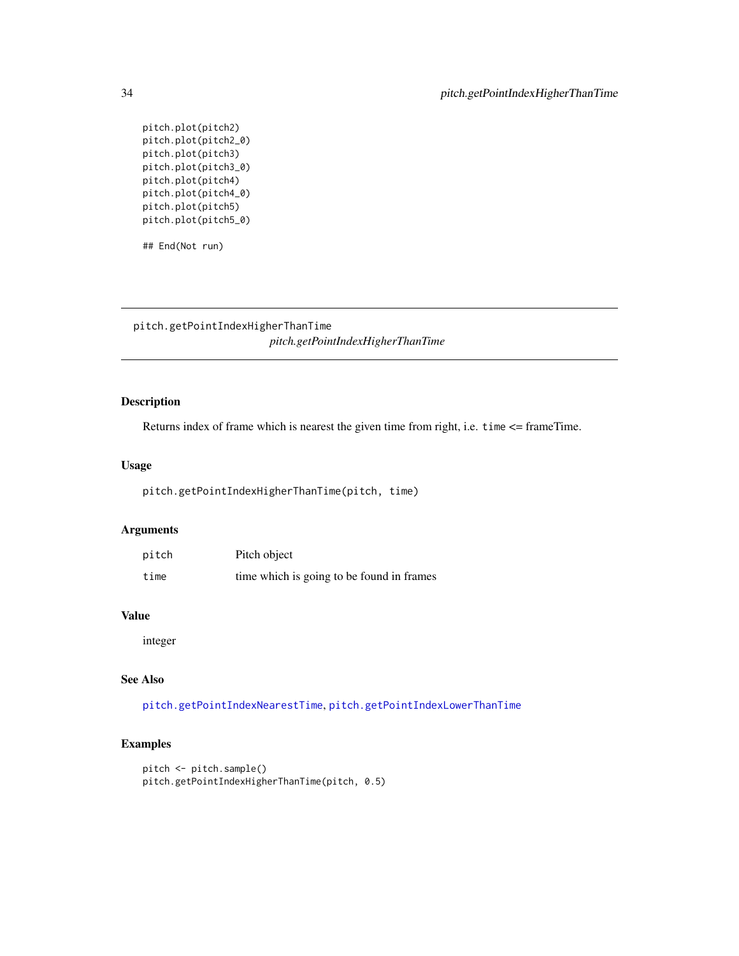pitch.plot(pitch2) pitch.plot(pitch2\_0) pitch.plot(pitch3) pitch.plot(pitch3\_0) pitch.plot(pitch4) pitch.plot(pitch4\_0) pitch.plot(pitch5) pitch.plot(pitch5\_0)

## End(Not run)

<span id="page-33-1"></span>pitch.getPointIndexHigherThanTime *pitch.getPointIndexHigherThanTime*

# Description

Returns index of frame which is nearest the given time from right, i.e. time <= frameTime.

#### Usage

pitch.getPointIndexHigherThanTime(pitch, time)

# Arguments

| pitch | Pitch object                              |
|-------|-------------------------------------------|
| time  | time which is going to be found in frames |

#### Value

integer

#### See Also

[pitch.getPointIndexNearestTime](#page-34-1), [pitch.getPointIndexLowerThanTime](#page-34-2)

```
pitch <- pitch.sample()
pitch.getPointIndexHigherThanTime(pitch, 0.5)
```
<span id="page-33-0"></span>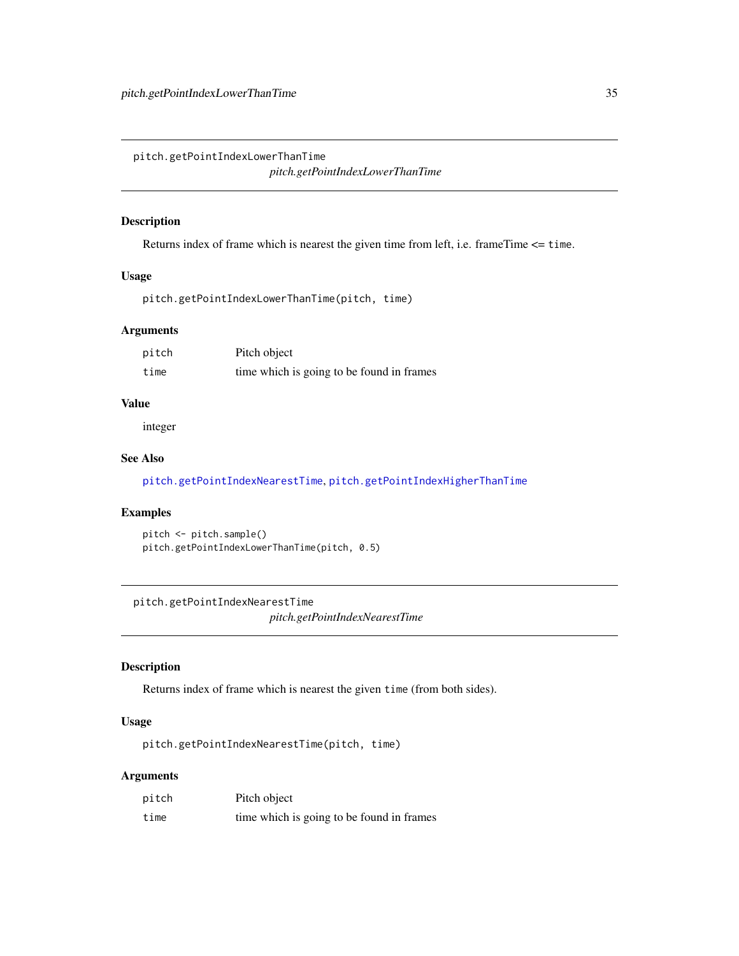<span id="page-34-2"></span><span id="page-34-0"></span>pitch.getPointIndexLowerThanTime *pitch.getPointIndexLowerThanTime*

#### Description

Returns index of frame which is nearest the given time from left, i.e. frameTime <= time.

#### Usage

pitch.getPointIndexLowerThanTime(pitch, time)

#### Arguments

| pitch | Pitch object                              |
|-------|-------------------------------------------|
| time  | time which is going to be found in frames |

# Value

integer

#### See Also

[pitch.getPointIndexNearestTime](#page-34-1), [pitch.getPointIndexHigherThanTime](#page-33-1)

# Examples

```
pitch <- pitch.sample()
pitch.getPointIndexLowerThanTime(pitch, 0.5)
```
<span id="page-34-1"></span>pitch.getPointIndexNearestTime *pitch.getPointIndexNearestTime*

# Description

Returns index of frame which is nearest the given time (from both sides).

# Usage

pitch.getPointIndexNearestTime(pitch, time)

| pitch | Pitch object                              |
|-------|-------------------------------------------|
| time  | time which is going to be found in frames |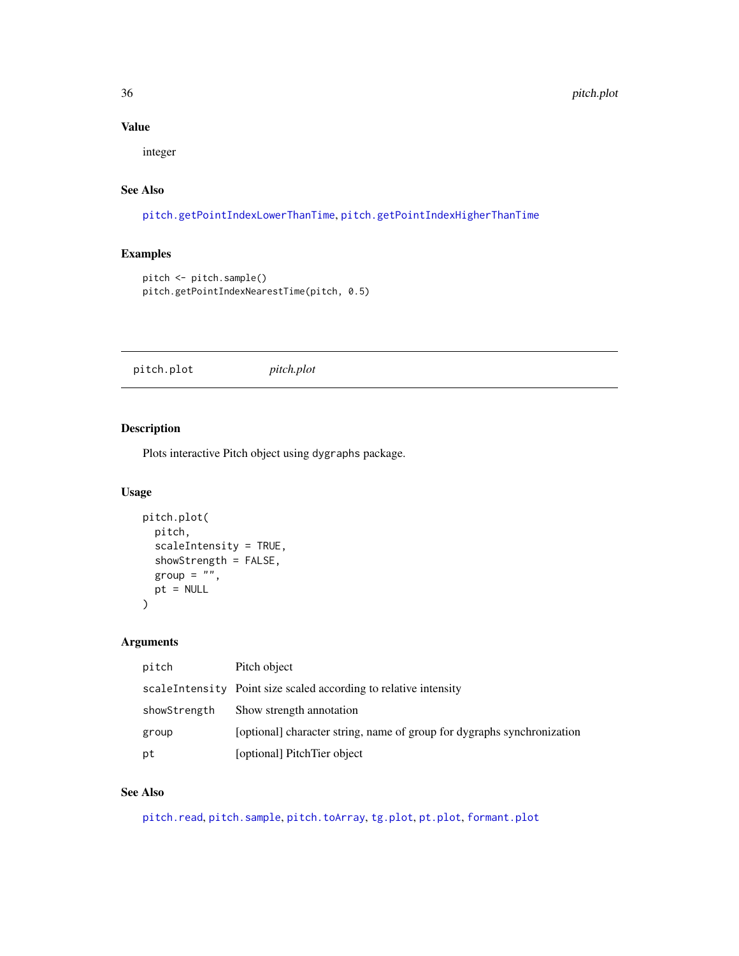# Value

integer

# See Also

[pitch.getPointIndexLowerThanTime](#page-34-2), [pitch.getPointIndexHigherThanTime](#page-33-1)

# Examples

```
pitch <- pitch.sample()
pitch.getPointIndexNearestTime(pitch, 0.5)
```
<span id="page-35-1"></span>pitch.plot *pitch.plot*

# Description

Plots interactive Pitch object using dygraphs package.

# Usage

```
pitch.plot(
  pitch,
  scaleIntensity = TRUE,
  showStrength = FALSE,
  group = "",pt = NULL\mathcal{L}
```
# Arguments

| pitch        | Pitch object                                                            |
|--------------|-------------------------------------------------------------------------|
|              | scaleIntensity Point size scaled according to relative intensity        |
| showStrength | Show strength annotation                                                |
| group        | [optional] character string, name of group for dygraphs synchronization |
| pt           | [optional] PitchTier object                                             |

# See Also

[pitch.read](#page-36-1), [pitch.sample](#page-37-1), [pitch.toArray](#page-38-1), [tg.plot](#page-89-1), [pt.plot](#page-48-2), [formant.plot](#page-13-1)

<span id="page-35-0"></span>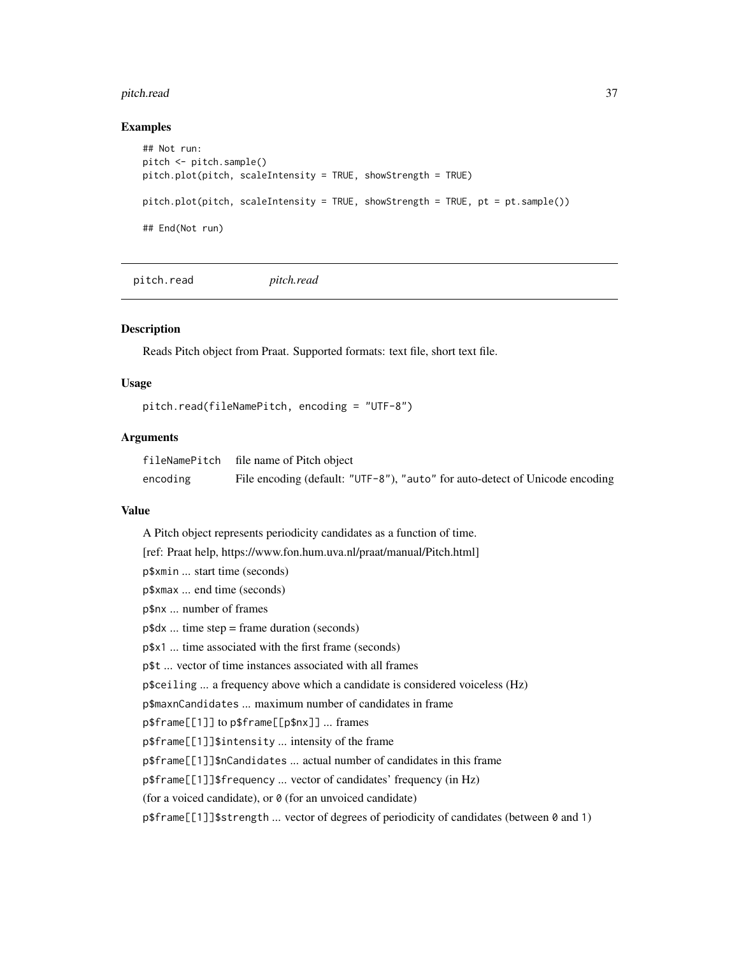#### pitch.read 37

#### Examples

```
## Not run:
pitch <- pitch.sample()
pitch.plot(pitch, scaleIntensity = TRUE, showStrength = TRUE)
pitch.plot(pitch, scaleIntensity = TRUE, showStrength = TRUE, pt = pt \text{ .sample()}## End(Not run)
```
<span id="page-36-0"></span>pitch.read *pitch.read*

#### Description

Reads Pitch object from Praat. Supported formats: text file, short text file.

#### Usage

```
pitch.read(fileNamePitch, encoding = "UTF-8")
```
# Arguments

|          | fileNamePitch file name of Pitch object                                      |
|----------|------------------------------------------------------------------------------|
| encoding | File encoding (default: "UTF-8"), "auto" for auto-detect of Unicode encoding |

#### Value

A Pitch object represents periodicity candidates as a function of time. [ref: Praat help, https://www.fon.hum.uva.nl/praat/manual/Pitch.html] p\$xmin ... start time (seconds) p\$xmax ... end time (seconds) p\$nx ... number of frames p\$dx ... time step = frame duration (seconds) p\$x1 ... time associated with the first frame (seconds) p\$t ... vector of time instances associated with all frames p\$ceiling ... a frequency above which a candidate is considered voiceless (Hz) p\$maxnCandidates ... maximum number of candidates in frame p\$frame[[1]] to p\$frame[[p\$nx]] ... frames p\$frame[[1]]\$intensity ... intensity of the frame p\$frame[[1]]\$nCandidates ... actual number of candidates in this frame p\$frame[[1]]\$frequency ... vector of candidates' frequency (in Hz) (for a voiced candidate), or  $\theta$  (for an unvoiced candidate) p\$frame[[1]]\$strength ... vector of degrees of periodicity of candidates (between 0 and 1)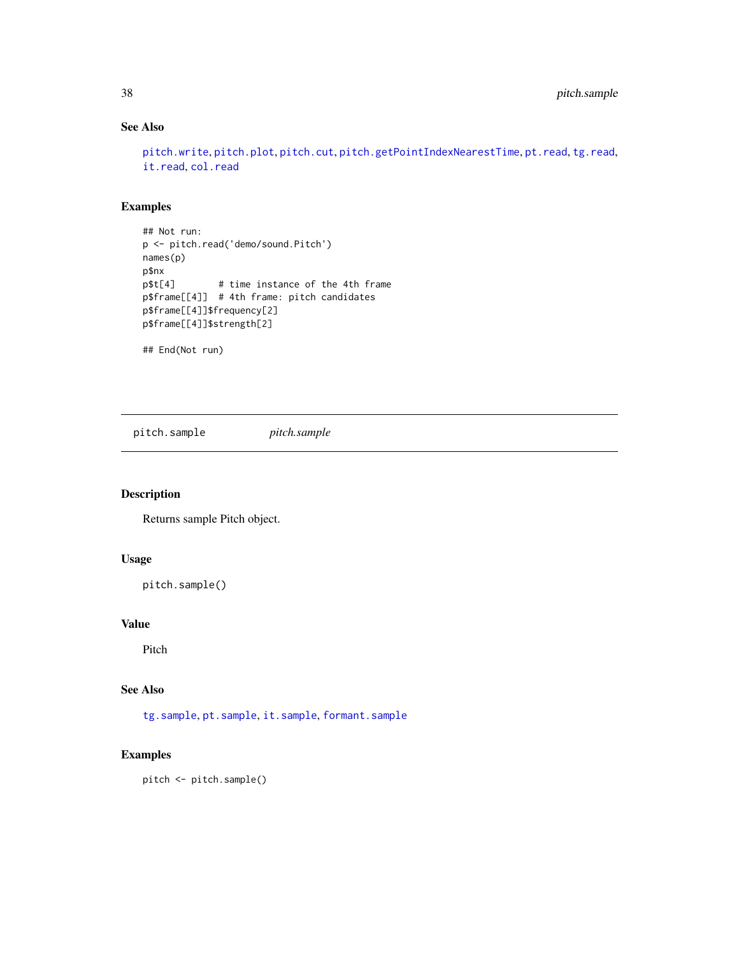# See Also

```
pitch.write, pitch.plot, pitch.cut, pitch.getPointIndexNearestTime, pt.read, tg.read,
it.read, col.read
```
# Examples

```
## Not run:
p <- pitch.read('demo/sound.Pitch')
names(p)
p$nx
p$t[4] # time instance of the 4th frame
p$frame[[4]] # 4th frame: pitch candidates
p$frame[[4]]$frequency[2]
p$frame[[4]]$strength[2]
```
## End(Not run)

pitch.sample *pitch.sample*

## Description

Returns sample Pitch object.

# Usage

pitch.sample()

## Value

Pitch

## See Also

[tg.sample](#page-97-0), [pt.sample](#page-49-0), [it.sample](#page-30-0), [formant.sample](#page-15-0)

```
pitch <- pitch.sample()
```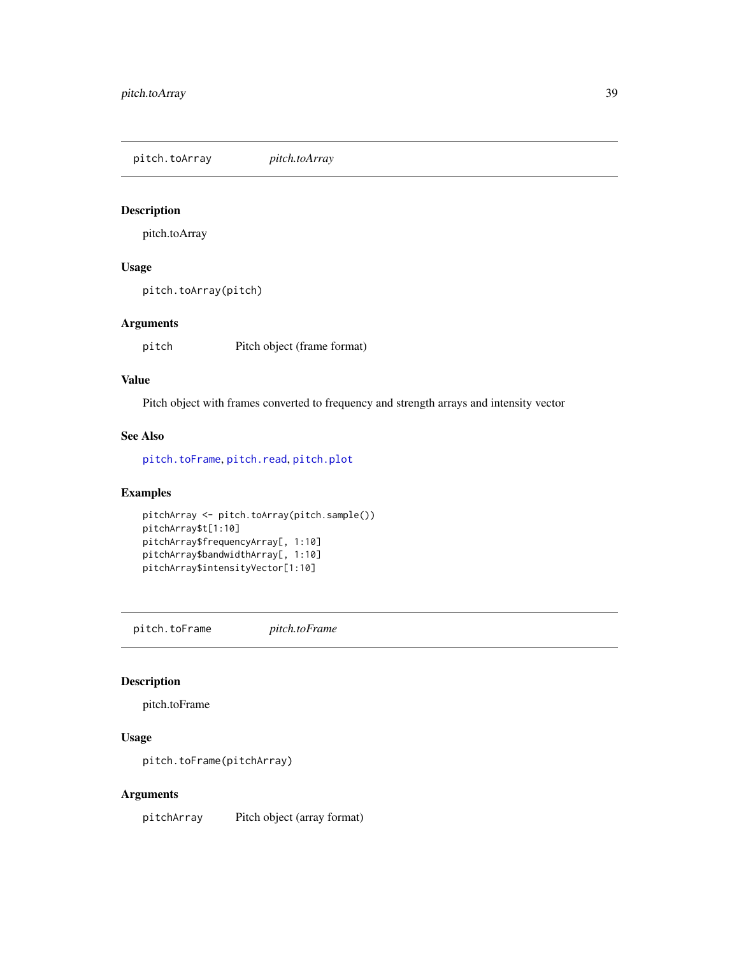<span id="page-38-1"></span>pitch.toArray *pitch.toArray*

#### Description

pitch.toArray

# Usage

pitch.toArray(pitch)

#### Arguments

pitch Pitch object (frame format)

#### Value

Pitch object with frames converted to frequency and strength arrays and intensity vector

#### See Also

[pitch.toFrame](#page-38-0), [pitch.read](#page-36-0), [pitch.plot](#page-35-0)

# Examples

```
pitchArray <- pitch.toArray(pitch.sample())
pitchArray$t[1:10]
pitchArray$frequencyArray[, 1:10]
pitchArray$bandwidthArray[, 1:10]
pitchArray$intensityVector[1:10]
```
<span id="page-38-0"></span>pitch.toFrame *pitch.toFrame*

#### Description

pitch.toFrame

# Usage

```
pitch.toFrame(pitchArray)
```
# Arguments

pitchArray Pitch object (array format)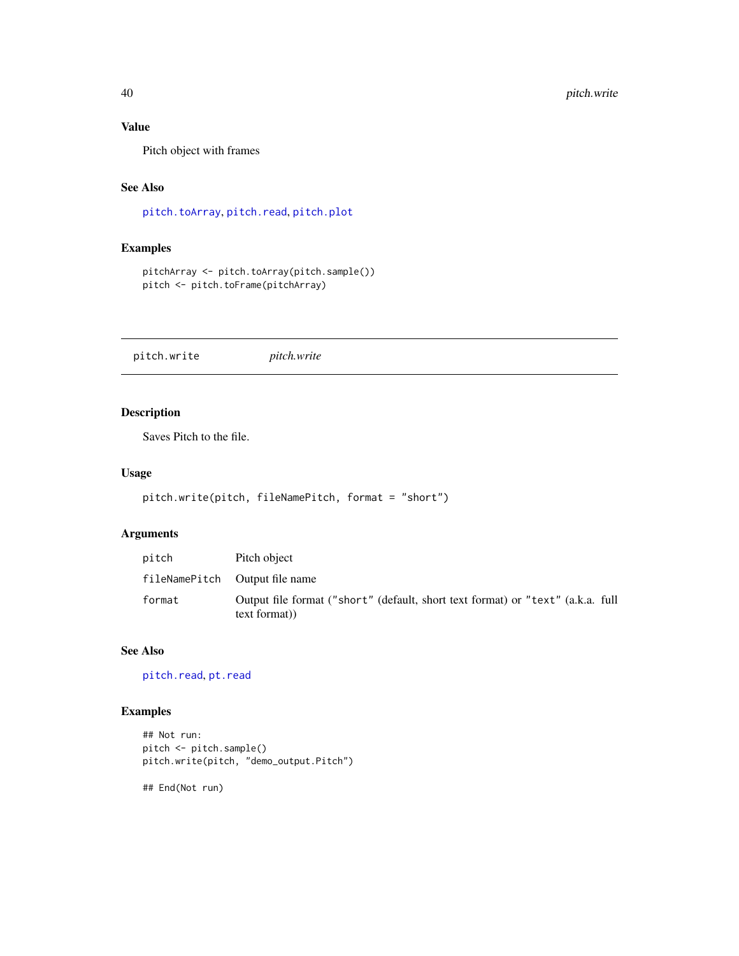# Value

Pitch object with frames

# See Also

[pitch.toArray](#page-38-1), [pitch.read](#page-36-0), [pitch.plot](#page-35-0)

# Examples

```
pitchArray <- pitch.toArray(pitch.sample())
pitch <- pitch.toFrame(pitchArray)
```
<span id="page-39-0"></span>pitch.write *pitch.write*

# Description

Saves Pitch to the file.

### Usage

```
pitch.write(pitch, fileNamePitch, format = "short")
```
# Arguments

| pitch  | Pitch object                                                                                    |
|--------|-------------------------------------------------------------------------------------------------|
|        | fileNamePitch Output file name                                                                  |
| format | Output file format ("short" (default, short text format) or "text" (a.k.a. full<br>text format) |

# See Also

[pitch.read](#page-36-0), [pt.read](#page-48-0)

# Examples

```
## Not run:
pitch <- pitch.sample()
pitch.write(pitch, "demo_output.Pitch")
```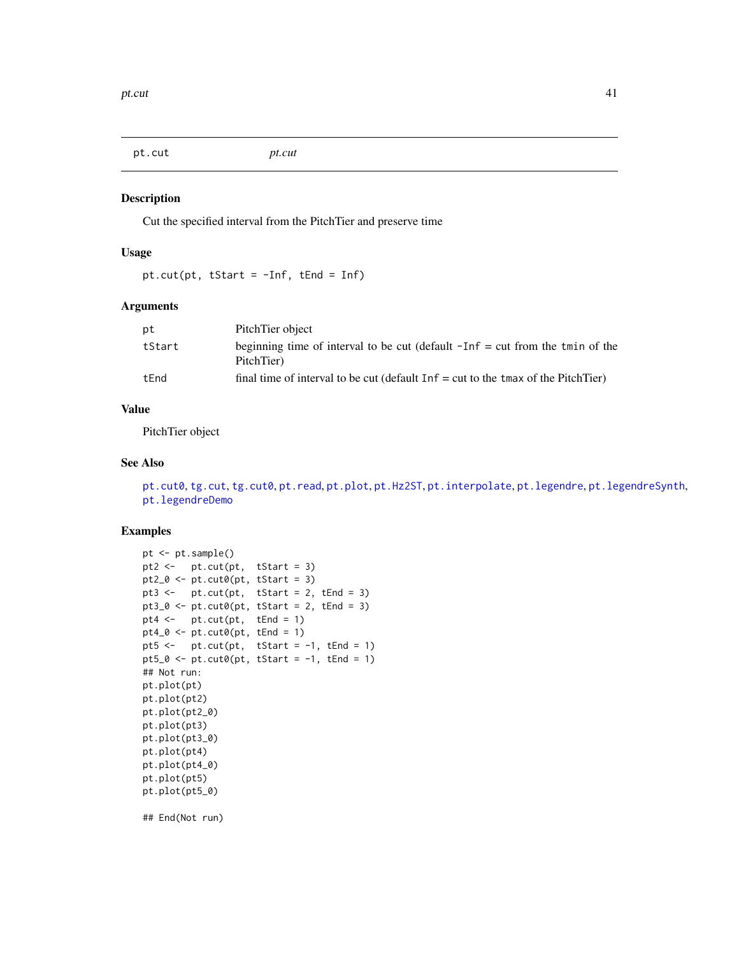<span id="page-40-0"></span>pt.cut *pt.cut*

#### Description

Cut the specified interval from the PitchTier and preserve time

# Usage

pt.cut(pt, tStart =  $-Inf$ , tEnd =  $Inf$ )

# Arguments

| рt     | PitchTier object                                                                              |
|--------|-----------------------------------------------------------------------------------------------|
| tStart | beginning time of interval to be cut (default $-Inf = cut$ from the tmin of the<br>PitchTier) |
| tEnd   | final time of interval to be cut (default $Inf = cut$ to the tmax of the PitchTier)           |

#### Value

PitchTier object

## See Also

[pt.cut0](#page-41-0), [tg.cut](#page-66-0), [tg.cut0](#page-67-0), [pt.read](#page-48-0), [pt.plot](#page-48-1), [pt.Hz2ST](#page-44-0), [pt.interpolate](#page-44-1), [pt.legendre](#page-45-0), [pt.legendreSynth](#page-47-0), [pt.legendreDemo](#page-46-0)

# Examples

```
pt <- pt.sample()
pt2 \leftarrow pt.cut(pt, tStart = 3)
pt2_0 \leftarrow pt.cut0(pt, tStart = 3)pt3 <- pt.cut(pt, tStart = 2, tEnd = 3)
pt3_0 \leftarrow pt.cut0(pt, tStart = 2, tEnd = 3)pt4 \leftarrow pt.cut(pt, tEnd = 1)pt4_0 \leftarrow pt.cut0(pt, tEnd = 1)pt5 <- pt.cut(pt, tStart = -1, tEnd = 1)
pt5_0 \leftarrow pt.cut0(pt, tStart = -1, tEnd = 1)## Not run:
pt.plot(pt)
pt.plot(pt2)
pt.plot(pt2_0)
pt.plot(pt3)
pt.plot(pt3_0)
pt.plot(pt4)
pt.plot(pt4_0)
pt.plot(pt5)
pt.plot(pt5_0)
```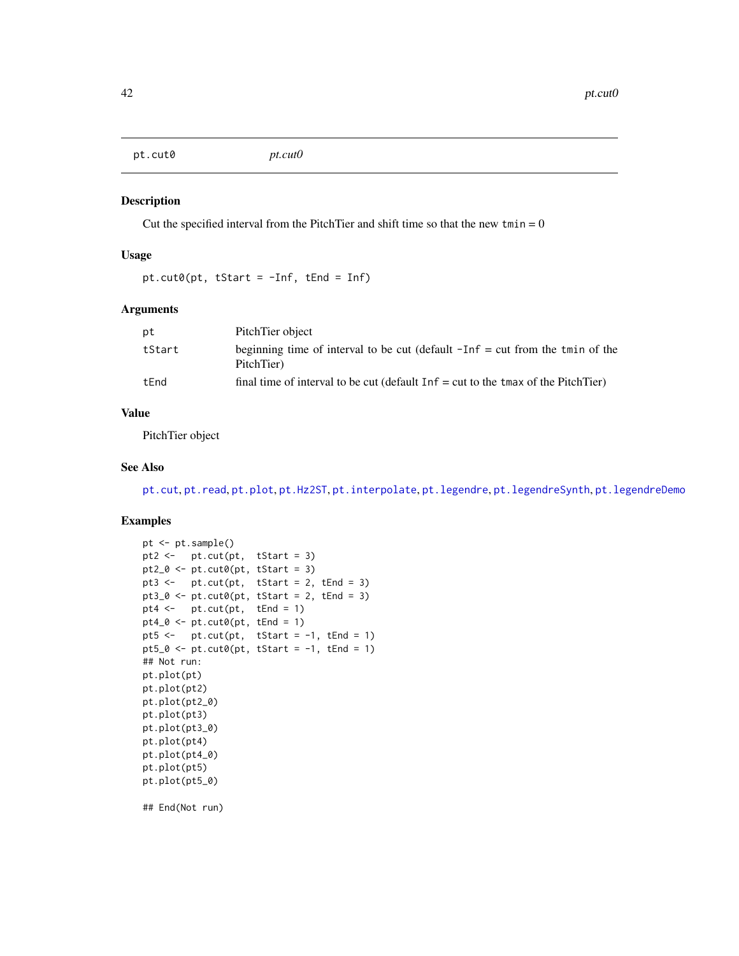<span id="page-41-0"></span>pt.cut0 *pt.cut0*

#### Description

Cut the specified interval from the PitchTier and shift time so that the new  $tmin = 0$ 

#### Usage

```
pt.cut0(pt, tStart = -Inf, tEnd = Inf)
```
#### Arguments

| рt     | PitchTier object                                                                              |
|--------|-----------------------------------------------------------------------------------------------|
| tStart | beginning time of interval to be cut (default $-Inf = cut$ from the tmin of the<br>PitchTier) |
| tEnd   | final time of interval to be cut (default $Inf = cut$ to the tmax of the PitchTier)           |

## Value

PitchTier object

# See Also

[pt.cut](#page-40-0), [pt.read](#page-48-0), [pt.plot](#page-48-1), [pt.Hz2ST](#page-44-0), [pt.interpolate](#page-44-1), [pt.legendre](#page-45-0), [pt.legendreSynth](#page-47-0), [pt.legendreDemo](#page-46-0)

## Examples

```
pt <- pt.sample()
pt2 <- pt.cut(pt, tStart = 3)
pt2_0 \leftarrow pt.cut0(pt, tStart = 3)pt3 <- pt.cut(pt, tStart = 2, tEnd = 3)pt3_0 \leftarrow pt.cut0(pt, tStart = 2, tEnd = 3)pt4 \leftarrow pt.cut(pt, tEnd = 1)
pt4_0 \leftarrow pt.cut0(pt, tEnd = 1)pt5 <- pt.cut(pt, tStart = -1, tEnd = 1)pt5_0 \leftarrow pt.cut0(pt, tStart = -1, tEnd = 1)## Not run:
pt.plot(pt)
pt.plot(pt2)
pt.plot(pt2_0)
pt.plot(pt3)
pt.plot(pt3_0)
pt.plot(pt4)
pt.plot(pt4_0)
pt.plot(pt5)
pt.plot(pt5_0)
```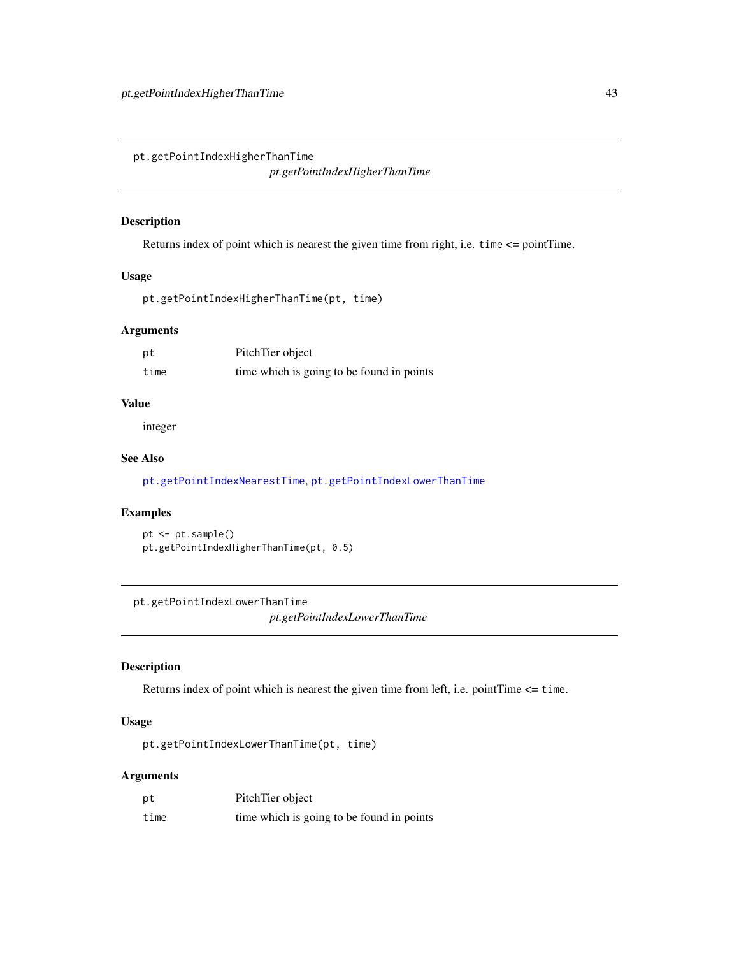<span id="page-42-1"></span>pt.getPointIndexHigherThanTime

*pt.getPointIndexHigherThanTime*

#### Description

Returns index of point which is nearest the given time from right, i.e. time <= pointTime.

#### Usage

pt.getPointIndexHigherThanTime(pt, time)

#### Arguments

| pt   | PitchTier object                          |
|------|-------------------------------------------|
| time | time which is going to be found in points |

## Value

integer

## See Also

[pt.getPointIndexNearestTime](#page-43-0), [pt.getPointIndexLowerThanTime](#page-42-0)

# Examples

pt <- pt.sample() pt.getPointIndexHigherThanTime(pt, 0.5)

<span id="page-42-0"></span>pt.getPointIndexLowerThanTime

*pt.getPointIndexLowerThanTime*

# Description

Returns index of point which is nearest the given time from left, i.e. pointTime <= time.

# Usage

pt.getPointIndexLowerThanTime(pt, time)

# Arguments

| pt   | PitchTier object                          |
|------|-------------------------------------------|
| time | time which is going to be found in points |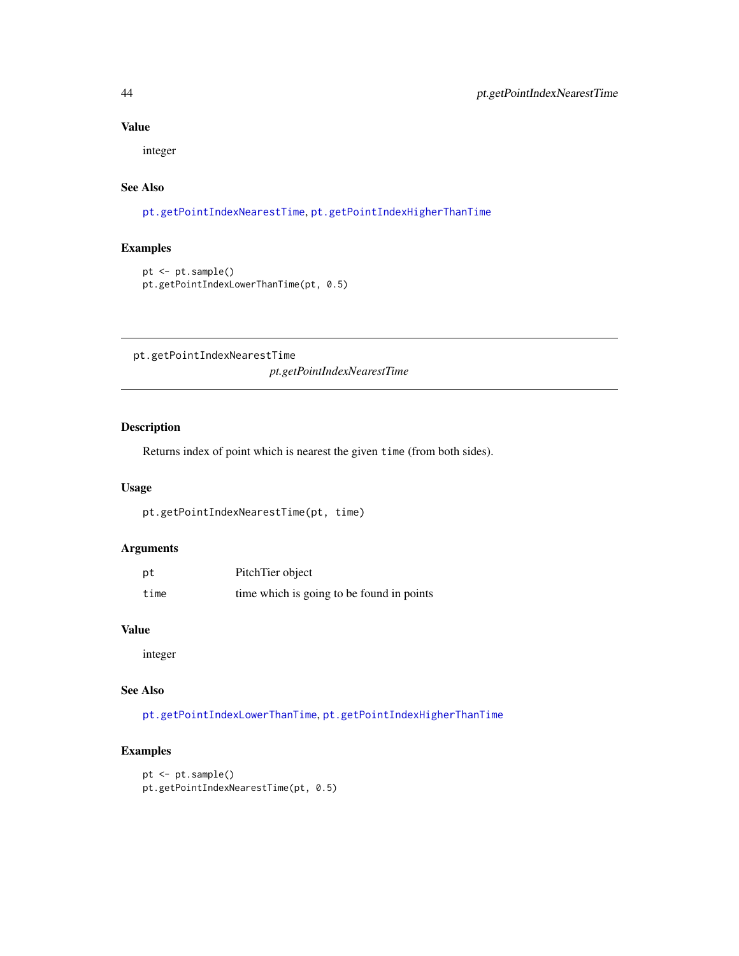# Value

integer

# See Also

[pt.getPointIndexNearestTime](#page-43-0), [pt.getPointIndexHigherThanTime](#page-42-1)

#### Examples

```
pt <- pt.sample()
pt.getPointIndexLowerThanTime(pt, 0.5)
```
<span id="page-43-0"></span>pt.getPointIndexNearestTime *pt.getPointIndexNearestTime*

# Description

Returns index of point which is nearest the given time (from both sides).

#### Usage

pt.getPointIndexNearestTime(pt, time)

# Arguments

| pt   | PitchTier object                          |
|------|-------------------------------------------|
| time | time which is going to be found in points |

#### Value

integer

# See Also

[pt.getPointIndexLowerThanTime](#page-42-0), [pt.getPointIndexHigherThanTime](#page-42-1)

```
pt <- pt.sample()
pt.getPointIndexNearestTime(pt, 0.5)
```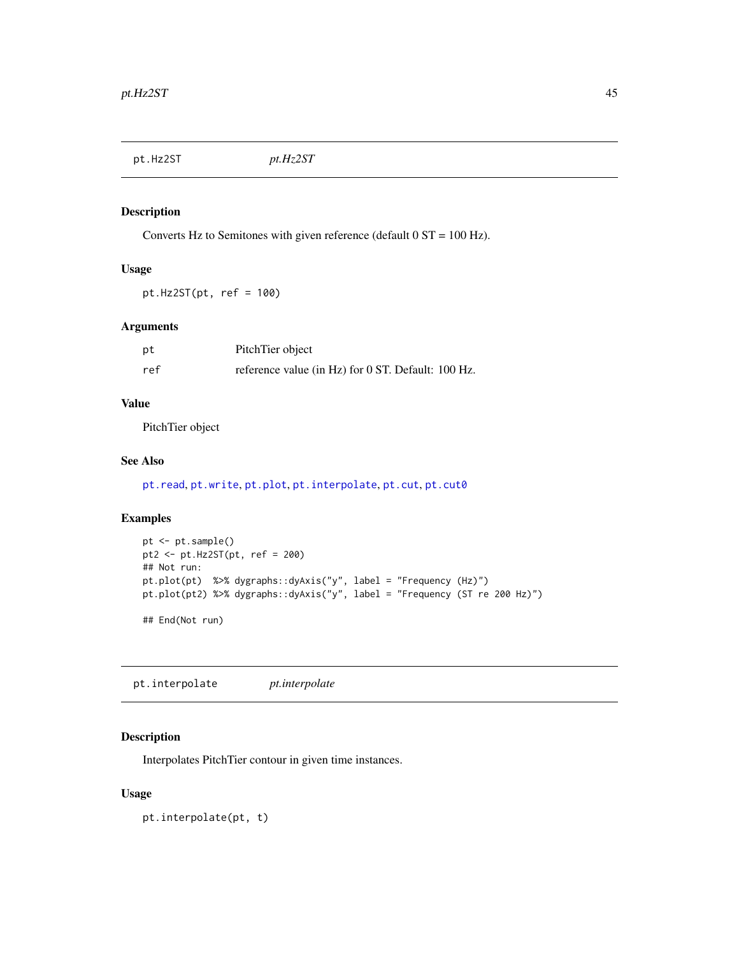<span id="page-44-0"></span>pt.Hz2ST *pt.Hz2ST*

# Description

Converts Hz to Semitones with given reference (default 0 ST = 100 Hz).

# Usage

 $pt.Hz2ST(pt, ref = 100)$ 

# Arguments

| pt  | PitchTier object                                   |
|-----|----------------------------------------------------|
| ref | reference value (in Hz) for 0 ST. Default: 100 Hz. |

# Value

PitchTier object

#### See Also

```
pt.read, pt.write, pt.plot, pt.interpolate, pt.cut, pt.cut0
```
# Examples

```
pt <- pt.sample()
pt2 <- pt.Hz2ST(pt, ref = 200)
## Not run:
pt.plot(pt) %>% dygraphs::dyAxis("y", label = "Frequency (Hz)")
pt.plot(pt2) %>% dygraphs::dyAxis("y", label = "Frequency (ST re 200 Hz)")
## End(Not run)
```
<span id="page-44-1"></span>pt.interpolate *pt.interpolate*

# Description

Interpolates PitchTier contour in given time instances.

#### Usage

pt.interpolate(pt, t)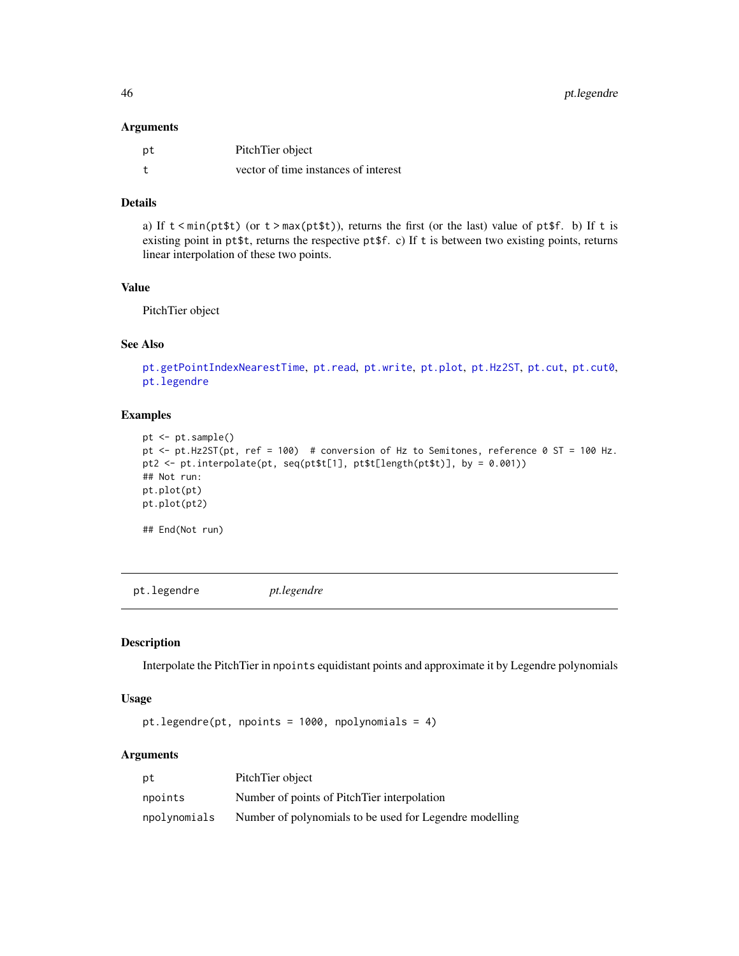#### Arguments

| pt | PitchTier object                     |
|----|--------------------------------------|
|    | vector of time instances of interest |

## Details

a) If  $t \le \min(\text{pt}\$ {st}) (or  $t > \max(\text{pt}\$ {st})), returns the first (or the last) value of  $\text{pt}\$ f. b) If  $t$  is existing point in pt\$t, returns the respective pt\$f. c) If t is between two existing points, returns linear interpolation of these two points.

#### Value

PitchTier object

# See Also

```
pt.getPointIndexNearestTime, pt.read, pt.write, pt.plot, pt.Hz2ST, pt.cut, pt.cut0,
pt.legendre
```
#### Examples

```
pt <- pt.sample()
pt <- pt.Hz2ST(pt, ref = 100) # conversion of Hz to Semitones, reference 0 ST = 100 Hz.
pt2 <- pt.interpolate(pt, seq(pt$t[1], pt$t[length(pt$t)], by = 0.001))
## Not run:
pt.plot(pt)
pt.plot(pt2)
## End(Not run)
```
<span id="page-45-0"></span>pt.legendre *pt.legendre*

#### Description

Interpolate the PitchTier in npoints equidistant points and approximate it by Legendre polynomials

# Usage

pt.legendre(pt, npoints = 1000, npolynomials = 4)

#### Arguments

| рt           | PitchTier object                                        |
|--------------|---------------------------------------------------------|
| npoints      | Number of points of PitchTier interpolation             |
| npolynomials | Number of polynomials to be used for Legendre modelling |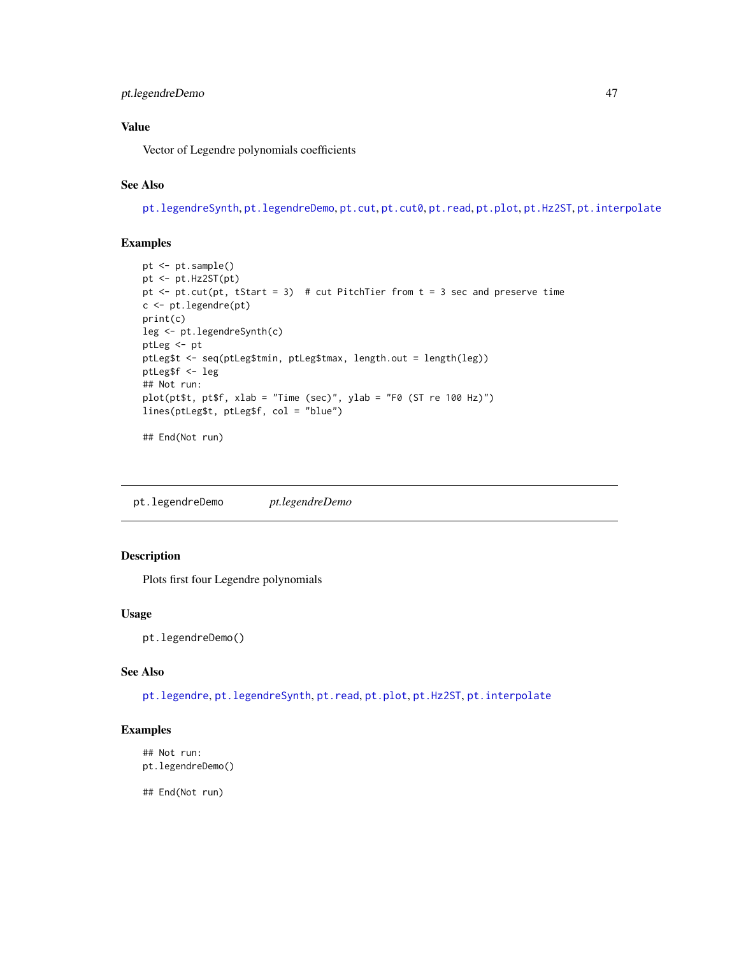# Value

Vector of Legendre polynomials coefficients

#### See Also

[pt.legendreSynth](#page-47-0), [pt.legendreDemo](#page-46-0), [pt.cut](#page-40-0), [pt.cut0](#page-41-0), [pt.read](#page-48-0), [pt.plot](#page-48-1), [pt.Hz2ST](#page-44-0), [pt.interpolate](#page-44-1)

# Examples

```
pt <- pt.sample()
pt <- pt.Hz2ST(pt)
pt \leq pt.cut(pt, tStart = 3) # cut PitchTier from t = 3 sec and preserve time
c <- pt.legendre(pt)
print(c)
leg <- pt.legendreSynth(c)
ptLeg <- pt
ptLeg$t <- seq(ptLeg$tmin, ptLeg$tmax, length.out = length(leg))
ptLeg$f <- leg
## Not run:
plot(pt$t, pt$f, xlab = "Time (sec)", ylab = "F0 (ST re 100 Hz)")
lines(ptLeg$t, ptLeg$f, col = "blue")
## End(Not run)
```
<span id="page-46-0"></span>pt.legendreDemo *pt.legendreDemo*

# Description

Plots first four Legendre polynomials

#### Usage

pt.legendreDemo()

## See Also

[pt.legendre](#page-45-0), [pt.legendreSynth](#page-47-0), [pt.read](#page-48-0), [pt.plot](#page-48-1), [pt.Hz2ST](#page-44-0), [pt.interpolate](#page-44-1)

#### Examples

```
## Not run:
pt.legendreDemo()
```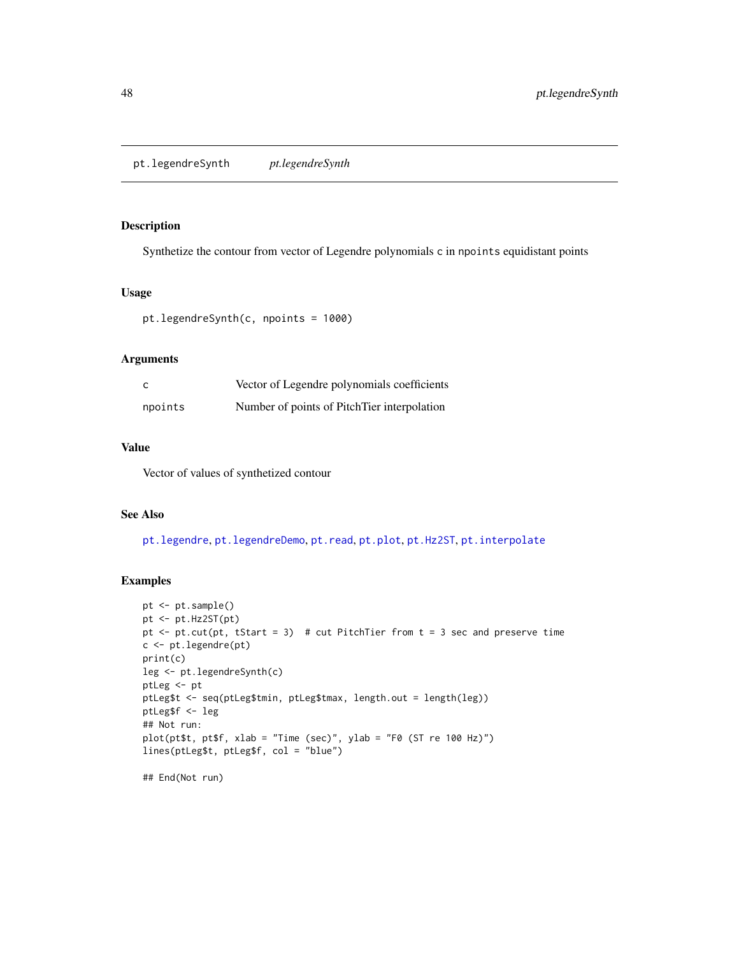#### <span id="page-47-0"></span>Description

Synthetize the contour from vector of Legendre polynomials c in npoints equidistant points

# Usage

```
pt.legendreSynth(c, npoints = 1000)
```
#### Arguments

|         | Vector of Legendre polynomials coefficients |
|---------|---------------------------------------------|
| npoints | Number of points of PitchTier interpolation |

#### Value

Vector of values of synthetized contour

#### See Also

[pt.legendre](#page-45-0), [pt.legendreDemo](#page-46-0), [pt.read](#page-48-0), [pt.plot](#page-48-1), [pt.Hz2ST](#page-44-0), [pt.interpolate](#page-44-1)

```
pt <- pt.sample()
pt <- pt.Hz2ST(pt)
pt \leq pt.cut(pt, tStart = 3) # cut PitchTier from t = 3 sec and preserve time
c <- pt.legendre(pt)
print(c)
leg <- pt.legendreSynth(c)
ptLeg <- pt
ptLeg$t <- seq(ptLeg$tmin, ptLeg$tmax, length.out = length(leg))
ptLeg$f <- leg
## Not run:
plot(pt$t, pt$f, xlab = "Time (sec)", ylab = "F0 (ST re 100 Hz)")
lines(ptLeg$t, ptLeg$f, col = "blue")
## End(Not run)
```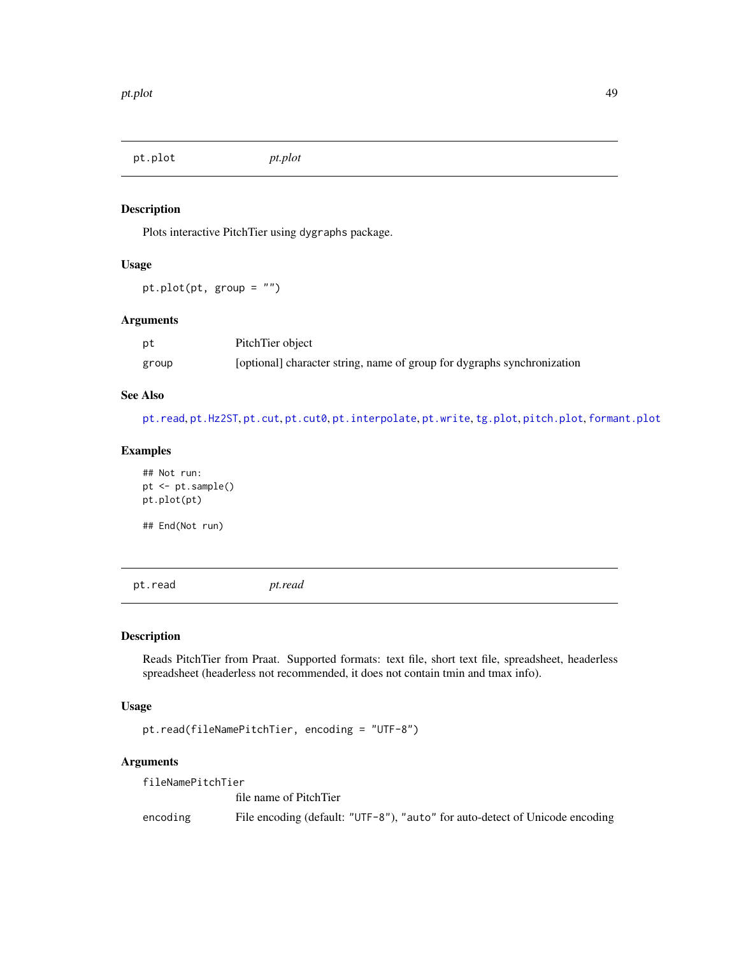<span id="page-48-1"></span>pt.plot *pt.plot*

# Description

Plots interactive PitchTier using dygraphs package.

# Usage

pt.plot(pt, group = "")

## Arguments

| pt    | PitchTier object                                                        |
|-------|-------------------------------------------------------------------------|
| group | [optional] character string, name of group for dygraphs synchronization |

#### See Also

[pt.read](#page-48-0), [pt.Hz2ST](#page-44-0), [pt.cut](#page-40-0), [pt.cut0](#page-41-0), [pt.interpolate](#page-44-1), [pt.write](#page-50-0), [tg.plot](#page-89-0), [pitch.plot](#page-35-0), [formant.plot](#page-13-0)

## Examples

## Not run: pt <- pt.sample() pt.plot(pt) ## End(Not run)

<span id="page-48-0"></span>

pt.read *pt.read*

# Description

Reads PitchTier from Praat. Supported formats: text file, short text file, spreadsheet, headerless spreadsheet (headerless not recommended, it does not contain tmin and tmax info).

#### Usage

pt.read(fileNamePitchTier, encoding = "UTF-8")

#### Arguments

fileNamePitchTier file name of PitchTier encoding File encoding (default: "UTF-8"), "auto" for auto-detect of Unicode encoding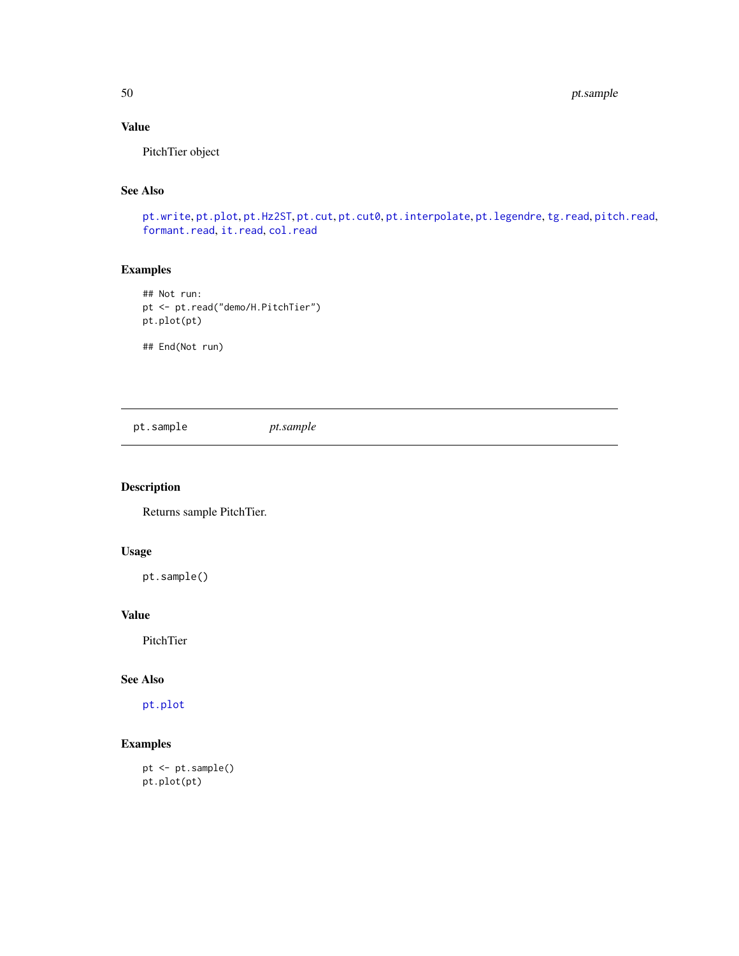50 pt.sample

# Value

PitchTier object

## See Also

[pt.write](#page-50-0), [pt.plot](#page-48-1), [pt.Hz2ST](#page-44-0), [pt.cut](#page-40-0), [pt.cut0](#page-41-0), [pt.interpolate](#page-44-1), [pt.legendre](#page-45-0), [tg.read](#page-91-0), [pitch.read](#page-36-0), [formant.read](#page-14-0), [it.read](#page-29-0), [col.read](#page-7-0)

# Examples

## Not run: pt <- pt.read("demo/H.PitchTier") pt.plot(pt)

## End(Not run)

<span id="page-49-0"></span>pt.sample *pt.sample*

# Description

Returns sample PitchTier.

# Usage

pt.sample()

## Value

PitchTier

#### See Also

[pt.plot](#page-48-1)

# Examples

pt <- pt.sample() pt.plot(pt)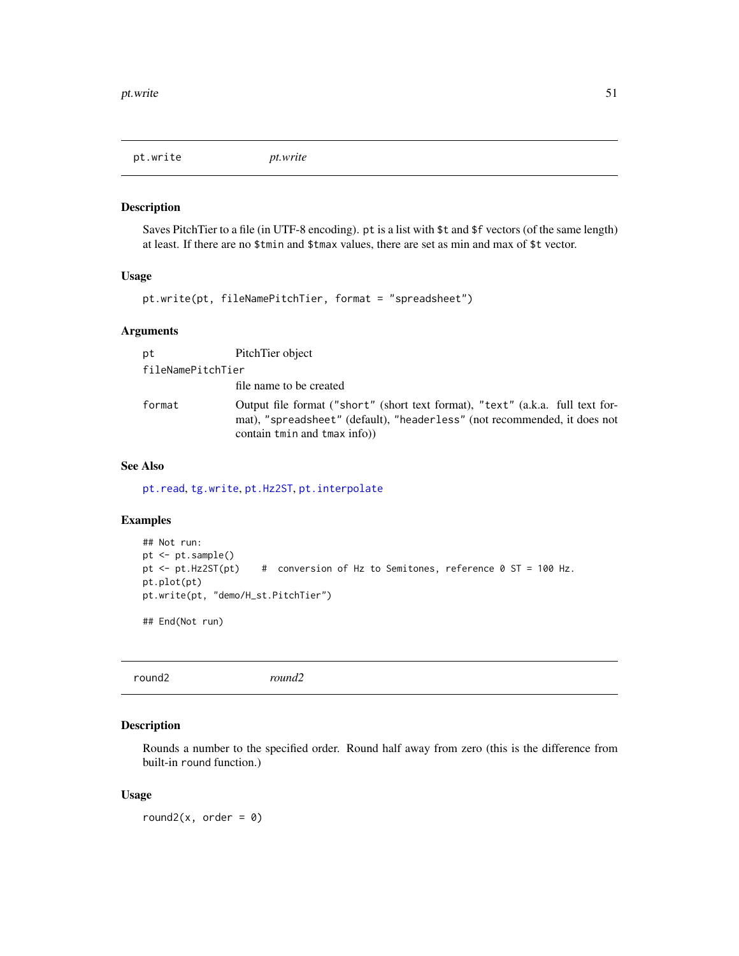<span id="page-50-0"></span>pt.write *pt.write*

## Description

Saves PitchTier to a file (in UTF-8 encoding). pt is a list with \$t and \$f vectors (of the same length) at least. If there are no \$tmin and \$tmax values, there are set as min and max of \$t vector.

#### Usage

pt.write(pt, fileNamePitchTier, format = "spreadsheet")

### Arguments

| pt                | PitchTier object                                                                                                                                                                           |
|-------------------|--------------------------------------------------------------------------------------------------------------------------------------------------------------------------------------------|
| fileNamePitchTier |                                                                                                                                                                                            |
|                   | file name to be created                                                                                                                                                                    |
| format            | Output file format ("short" (short text format), "text" (a.k.a. full text for-<br>mat), "spreadsheet" (default), "headerless" (not recommended, it does not<br>contain tmin and tmax info) |

# See Also

[pt.read](#page-48-0), [tg.write](#page-99-0), [pt.Hz2ST](#page-44-0), [pt.interpolate](#page-44-1)

#### Examples

```
## Not run:
pt <- pt.sample()
pt <- pt.Hz2ST(pt) # conversion of Hz to Semitones, reference 0 ST = 100 Hz.
pt.plot(pt)
pt.write(pt, "demo/H_st.PitchTier")
```
## End(Not run)

<span id="page-50-1"></span>

|  | round2 | round2 |  |  |  |
|--|--------|--------|--|--|--|
|--|--------|--------|--|--|--|

#### Description

Rounds a number to the specified order. Round half away from zero (this is the difference from built-in round function.)

#### Usage

round2( $x$ , order = 0)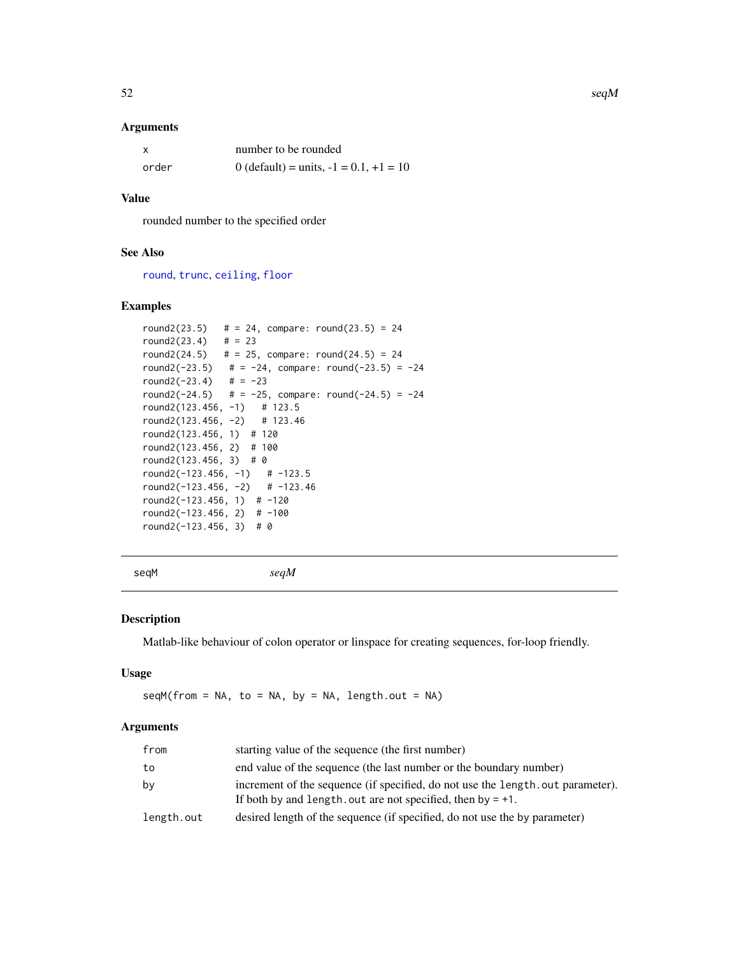#### Arguments

|       | number to be rounded                        |
|-------|---------------------------------------------|
| order | 0 (default) = units, $-1 = 0.1$ , $+1 = 10$ |

# Value

rounded number to the specified order

# See Also

[round](#page-0-0), [trunc](#page-0-0), [ceiling](#page-0-0), [floor](#page-0-0)

# Examples

```
round2(23.5) \# = 24, compare: round(23.5) = 24
round2(23.4) \# = 23round2(24.5) \# = 25, compare: round(24.5) = 24
round2(-23.5) # = -24, compare: round(-23.5) = -24
round2(-23.4) # = -23round2(-24.5) \# = -25, compare: round(-24.5) = -24
round2(123.456, -1) # 123.5
round2(123.456, -2) # 123.46
round2(123.456, 1) # 120
round2(123.456, 2) # 100
round2(123.456, 3) # 0
round2(-123.456, -1) # -123.5round2(-123.456, -2) # -123.46round2(-123.456, 1) # -120round2(-123.456, 2) # -100round2(-123.456, 3) # 0
```
seqM *seqM*

#### Description

Matlab-like behaviour of colon operator or linspace for creating sequences, for-loop friendly.

## Usage

 $seqM(from = NA, to = NA, by = NA, length.out = NA)$ 

#### Arguments

| from       | starting value of the sequence (the first number)                                                                                                 |
|------------|---------------------------------------------------------------------------------------------------------------------------------------------------|
| to         | end value of the sequence (the last number or the boundary number)                                                                                |
| by         | increment of the sequence (if specified, do not use the length, out parameter).<br>If both by and length, out are not specified, then by $= +1$ . |
| length.out | desired length of the sequence (if specified, do not use the by parameter)                                                                        |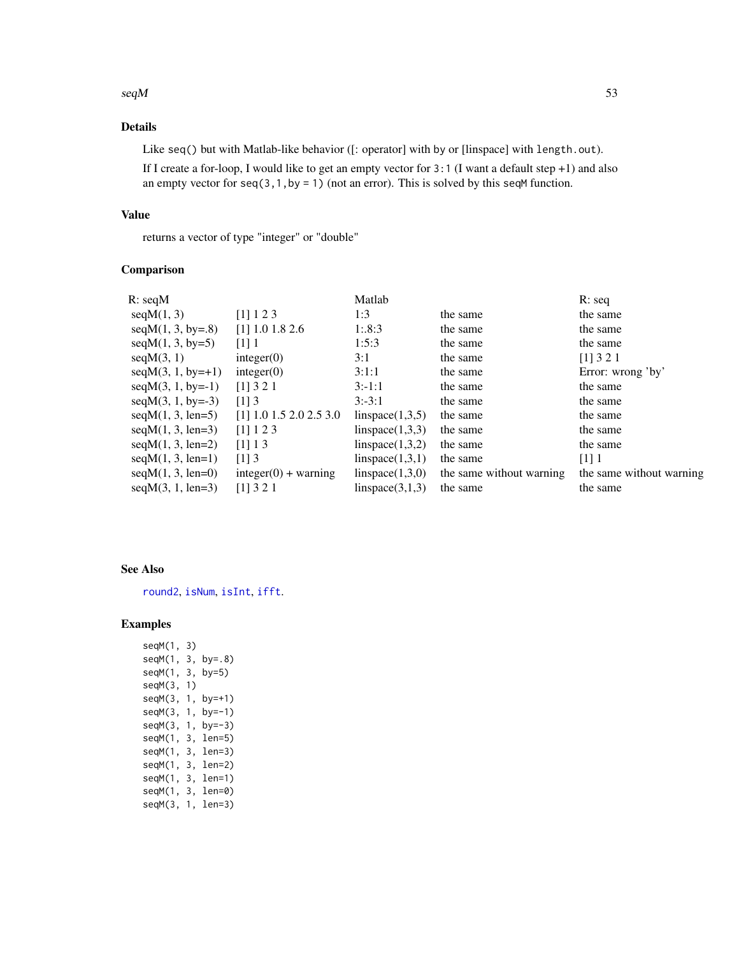#### $seqM$  53

# Details

Like seq() but with Matlab-like behavior ([: operator] with by or [linspace] with length.out).

If I create a for-loop, I would like to get an empty vector for 3:1 (I want a default step +1) and also an empty vector for  $seq(3,1,by = 1)$  (not an error). This is solved by this seqM function.

# Value

returns a vector of type "integer" or "double"

#### Comparison

| R:seqM              |                           | Matlab          |                          | $R:$ seq                 |
|---------------------|---------------------------|-----------------|--------------------------|--------------------------|
| seqM(1, 3)          | [1] 1 2 3                 | 1:3             | the same                 | the same                 |
| $seqM(1, 3, by=.8)$ | $[1]$ 1.0 1.8 2.6         | 1:8:3           | the same                 | the same                 |
| $seqM(1, 3, by=5)$  | $[1]$ 1                   | 1:5:3           | the same                 | the same                 |
| seqM(3, 1)          | integer(0)                | 3:1             | the same                 | [1] 3 2 1                |
| $seqM(3, 1, by=+1)$ | integer(0)                | 3:1:1           | the same                 | Error: wrong 'by'        |
| $seqM(3, 1, by=-1)$ | [1] 3 2 1                 | $3: -1:1$       | the same                 | the same                 |
| $seqM(3, 1, by=-3)$ | $[1]$ 3                   | $3:-3:1$        | the same                 | the same                 |
| $seqM(1, 3, len=5)$ | $[1]$ 1.0 1.5 2.0 2.5 3.0 | linspace(1,3,5) | the same                 | the same                 |
| $seqM(1, 3, len=3)$ | $[1]$ 1 2 3               | linspace(1,3,3) | the same                 | the same                 |
| $seqM(1, 3, len=2)$ | [1] 1 3                   | linspace(1,3,2) | the same                 | the same                 |
| $seqM(1, 3, len=1)$ | $[1]$ 3                   | linspace(1,3,1) | the same                 | $\lceil 1 \rceil$ 1      |
| $seqM(1, 3, len=0)$ | $integer(0) + warning$    | linspace(1,3,0) | the same without warning | the same without warning |
| $seqM(3, 1, len=3)$ | $[1]$ 3 2 1               | linspace(3,1,3) | the same                 | the same                 |
|                     |                           |                 |                          |                          |

#### See Also

[round2](#page-50-1), [isNum](#page-20-0), [isInt](#page-18-0), [ifft](#page-18-1).

## Examples

seqM(1, 3) seqM(1, 3, by=.8) seqM(1, 3, by=5) seqM(3, 1) seqM(3, 1, by=+1) seqM(3, 1, by=-1) seqM(3, 1, by=-3) seqM(1, 3, len=5) seqM(1, 3, len=3) seqM(1, 3, len=2) seqM(1, 3, len=1) seqM(1, 3, len=0) seqM(3, 1, len=3)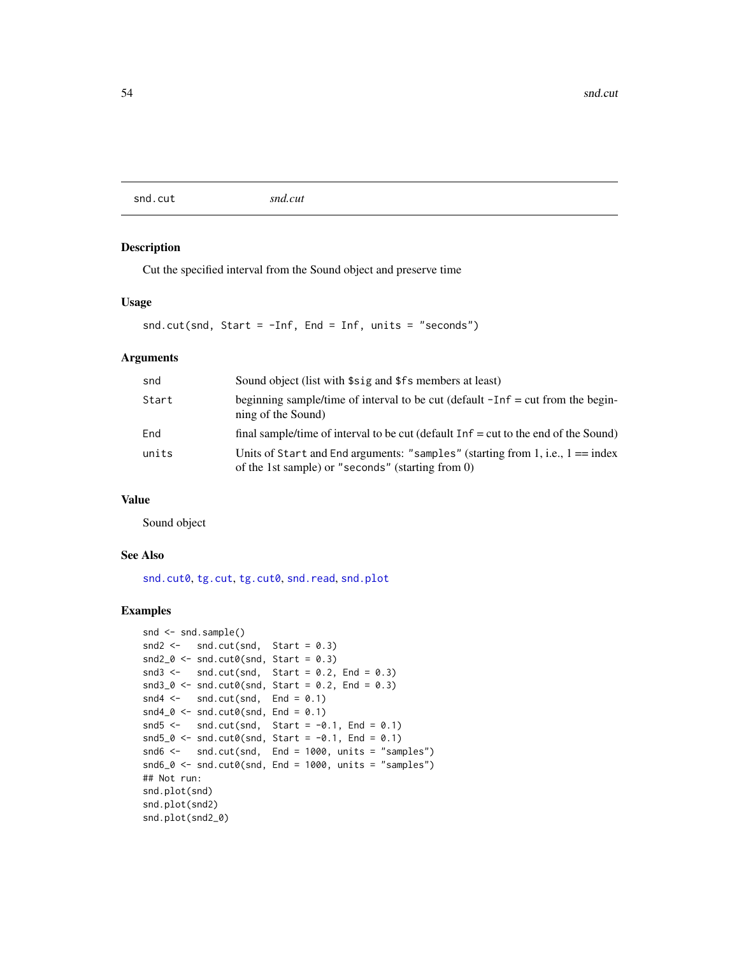<span id="page-53-0"></span>snd.cut *snd.cut*

#### Description

Cut the specified interval from the Sound object and preserve time

#### Usage

```
snd.cut(snd, Start = -Inf, End = Inf, units = "seconds")
```
# Arguments

| snd   | Sound object (list with \$sig and \$fs members at least)                                                                              |
|-------|---------------------------------------------------------------------------------------------------------------------------------------|
| Start | beginning sample/time of interval to be cut (default $-Inf = cut$ from the begin-<br>ning of the Sound)                               |
| End   | final sample/time of interval to be cut (default $Inf = cut$ to the end of the Sound)                                                 |
| units | Units of Start and End arguments: "samples" (starting from 1, i.e., $1 == index$<br>of the 1st sample) or "seconds" (starting from 0) |

#### Value

Sound object

#### See Also

[snd.cut0](#page-54-0), [tg.cut](#page-66-0), [tg.cut0](#page-67-0), [snd.read](#page-58-0), [snd.plot](#page-57-0)

```
snd <- snd.sample()
snd2 < - snd.cut(snd, Start = 0.3)
snd2_0 < - \text{snd.cut0}(\text{snd}, \text{Start} = 0.3)snd3 \le - snd.cut(snd, Start = 0.2, End = 0.3)
snd3_0 \leftarrow snd.cut0(snd, Start = 0.2, End = 0.3)
snd4 \leq -snd.cut(snd, End = 0.1)snd4_0 < - \text{snd.cut0}(\text{snd}, \text{End} = 0.1)snd5 \leftarrow snd.cut(snd, Start = -0.1, End = 0.1)
snd5_0 <- snd.cut0(snd, Start = -0.1, End = 0.1)
snd6 <- snd.cut(snd, End = 1000, units = "samples")
snd6_0 < -snd.cut0(snd, End = 1000, units = "samples")## Not run:
snd.plot(snd)
snd.plot(snd2)
snd.plot(snd2_0)
```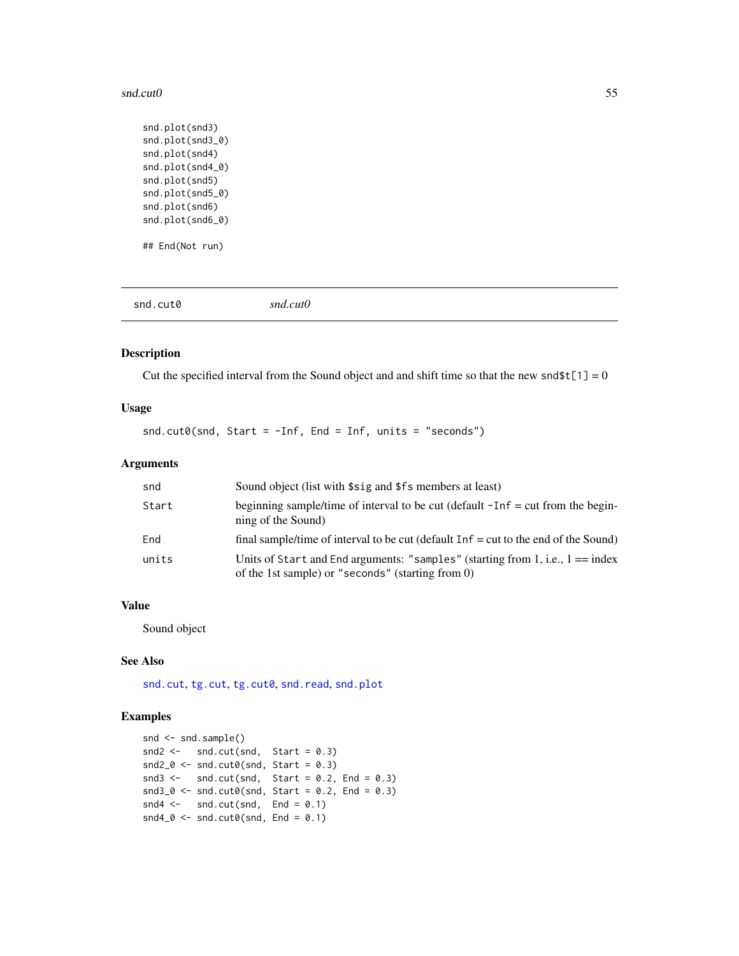#### snd.cut0 55

```
snd.plot(snd3)
snd.plot(snd3_0)
snd.plot(snd4)
snd.plot(snd4_0)
snd.plot(snd5)
snd.plot(snd5_0)
snd.plot(snd6)
snd.plot(snd6_0)
## End(Not run)
```
<span id="page-54-0"></span>snd.cut0 *snd.cut0*

# Description

Cut the specified interval from the Sound object and and shift time so that the new snd\$t[1] = 0

#### Usage

snd.cut0(snd, Start = -Inf, End = Inf, units = "seconds")

#### Arguments

| snd   | Sound object (list with \$sig and \$fs members at least)                                                                              |
|-------|---------------------------------------------------------------------------------------------------------------------------------------|
| Start | beginning sample/time of interval to be cut (default $-Inf = cut$ from the begin-<br>ning of the Sound)                               |
| End   | final sample/time of interval to be cut (default $Inf = cut$ to the end of the Sound)                                                 |
| units | Units of Start and End arguments: "samples" (starting from 1, i.e., $1 == index$<br>of the 1st sample) or "seconds" (starting from 0) |

#### Value

Sound object

#### See Also

[snd.cut](#page-53-0), [tg.cut](#page-66-0), [tg.cut0](#page-67-0), [snd.read](#page-58-0), [snd.plot](#page-57-0)

```
snd <- snd.sample()
snd2 < - snd.cut(snd, Start = 0.3)
snd2_0 < - \text{snd.cut0}(\text{snd}, \text{Start} = 0.3)snd3 <- snd.cut(snd, Start = 0.2, End = 0.3)
snd3_0 \leftarrow snd.cut0(snd, Start = 0.2, End = 0.3)
snd4 \leftarrow snd.cut(snd, End = 0.1)snd4_0 < -snd.cut0(snd, End = 0.1)
```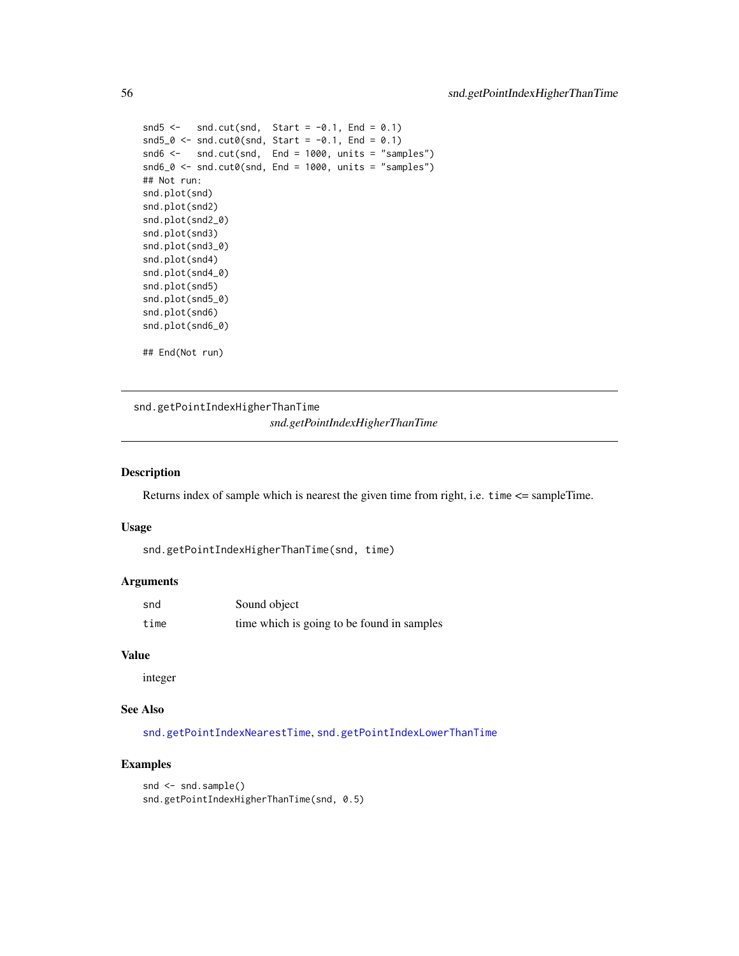```
snd5 \le snd.cut(snd, Start = -0.1, End = 0.1)
snd5_0 \leftarrow snd.cut0(snd, Start = -0.1, End = 0.1)
snd6 <- snd.cut(snd, End = 1000, units = "samples")
snd6_0 \leftarrow snd.cut0(snd, End = 1000, units = "samples")## Not run:
snd.plot(snd)
snd.plot(snd2)
snd.plot(snd2_0)
snd.plot(snd3)
snd.plot(snd3_0)
snd.plot(snd4)
snd.plot(snd4_0)
snd.plot(snd5)
snd.plot(snd5_0)
snd.plot(snd6)
snd.plot(snd6_0)
## End(Not run)
```
<span id="page-55-0"></span>snd.getPointIndexHigherThanTime *snd.getPointIndexHigherThanTime*

#### Description

Returns index of sample which is nearest the given time from right, i.e. time <= sampleTime.

#### Usage

```
snd.getPointIndexHigherThanTime(snd, time)
```
#### Arguments

| snd  | Sound object                               |
|------|--------------------------------------------|
| time | time which is going to be found in samples |

#### Value

integer

# See Also

[snd.getPointIndexNearestTime](#page-56-0), [snd.getPointIndexLowerThanTime](#page-56-1)

```
snd <- snd.sample()
snd.getPointIndexHigherThanTime(snd, 0.5)
```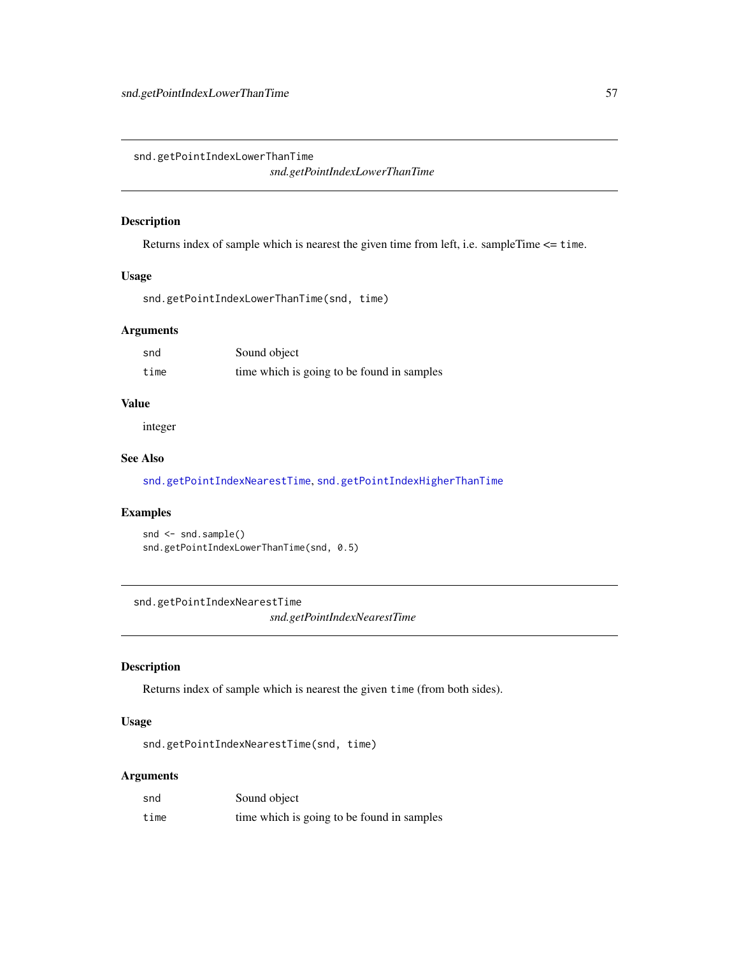<span id="page-56-1"></span>snd.getPointIndexLowerThanTime *snd.getPointIndexLowerThanTime*

#### Description

Returns index of sample which is nearest the given time from left, i.e. sampleTime <= time.

#### Usage

snd.getPointIndexLowerThanTime(snd, time)

#### Arguments

| snd  | Sound object                               |
|------|--------------------------------------------|
| time | time which is going to be found in samples |

# Value

integer

# See Also

[snd.getPointIndexNearestTime](#page-56-0), [snd.getPointIndexHigherThanTime](#page-55-0)

# Examples

```
snd <- snd.sample()
snd.getPointIndexLowerThanTime(snd, 0.5)
```
<span id="page-56-0"></span>snd.getPointIndexNearestTime *snd.getPointIndexNearestTime*

# Description

Returns index of sample which is nearest the given time (from both sides).

# Usage

snd.getPointIndexNearestTime(snd, time)

# Arguments

| snd  | Sound object                               |
|------|--------------------------------------------|
| time | time which is going to be found in samples |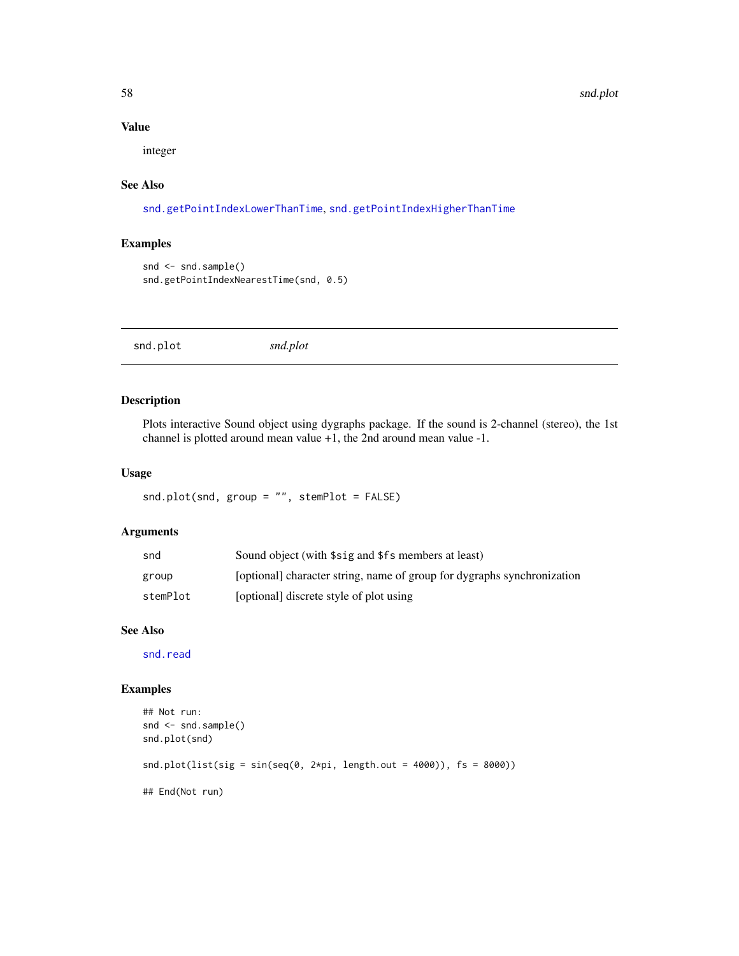58 snd.plot

## Value

integer

# See Also

[snd.getPointIndexLowerThanTime](#page-56-1), [snd.getPointIndexHigherThanTime](#page-55-0)

# Examples

```
snd <- snd.sample()
snd.getPointIndexNearestTime(snd, 0.5)
```
<span id="page-57-0"></span>snd.plot *snd.plot*

#### Description

Plots interactive Sound object using dygraphs package. If the sound is 2-channel (stereo), the 1st channel is plotted around mean value +1, the 2nd around mean value -1.

### Usage

snd.plot(snd, group = "", stemPlot = FALSE)

# Arguments

| snd      | Sound object (with \$sig and \$fs members at least)                     |
|----------|-------------------------------------------------------------------------|
| group    | [optional] character string, name of group for dygraphs synchronization |
| stemPlot | [optional] discrete style of plot using                                 |

## See Also

[snd.read](#page-58-0)

```
## Not run:
snd <- snd.sample()
snd.plot(snd)
snd.plot(list(sig = sin(seq(0, 2*pi, length.out = 4000)), fs = 8000))
## End(Not run)
```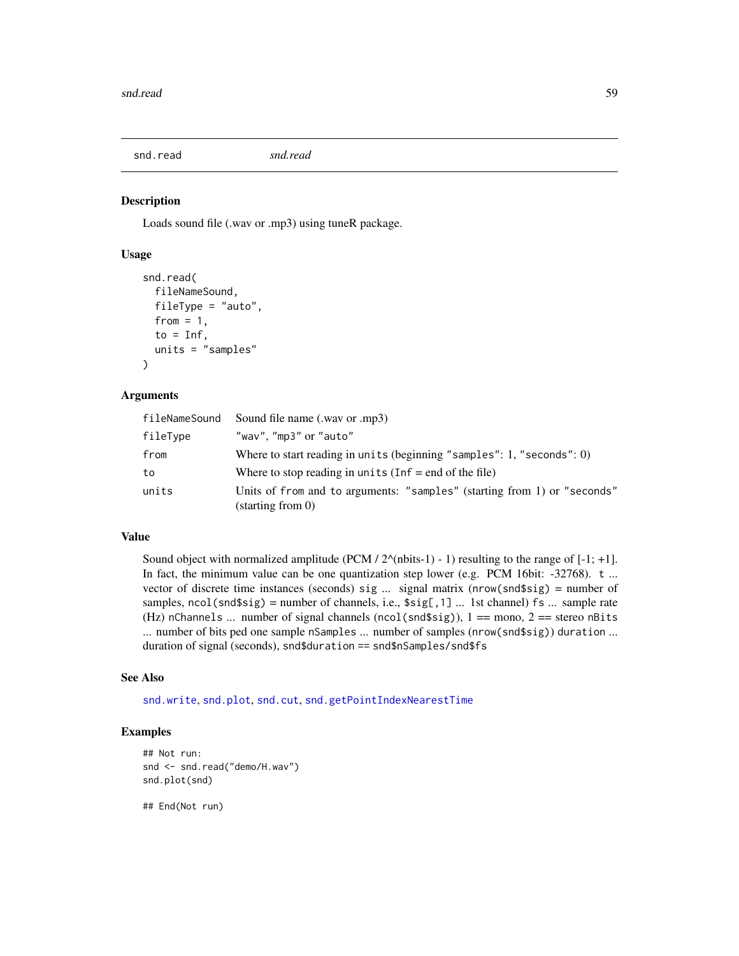<span id="page-58-0"></span>snd.read *snd.read*

#### Description

Loads sound file (.wav or .mp3) using tuneR package.

#### Usage

```
snd.read(
  fileNameSound,
  fileType = "auto",
  from = 1,
  to = Inf.
  units = "samples"
)
```
#### Arguments

| fileNameSound | Sound file name (.way or .mp3)                                                                         |
|---------------|--------------------------------------------------------------------------------------------------------|
| fileType      | "wav", "mp3" or "auto"                                                                                 |
| from          | Where to start reading in units (beginning "samples": 1, "seconds": $0$ )                              |
| to            | Where to stop reading in units $(\text{Inf} = \text{end of the file})$                                 |
| units         | Units of from and to arguments: "samples" (starting from 1) or "seconds"<br>$(\text{starting from 0})$ |

# Value

Sound object with normalized amplitude (PCM /  $2^{\wedge}$ (nbits-1) - 1) resulting to the range of [-1; +1]. In fact, the minimum value can be one quantization step lower (e.g. PCM 16bit: -32768). t ... vector of discrete time instances (seconds) sig ... signal matrix (nrow(snd\$sig) = number of samples,  $ncol(snd$sig) = number of channels, i.e., $sig[, 1] ...$  1st channel) fs ... sample rate (Hz) nChannels ... number of signal channels (ncol(snd\$sig)),  $1 ==$  mono,  $2 ==$  stereo nBits ... number of bits ped one sample nSamples ... number of samples (nrow(snd\$sig)) duration ... duration of signal (seconds), snd\$duration == snd\$nSamples/snd\$fs

#### See Also

[snd.write](#page-59-0), [snd.plot](#page-57-0), [snd.cut](#page-53-0), [snd.getPointIndexNearestTime](#page-56-0)

#### Examples

```
## Not run:
snd <- snd.read("demo/H.wav")
snd.plot(snd)
```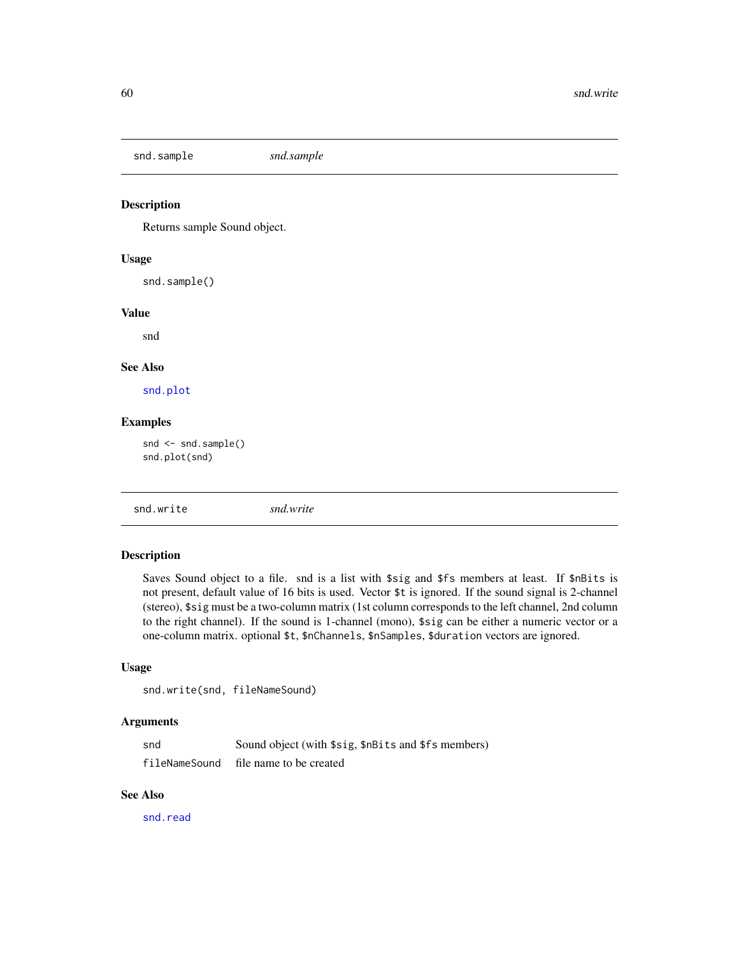snd.sample *snd.sample*

# Description

Returns sample Sound object.

# Usage

snd.sample()

## Value

snd

## See Also

[snd.plot](#page-57-0)

# Examples

snd <- snd.sample() snd.plot(snd)

<span id="page-59-0"></span>snd.write *snd.write*

## Description

Saves Sound object to a file. snd is a list with \$sig and \$fs members at least. If \$nBits is not present, default value of 16 bits is used. Vector \$t is ignored. If the sound signal is 2-channel (stereo), \$sig must be a two-column matrix (1st column corresponds to the left channel, 2nd column to the right channel). If the sound is 1-channel (mono), \$sig can be either a numeric vector or a one-column matrix. optional \$t, \$nChannels, \$nSamples, \$duration vectors are ignored.

#### Usage

```
snd.write(snd, fileNameSound)
```
#### Arguments

| snd           | Sound object (with \$sig, \$nBits and \$fs members) |
|---------------|-----------------------------------------------------|
| fileNameSound | file name to be created                             |

## See Also

[snd.read](#page-58-0)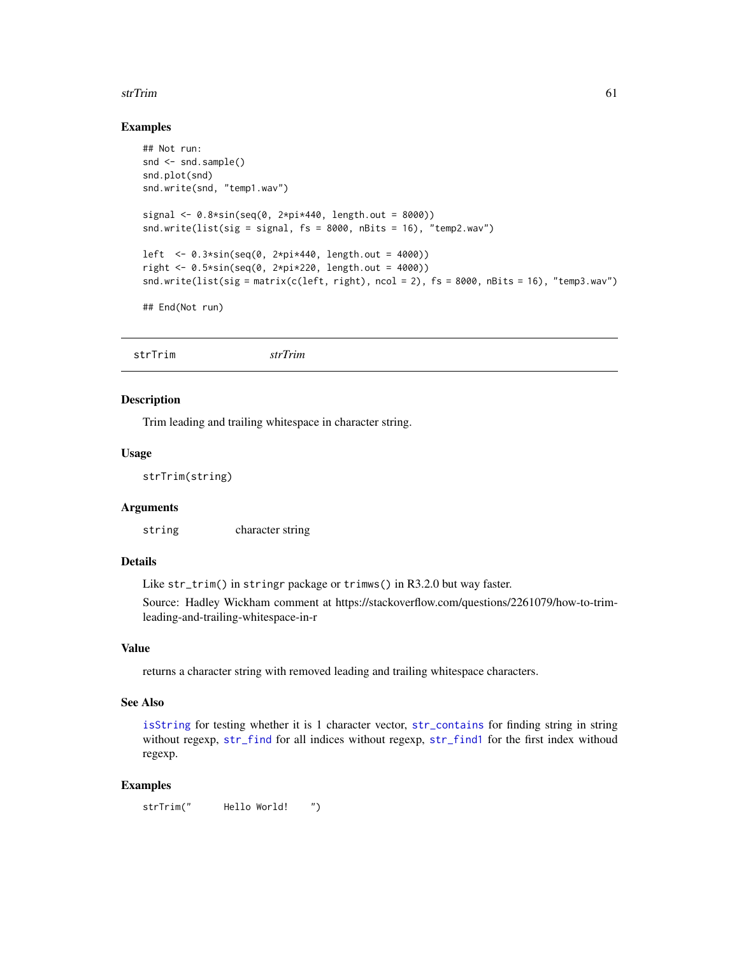#### strTrim 61

#### Examples

```
## Not run:
snd \leq -snd.sumple()snd.plot(snd)
snd.write(snd, "temp1.wav")
signal <- 0.8*sin(seq(0, 2*pi*440, length.out = 8000))snd.write(list(sig = signal, fs = 8000, nBits = 16), "temp2.wav")
left <- 0.3*sin(seq(0, 2*pi*440, length.out = 4000))
right < -0.5 * sin(seq(0, 2*pi*220, length.out = 4000))snd.write(list(sig = matrix(c(left, right), ncol = 2), fs = 8000, nBits = 16), "temp3.wav")
## End(Not run)
```
#### Description

Trim leading and trailing whitespace in character string.

#### Usage

strTrim(string)

#### Arguments

string character string

# Details

Like str\_trim() in stringr package or trimws() in R3.2.0 but way faster.

Source: Hadley Wickham comment at https://stackoverflow.com/questions/2261079/how-to-trimleading-and-trailing-whitespace-in-r

#### Value

returns a character string with removed leading and trailing whitespace characters.

#### See Also

[isString](#page-21-0) for testing whether it is 1 character vector, [str\\_contains](#page-61-0) for finding string in string without regexp, [str\\_find](#page-61-1) for all indices without regexp, [str\\_find1](#page-62-0) for the first index withoud regexp.

#### Examples

strTrim(" Hello World! ")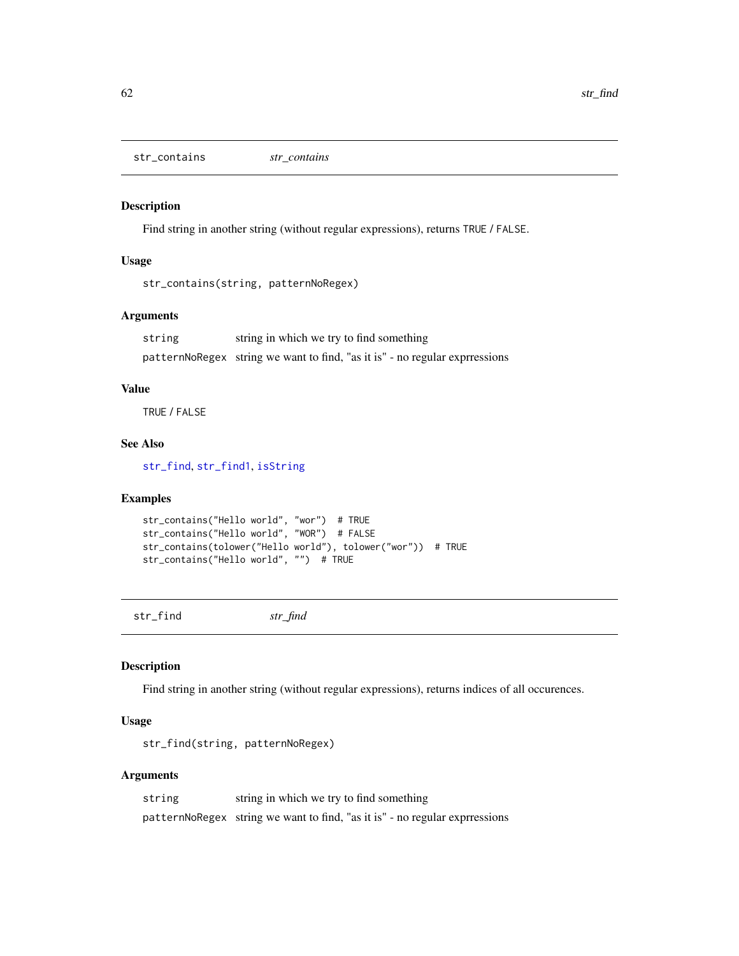<span id="page-61-0"></span>str\_contains *str\_contains*

# Description

Find string in another string (without regular expressions), returns TRUE / FALSE.

#### Usage

```
str_contains(string, patternNoRegex)
```
#### Arguments

string string in which we try to find something patternNoRegex string we want to find, "as it is" - no regular exprressions

#### Value

TRUE / FALSE

# See Also

[str\\_find](#page-61-1), [str\\_find1](#page-62-0), [isString](#page-21-0)

# Examples

```
str_contains("Hello world", "wor") # TRUE
str_contains("Hello world", "WOR") # FALSE
str_contains(tolower("Hello world"), tolower("wor")) # TRUE
str_contains("Hello world", "") # TRUE
```
<span id="page-61-1"></span>str\_find *str\_find*

#### Description

Find string in another string (without regular expressions), returns indices of all occurences.

# Usage

str\_find(string, patternNoRegex)

## Arguments

| string | string in which we try to find something                                    |
|--------|-----------------------------------------------------------------------------|
|        | patternNoRegex string we want to find, "as it is" - no regular exprressions |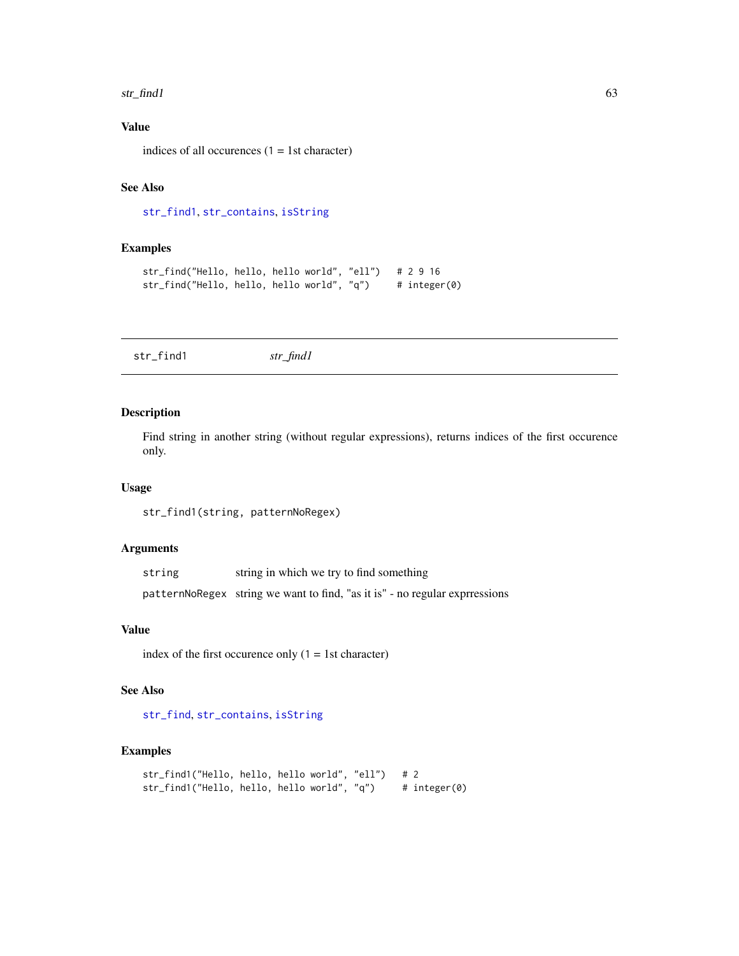#### str\_find1 63

# Value

indices of all occurences  $(1 = 1$ st character)

# See Also

[str\\_find1](#page-62-0), [str\\_contains](#page-61-0), [isString](#page-21-0)

## Examples

```
str_find("Hello, hello, hello world", "ell") # 2 9 16
str_find("Hello, hello, hello world", "q") # integer(0)
```
<span id="page-62-0"></span>str\_find1 *str\_find1*

#### Description

Find string in another string (without regular expressions), returns indices of the first occurence only.

#### Usage

str\_find1(string, patternNoRegex)

#### Arguments

| string in which we try to find something<br>string |  |
|----------------------------------------------------|--|
|----------------------------------------------------|--|

patternNoRegex string we want to find, "as it is" - no regular exprressions

#### Value

index of the first occurence only  $(1 = 1$ st character)

## See Also

[str\\_find](#page-61-1), [str\\_contains](#page-61-0), [isString](#page-21-0)

```
str_find1("Hello, hello, hello world", "ell") # 2
str_find1("Hello, hello, hello world", "q") # integer(0)
```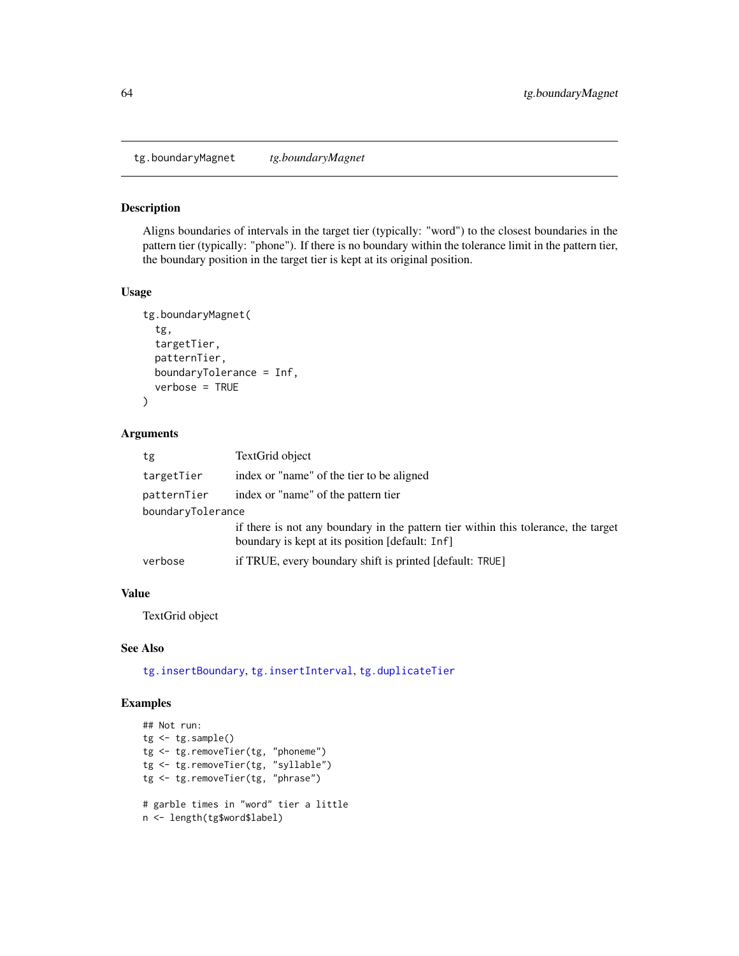<span id="page-63-0"></span>tg.boundaryMagnet *tg.boundaryMagnet*

### Description

Aligns boundaries of intervals in the target tier (typically: "word") to the closest boundaries in the pattern tier (typically: "phone"). If there is no boundary within the tolerance limit in the pattern tier, the boundary position in the target tier is kept at its original position.

# Usage

```
tg.boundaryMagnet(
 tg,
  targetTier,
 patternTier,
 boundaryTolerance = Inf,
  verbose = TRUE
)
```
#### Arguments

| tg                | TextGrid object                                                                                                                       |
|-------------------|---------------------------------------------------------------------------------------------------------------------------------------|
| targetTier        | index or "name" of the tier to be aligned                                                                                             |
| patternTier       | index or "name" of the pattern tier                                                                                                   |
| boundaryTolerance |                                                                                                                                       |
|                   | if there is not any boundary in the pattern tier within this tolerance, the target<br>boundary is kept at its position [default: Inf] |
| verbose           | if TRUE, every boundary shift is printed [default: TRUE]                                                                              |

## Value

TextGrid object

# See Also

[tg.insertBoundary](#page-83-0), [tg.insertInterval](#page-84-0), [tg.duplicateTier](#page-68-0)

```
## Not run:
tg < -tg.sample()tg <- tg.removeTier(tg, "phoneme")
tg <- tg.removeTier(tg, "syllable")
tg <- tg.removeTier(tg, "phrase")
# garble times in "word" tier a little
n <- length(tg$word$label)
```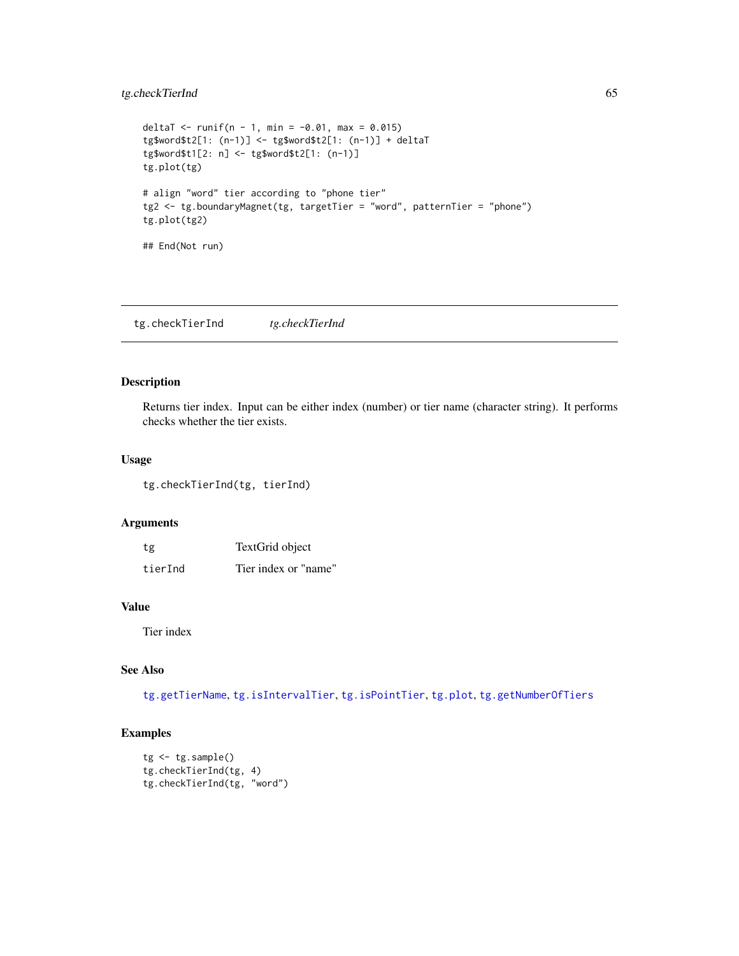# tg.checkTierInd 65

```
deltaT <- runif(n - 1, min = -0.01, max = 0.015)
tg$word$t2[1: (n-1)] <- tg$word$t2[1: (n-1)] + deltaT
tg$word$t1[2: n] <- tg$word$t2[1: (n-1)]
tg.plot(tg)
# align "word" tier according to "phone tier"
tg2 <- tg.boundaryMagnet(tg, targetTier = "word", patternTier = "phone")
tg.plot(tg2)
## End(Not run)
```
tg.checkTierInd *tg.checkTierInd*

#### Description

Returns tier index. Input can be either index (number) or tier name (character string). It performs checks whether the tier exists.

#### Usage

tg.checkTierInd(tg, tierInd)

#### Arguments

| tg      | TextGrid object      |
|---------|----------------------|
| tierInd | Tier index or "name" |

#### Value

Tier index

# See Also

[tg.getTierName](#page-81-0), [tg.isIntervalTier](#page-88-0), [tg.isPointTier](#page-89-1), [tg.plot](#page-89-0), [tg.getNumberOfTiers](#page-77-0)

```
tg <- tg.sample()
tg.checkTierInd(tg, 4)
tg.checkTierInd(tg, "word")
```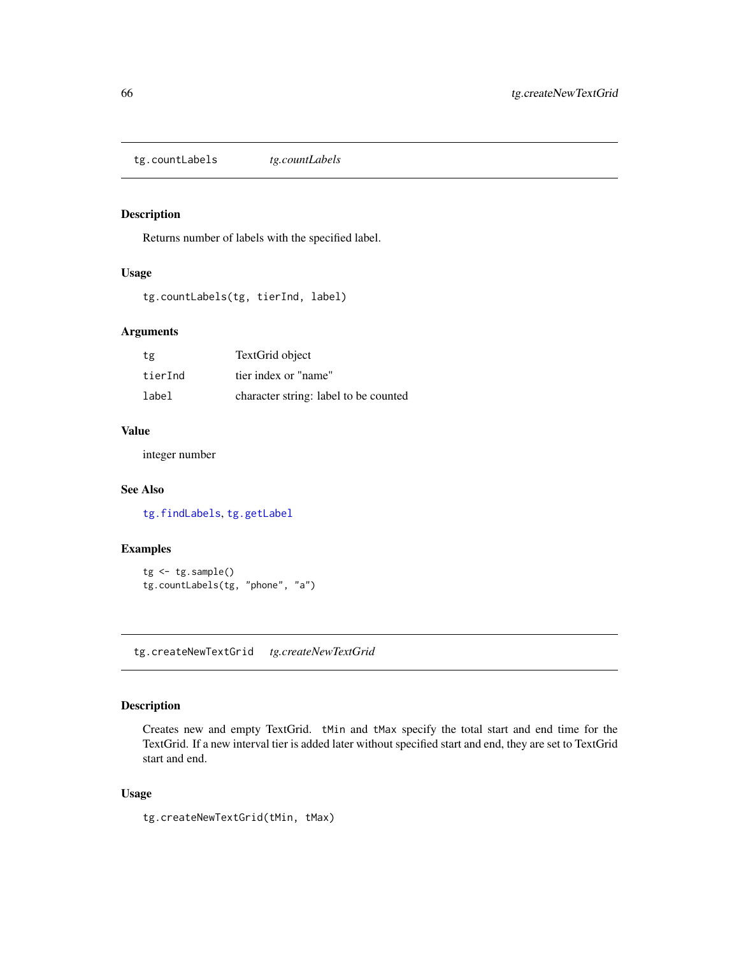<span id="page-65-0"></span>tg.countLabels *tg.countLabels*

#### Description

Returns number of labels with the specified label.

## Usage

tg.countLabels(tg, tierInd, label)

# Arguments

| tg      | TextGrid object                       |
|---------|---------------------------------------|
| tierInd | tier index or "name"                  |
| label   | character string: label to be counted |

# Value

integer number

## See Also

[tg.findLabels](#page-70-0), [tg.getLabel](#page-75-0)

### Examples

```
tg <- tg.sample()
tg.countLabels(tg, "phone", "a")
```
tg.createNewTextGrid *tg.createNewTextGrid*

#### Description

Creates new and empty TextGrid. tMin and tMax specify the total start and end time for the TextGrid. If a new interval tier is added later without specified start and end, they are set to TextGrid start and end.

#### Usage

tg.createNewTextGrid(tMin, tMax)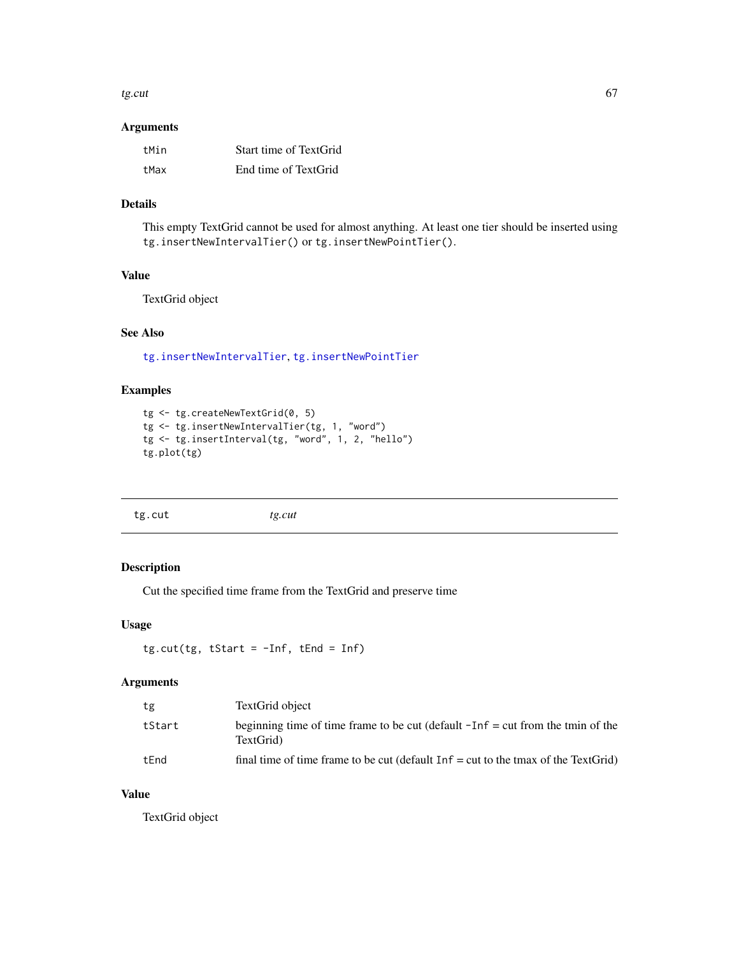tg.cut  $67$ 

#### Arguments

| tMin | Start time of TextGrid |
|------|------------------------|
| tMax | End time of TextGrid   |

## Details

This empty TextGrid cannot be used for almost anything. At least one tier should be inserted using tg.insertNewIntervalTier() or tg.insertNewPointTier().

# Value

TextGrid object

# See Also

[tg.insertNewIntervalTier](#page-85-0), [tg.insertNewPointTier](#page-86-0)

# Examples

```
tg <- tg.createNewTextGrid(0, 5)
tg <- tg.insertNewIntervalTier(tg, 1, "word")
tg <- tg.insertInterval(tg, "word", 1, 2, "hello")
tg.plot(tg)
```
<span id="page-66-0"></span>tg.cut *tg.cut*

# Description

Cut the specified time frame from the TextGrid and preserve time

## Usage

```
tg.cut(tg, tStart = -Inf, tEnd = Inf)
```
#### Arguments

| tg     | TextGrid object                                                                                 |
|--------|-------------------------------------------------------------------------------------------------|
| tStart | beginning time of time frame to be cut (default $-I$ nf = cut from the tmin of the<br>TextGrid) |
| tEnd   | final time of time frame to be cut (default $Inf = cut$ to the tmax of the TextGrid)            |

#### Value

TextGrid object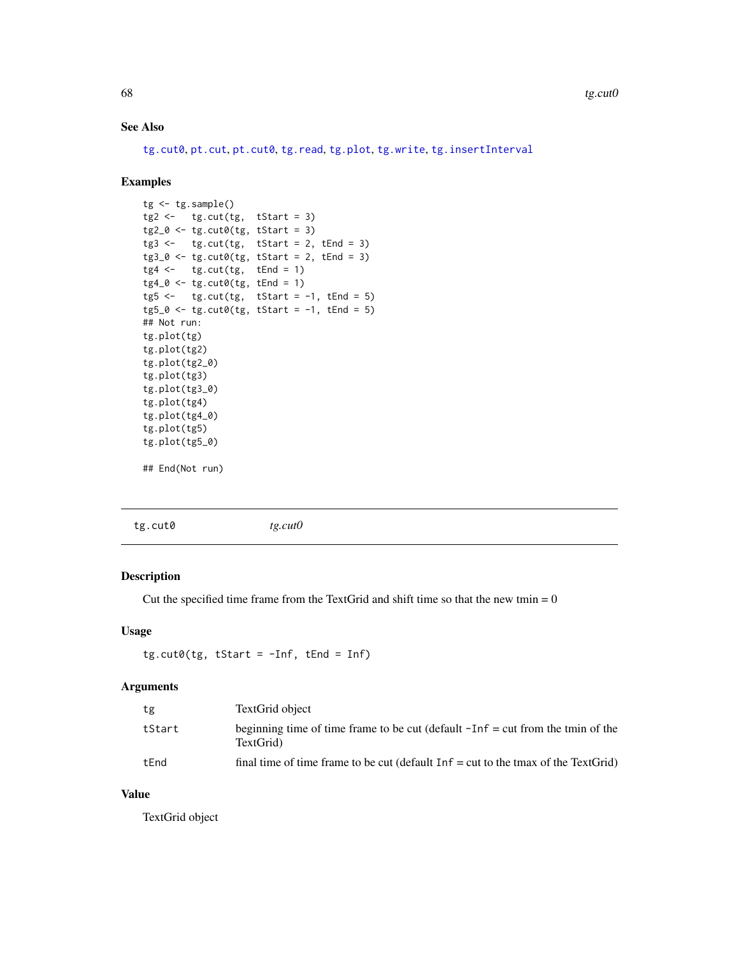## See Also

[tg.cut0](#page-67-0), [pt.cut](#page-40-0), [pt.cut0](#page-41-0), [tg.read](#page-91-0), [tg.plot](#page-89-0), [tg.write](#page-99-0), [tg.insertInterval](#page-84-0)

#### Examples

```
tg <- tg.sample()
tg2 \leftarrow tg.cut(tg, tStart = 3)tg2_0 \leftarrow tg.cut0(tg, tStart = 3)tg3 \leftarrow tg.cut(tg, tStart = 2, tEnd = 3)tg3_0 \leftarrow tg.cut0(tg, tStart = 2, tEnd = 3)tg4 \leftarrow tg.cut(tg, tEnd = 1)tg4_0 \leftarrow tg.cut0(tg, tEnd = 1)tg5 \leftarrow tg.cut(tg, tStart = -1, tEnd = 5)tg5_0 \leftarrow tg.cut0(tg, tStart = -1, tEnd = 5)## Not run:
tg.plot(tg)
tg.plot(tg2)
tg.plot(tg2_0)
tg.plot(tg3)
tg.plot(tg3_0)
tg.plot(tg4)
tg.plot(tg4_0)
tg.plot(tg5)
tg.plot(tg5_0)
```
## End(Not run)

<span id="page-67-0"></span>

| tg.cut0 | tg.cut0 |  |  |
|---------|---------|--|--|
|         |         |  |  |

#### Description

Cut the specified time frame from the TextGrid and shift time so that the new tmin  $= 0$ 

#### Usage

```
tg.cut@(tg, tStart = -Inf, tEnd = Inf)
```
#### Arguments

| tg     | TextGrid object                                                                                 |
|--------|-------------------------------------------------------------------------------------------------|
| tStart | beginning time of time frame to be cut (default $-I$ nf = cut from the tmin of the<br>TextGrid) |
| tEnd   | final time of time frame to be cut (default $Inf = cut$ to the tmax of the TextGrid)            |

# Value

TextGrid object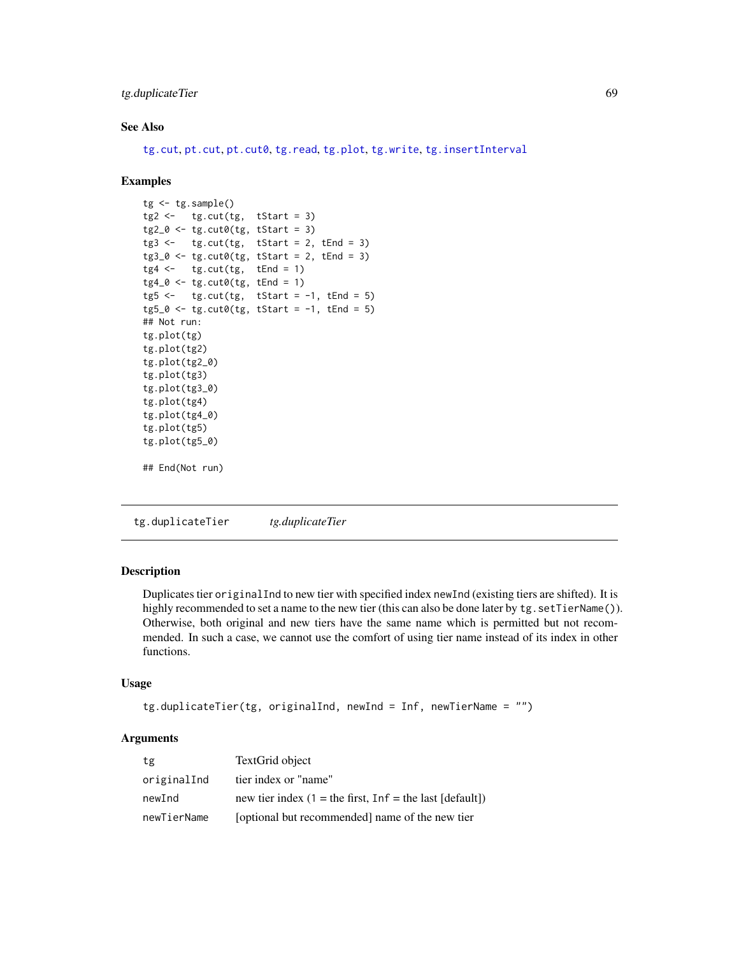# tg.duplicateTier 69

# See Also

[tg.cut](#page-66-0), [pt.cut](#page-40-0), [pt.cut0](#page-41-0), [tg.read](#page-91-0), [tg.plot](#page-89-0), [tg.write](#page-99-0), [tg.insertInterval](#page-84-0)

#### Examples

```
tg < -tg.sample()tg2 \leftarrow tg.cut(tg, tStart = 3)tg2_0 \leftarrow tg.cut0(tg, tStart = 3)tg3 \leftarrow tg.cut(tg, tStart = 2, tEnd = 3)tg3_0 < -tg.cut0(tg, tStart = 2, tEnd = 3)tg4 \leftarrow tg.cut(tg, tEnd = 1)tg4_0 \leftarrow tg.cut0(tg, tEnd = 1)tg5 \leftarrow tg.cut(tg, tStart = -1, tEnd = 5)tg5_0 \leftarrow tg.cut0(tg, tStart = -1, tEnd = 5)## Not run:
tg.plot(tg)
tg.plot(tg2)
tg.plot(tg2_0)
tg.plot(tg3)
tg.plot(tg3_0)
tg.plot(tg4)
tg.plot(tg4_0)
tg.plot(tg5)
tg.plot(tg5_0)
## End(Not run)
```
<span id="page-68-0"></span>tg.duplicateTier *tg.duplicateTier*

# Description

Duplicates tier originalInd to new tier with specified index newInd (existing tiers are shifted). It is highly recommended to set a name to the new tier (this can also be done later by tg. setTierName()). Otherwise, both original and new tiers have the same name which is permitted but not recommended. In such a case, we cannot use the comfort of using tier name instead of its index in other functions.

## Usage

```
tg.duplicateTier(tg, originalInd, newInd = Inf, newTierName = "")
```
#### **Arguments**

| tg          | TextGrid object                                             |
|-------------|-------------------------------------------------------------|
| originalInd | tier index or "name"                                        |
| newInd      | new tier index $(1 =$ the first, Inf = the last $[default]$ |
| newTierName | [optional but recommended] name of the new tier             |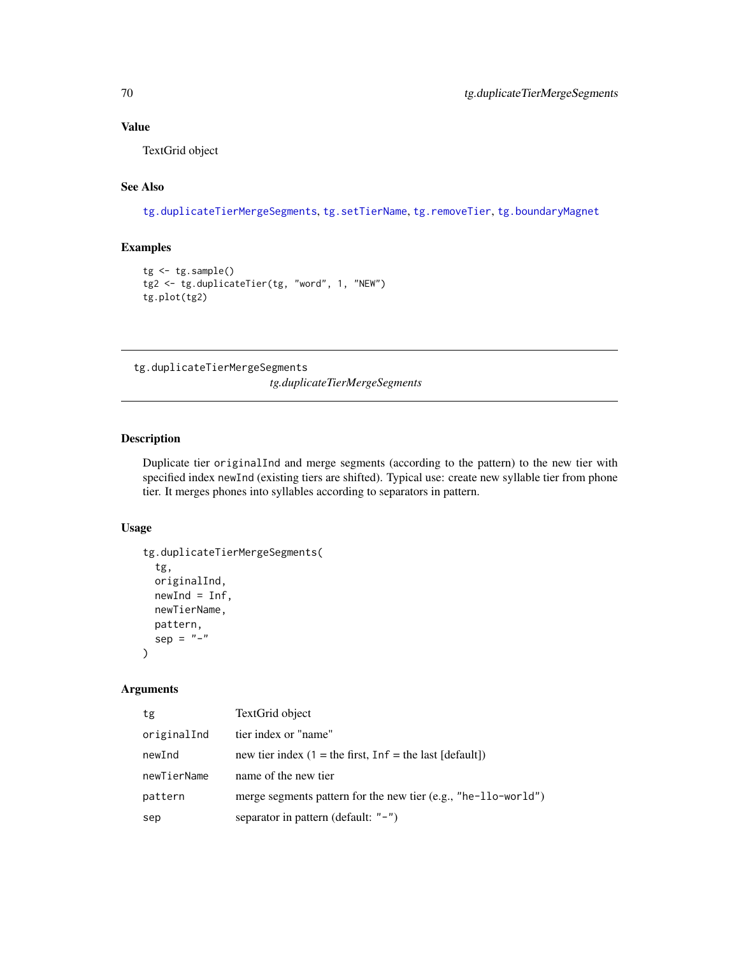# Value

TextGrid object

# See Also

[tg.duplicateTierMergeSegments](#page-69-0), [tg.setTierName](#page-99-1), [tg.removeTier](#page-95-0), [tg.boundaryMagnet](#page-63-0)

## Examples

```
tg < -tg.sample()tg2 <- tg.duplicateTier(tg, "word", 1, "NEW")
tg.plot(tg2)
```
<span id="page-69-0"></span>tg.duplicateTierMergeSegments

*tg.duplicateTierMergeSegments*

# Description

Duplicate tier originalInd and merge segments (according to the pattern) to the new tier with specified index newInd (existing tiers are shifted). Typical use: create new syllable tier from phone tier. It merges phones into syllables according to separators in pattern.

#### Usage

```
tg.duplicateTierMergeSegments(
  tg,
  originalInd,
 newInd = Inf,newTierName,
 pattern,
  sep = "-"\mathcal{L}
```
# Arguments

| tg          | TextGrid object                                                  |
|-------------|------------------------------------------------------------------|
| originalInd | tier index or "name"                                             |
| newInd      | new tier index $(1 =$ the first, Inf = the last [default])       |
| newTierName | name of the new tier                                             |
| pattern     | merge segments pattern for the new tier $(e.g., "he-1lo-wordd")$ |
| sep         | separator in pattern (default: $"$ -")                           |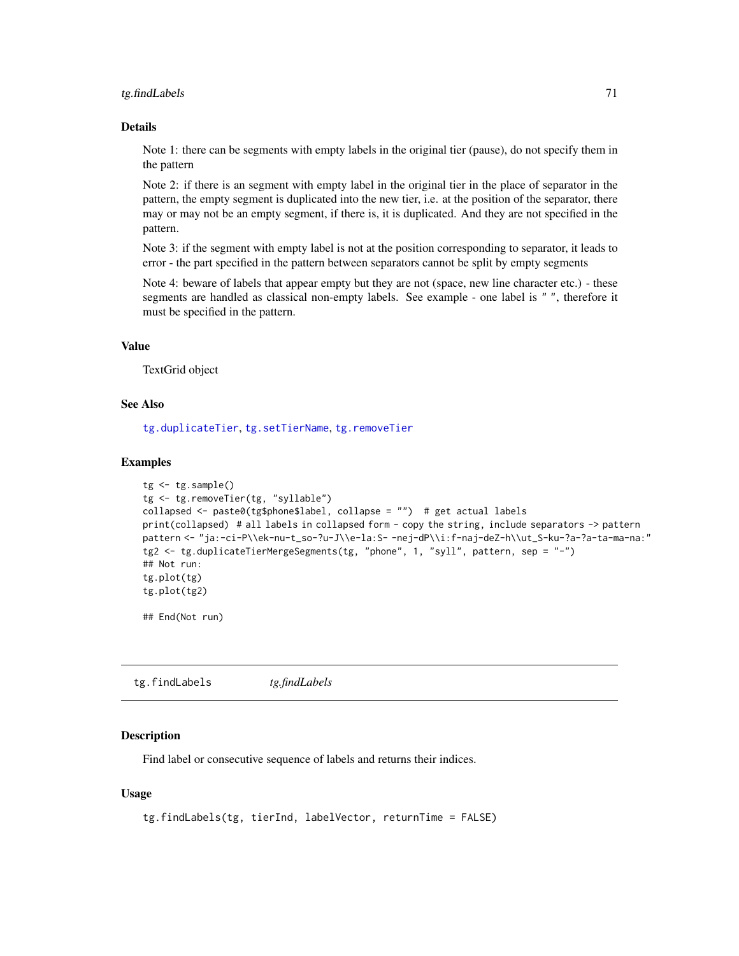#### tg.findLabels 71

#### Details

Note 1: there can be segments with empty labels in the original tier (pause), do not specify them in the pattern

Note 2: if there is an segment with empty label in the original tier in the place of separator in the pattern, the empty segment is duplicated into the new tier, i.e. at the position of the separator, there may or may not be an empty segment, if there is, it is duplicated. And they are not specified in the pattern.

Note 3: if the segment with empty label is not at the position corresponding to separator, it leads to error - the part specified in the pattern between separators cannot be split by empty segments

Note 4: beware of labels that appear empty but they are not (space, new line character etc.) - these segments are handled as classical non-empty labels. See example - one label is " ", therefore it must be specified in the pattern.

#### Value

TextGrid object

#### See Also

[tg.duplicateTier](#page-68-0), [tg.setTierName](#page-99-1), [tg.removeTier](#page-95-0)

#### Examples

```
tg <- tg.sample()
tg <- tg.removeTier(tg, "syllable")
collapsed <- paste0(tg$phone$label, collapse = "") # get actual labels
print(collapsed) # all labels in collapsed form - copy the string, include separators -> pattern
pattern <- "ja:-ci-P\\ek-nu-t_so-?u-J\\e-la:S- -nej-dP\\i:f-naj-deZ-h\\ut_S-ku-?a-?a-ta-ma-na:"
tg2 <- tg.duplicateTierMergeSegments(tg, "phone", 1, "syll", pattern, sep = "-")
## Not run:
tg.plot(tg)
tg.plot(tg2)
```
## End(Not run)

<span id="page-70-0"></span>tg.findLabels *tg.findLabels*

#### Description

Find label or consecutive sequence of labels and returns their indices.

#### Usage

```
tg.findLabels(tg, tierInd, labelVector, returnTime = FALSE)
```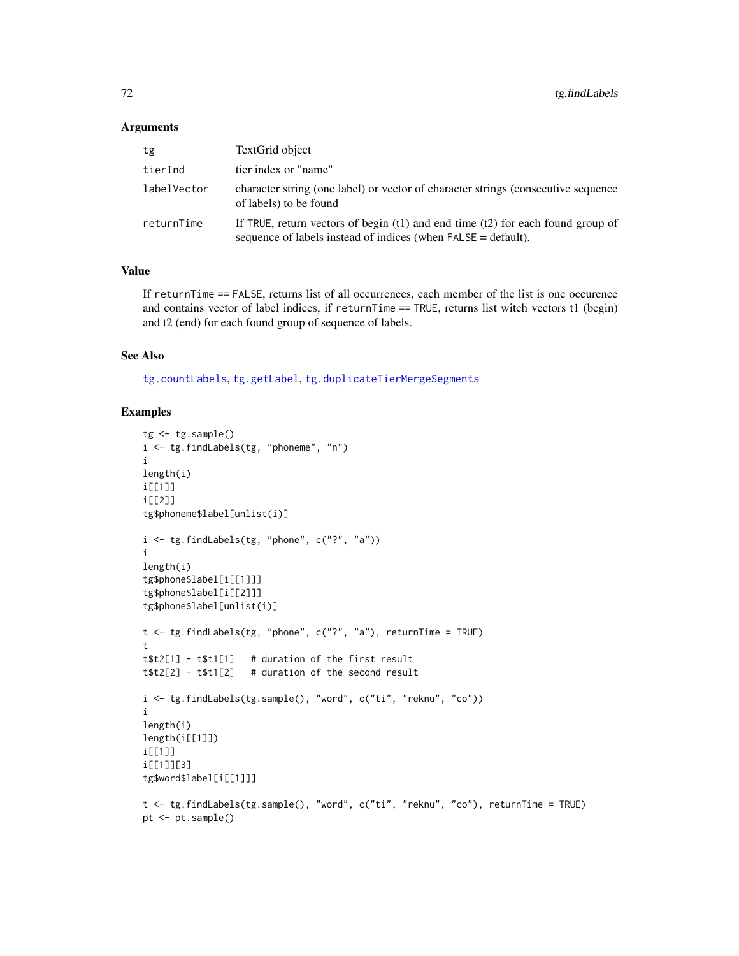#### Arguments

| tg          | TextGrid object                                                                                                                                         |
|-------------|---------------------------------------------------------------------------------------------------------------------------------------------------------|
| tierInd     | tier index or "name"                                                                                                                                    |
| labelVector | character string (one label) or vector of character strings (consecutive sequence<br>of labels) to be found                                             |
| returnTime  | If TRUE, return vectors of begin $(t1)$ and end time $(t2)$ for each found group of<br>sequence of labels instead of indices (when $FALSE = default$ ). |

#### Value

If returnTime == FALSE, returns list of all occurrences, each member of the list is one occurence and contains vector of label indices, if returnTime == TRUE, returns list witch vectors t1 (begin) and t2 (end) for each found group of sequence of labels.

#### See Also

[tg.countLabels](#page-65-0), [tg.getLabel](#page-75-0), [tg.duplicateTierMergeSegments](#page-69-0)

```
tg < -tg.sample()i <- tg.findLabels(tg, "phoneme", "n")
i
length(i)
i[[1]]
i[[2]]
tg$phoneme$label[unlist(i)]
i <- tg.findLabels(tg, "phone", c("?", "a"))
i
length(i)
tg$phone$label[i[[1]]]
tg$phone$label[i[[2]]]
tg$phone$label[unlist(i)]
t <- tg.findLabels(tg, "phone", c("?", "a"), returnTime = TRUE)
t
t$t2[1] - t$t1[1] # duration of the first result
t$t2[2] - t$t1[2] # duration of the second result
i <- tg.findLabels(tg.sample(), "word", c("ti", "reknu", "co"))
i
length(i)
length(i[[1]])
i[[1]]
i[[1]][3]
tg$word$label[i[[1]]]
t <- tg.findLabels(tg.sample(), "word", c("ti", "reknu", "co"), returnTime = TRUE)
pt <- pt.sample()
```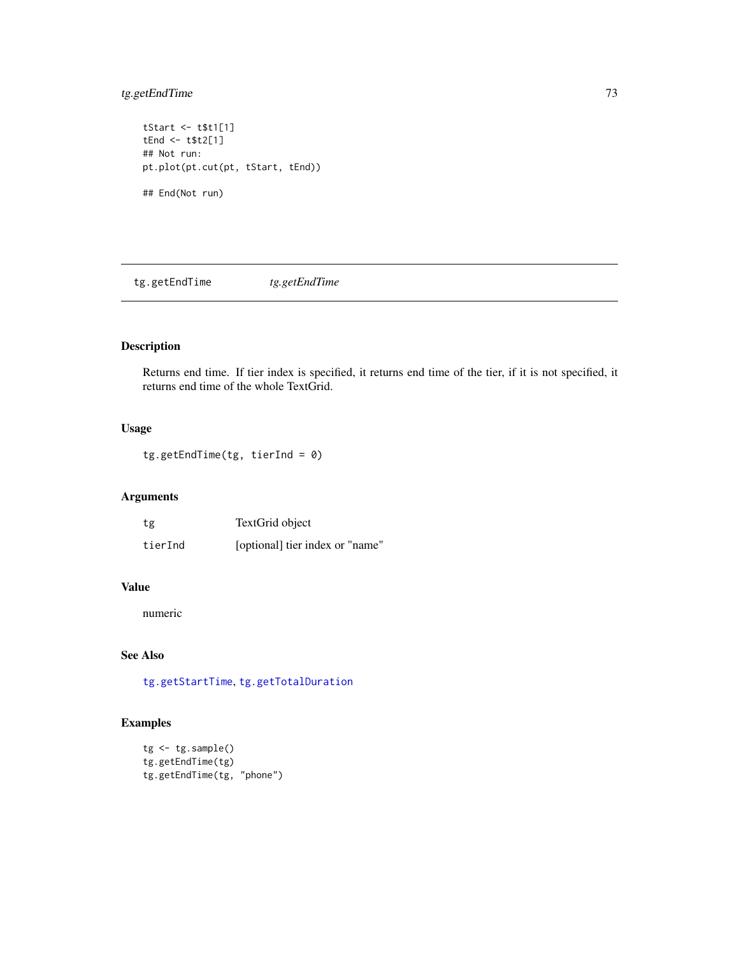## <span id="page-72-1"></span>tg.getEndTime 73

tStart <- t\$t1[1] tEnd <- t\$t2[1] ## Not run: pt.plot(pt.cut(pt, tStart, tEnd)) ## End(Not run)

<span id="page-72-0"></span>tg.getEndTime *tg.getEndTime*

## Description

Returns end time. If tier index is specified, it returns end time of the tier, if it is not specified, it returns end time of the whole TextGrid.

## Usage

tg.getEndTime(tg, tierInd = 0)

## Arguments

| tg      | TextGrid object                 |
|---------|---------------------------------|
| tierInd | [optional] tier index or "name" |

## Value

numeric

## See Also

[tg.getStartTime](#page-81-0), [tg.getTotalDuration](#page-82-0)

```
tg <- tg.sample()
tg.getEndTime(tg)
tg.getEndTime(tg, "phone")
```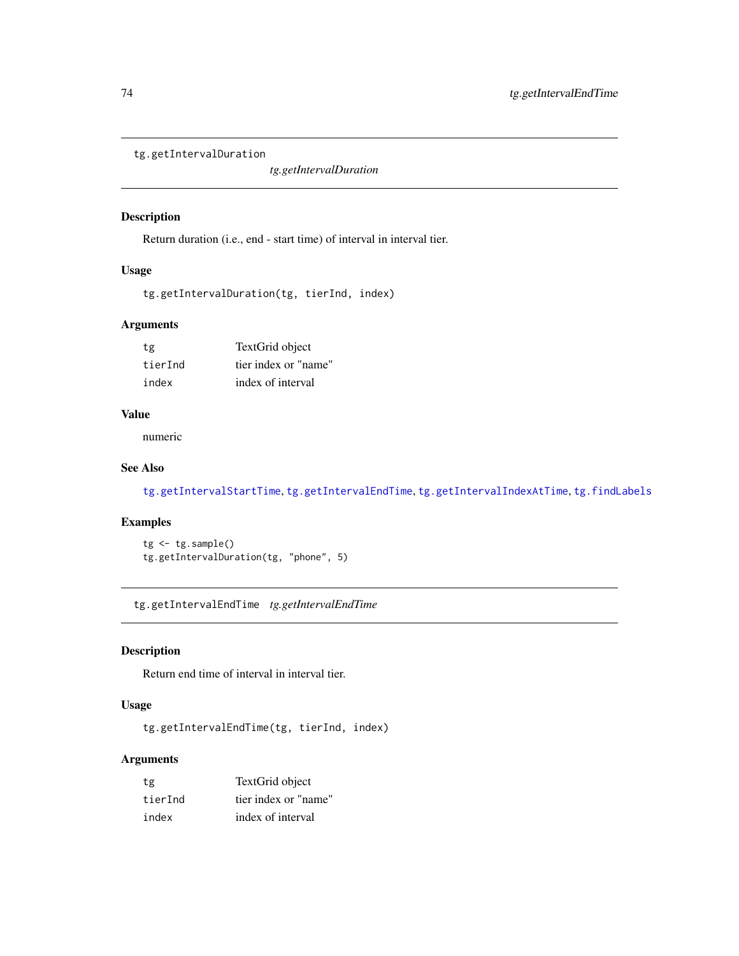```
tg.getIntervalDuration
```
*tg.getIntervalDuration*

## Description

Return duration (i.e., end - start time) of interval in interval tier.

#### Usage

```
tg.getIntervalDuration(tg, tierInd, index)
```
## Arguments

| tg      | TextGrid object      |  |
|---------|----------------------|--|
| tierInd | tier index or "name" |  |
| index   | index of interval    |  |

#### Value

numeric

#### See Also

[tg.getIntervalStartTime](#page-75-0), [tg.getIntervalEndTime](#page-73-0), [tg.getIntervalIndexAtTime](#page-74-0), [tg.findLabels](#page-70-0)

#### Examples

tg <- tg.sample() tg.getIntervalDuration(tg, "phone", 5)

<span id="page-73-0"></span>tg.getIntervalEndTime *tg.getIntervalEndTime*

## Description

Return end time of interval in interval tier.

## Usage

tg.getIntervalEndTime(tg, tierInd, index)

## Arguments

| tg      | TextGrid object      |
|---------|----------------------|
| tierInd | tier index or "name" |
| index   | index of interval    |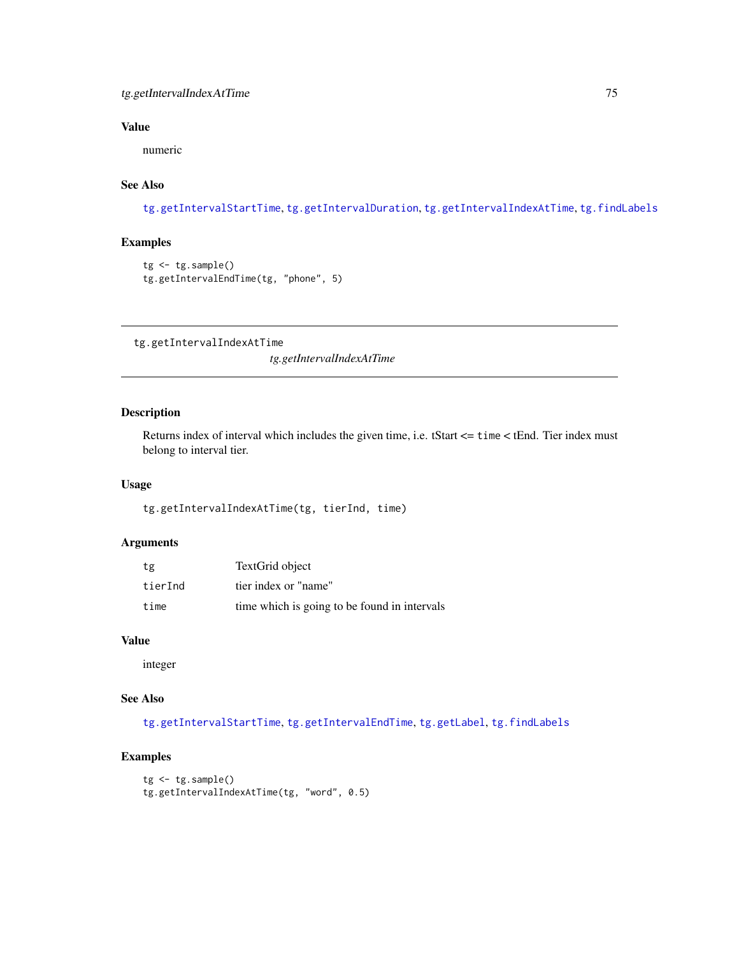## <span id="page-74-1"></span>tg.getIntervalIndexAtTime 75

## Value

numeric

## See Also

[tg.getIntervalStartTime](#page-75-0), [tg.getIntervalDuration](#page-73-1), [tg.getIntervalIndexAtTime](#page-74-0), [tg.findLabels](#page-70-0)

## Examples

```
tg <- tg.sample()
tg.getIntervalEndTime(tg, "phone", 5)
```
<span id="page-74-0"></span>tg.getIntervalIndexAtTime

*tg.getIntervalIndexAtTime*

## Description

Returns index of interval which includes the given time, i.e. tStart <= time < tEnd. Tier index must belong to interval tier.

#### Usage

tg.getIntervalIndexAtTime(tg, tierInd, time)

## Arguments

| tg      | TextGrid object                              |
|---------|----------------------------------------------|
| tierInd | tier index or "name"                         |
| time    | time which is going to be found in intervals |

#### Value

integer

## See Also

[tg.getIntervalStartTime](#page-75-0), [tg.getIntervalEndTime](#page-73-0), [tg.getLabel](#page-75-1), [tg.findLabels](#page-70-0)

```
tg <- tg.sample()
tg.getIntervalIndexAtTime(tg, "word", 0.5)
```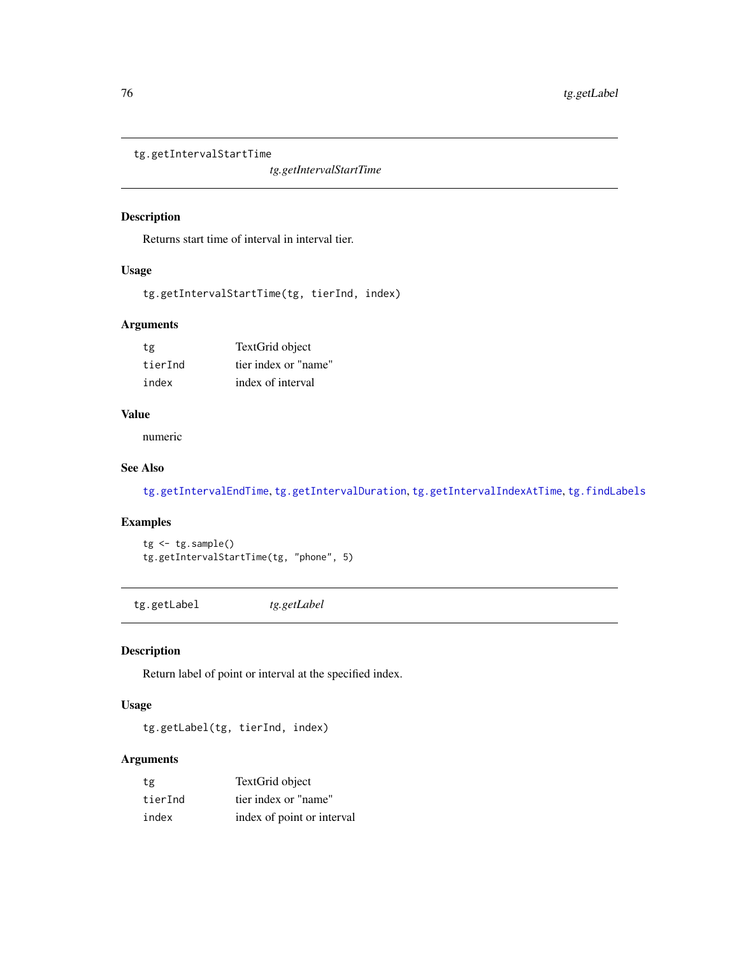<span id="page-75-2"></span><span id="page-75-0"></span>tg.getIntervalStartTime

*tg.getIntervalStartTime*

## Description

Returns start time of interval in interval tier.

#### Usage

tg.getIntervalStartTime(tg, tierInd, index)

## Arguments

| tg      | TextGrid object      |
|---------|----------------------|
| tierInd | tier index or "name" |
| index   | index of interval    |

#### Value

numeric

## See Also

[tg.getIntervalEndTime](#page-73-0), [tg.getIntervalDuration](#page-73-1), [tg.getIntervalIndexAtTime](#page-74-0), [tg.findLabels](#page-70-0)

## Examples

tg <- tg.sample() tg.getIntervalStartTime(tg, "phone", 5)

<span id="page-75-1"></span>tg.getLabel *tg.getLabel*

## Description

Return label of point or interval at the specified index.

## Usage

tg.getLabel(tg, tierInd, index)

## Arguments

| tg      | TextGrid object            |
|---------|----------------------------|
| tierInd | tier index or "name"       |
| index   | index of point or interval |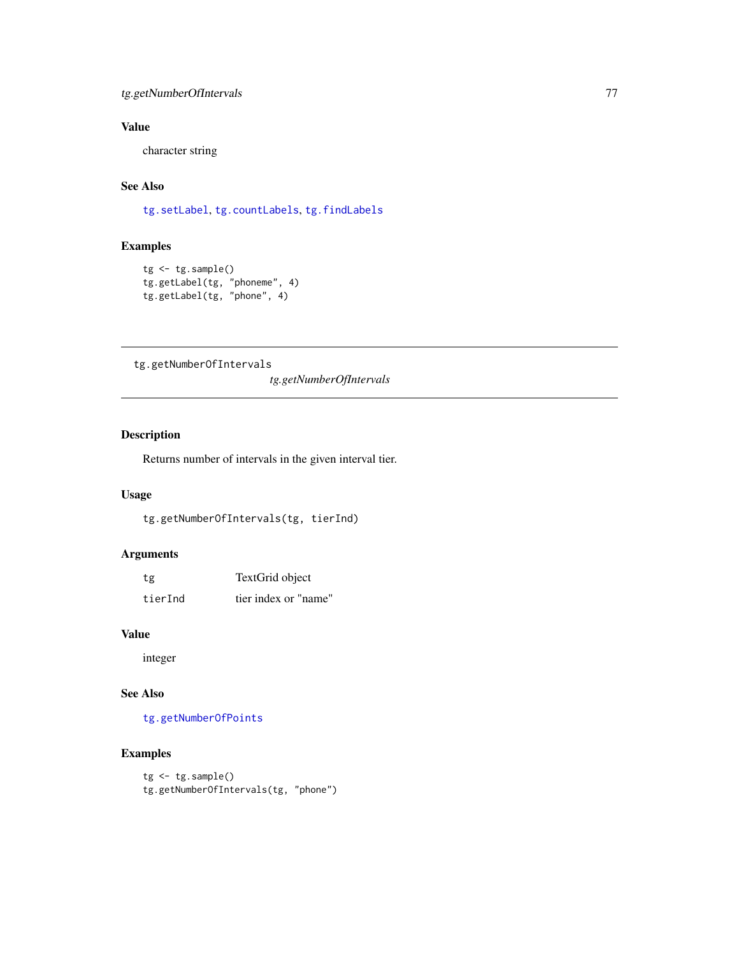## <span id="page-76-1"></span>tg.getNumberOfIntervals 77

## Value

character string

## See Also

[tg.setLabel](#page-98-0), [tg.countLabels](#page-65-0), [tg.findLabels](#page-70-0)

## Examples

```
tg <- tg.sample()
tg.getLabel(tg, "phoneme", 4)
tg.getLabel(tg, "phone", 4)
```
<span id="page-76-0"></span>tg.getNumberOfIntervals

*tg.getNumberOfIntervals*

## Description

Returns number of intervals in the given interval tier.

## Usage

tg.getNumberOfIntervals(tg, tierInd)

#### Arguments

| tg      | TextGrid object      |
|---------|----------------------|
| tierInd | tier index or "name" |

#### Value

integer

## See Also

[tg.getNumberOfPoints](#page-77-0)

```
tg <- tg.sample()
tg.getNumberOfIntervals(tg, "phone")
```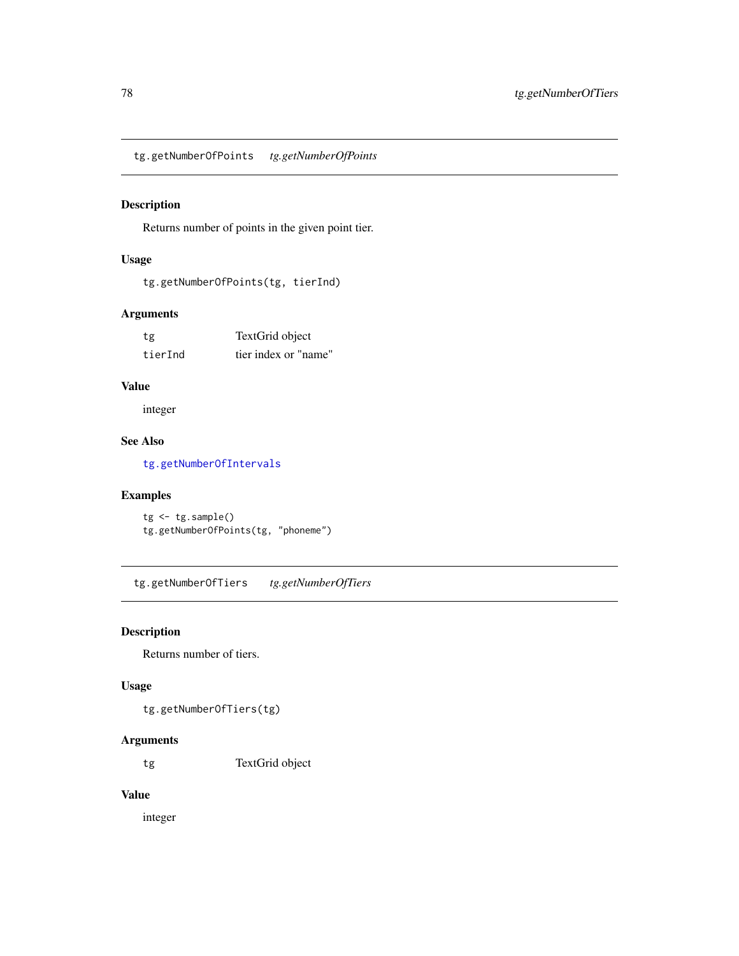<span id="page-77-1"></span><span id="page-77-0"></span>tg.getNumberOfPoints *tg.getNumberOfPoints*

## Description

Returns number of points in the given point tier.

## Usage

tg.getNumberOfPoints(tg, tierInd)

## Arguments

tg TextGrid object tierInd tier index or "name"

## Value

integer

## See Also

[tg.getNumberOfIntervals](#page-76-0)

## Examples

tg <- tg.sample() tg.getNumberOfPoints(tg, "phoneme")

tg.getNumberOfTiers *tg.getNumberOfTiers*

## Description

Returns number of tiers.

#### Usage

tg.getNumberOfTiers(tg)

## Arguments

tg TextGrid object

## Value

integer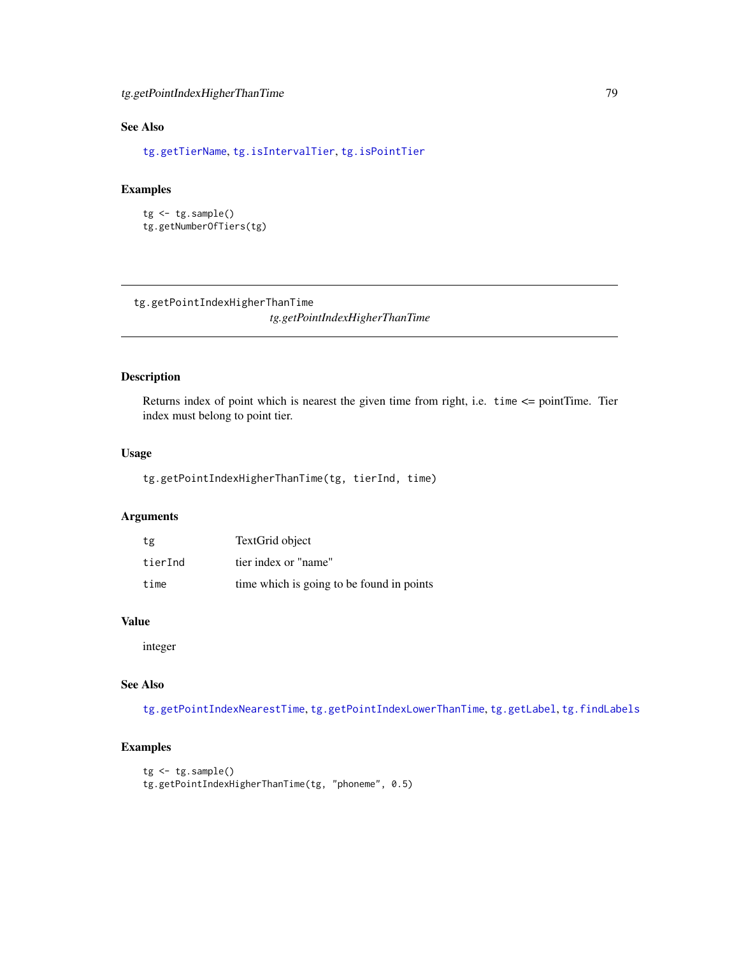## <span id="page-78-1"></span>See Also

[tg.getTierName](#page-81-1), [tg.isIntervalTier](#page-88-0), [tg.isPointTier](#page-89-0)

## Examples

```
tg <- tg.sample()
tg.getNumberOfTiers(tg)
```
<span id="page-78-0"></span>tg.getPointIndexHigherThanTime

*tg.getPointIndexHigherThanTime*

## Description

Returns index of point which is nearest the given time from right, i.e. time <= pointTime. Tier index must belong to point tier.

## Usage

tg.getPointIndexHigherThanTime(tg, tierInd, time)

## Arguments

| tg      | TextGrid object                           |
|---------|-------------------------------------------|
| tierInd | tier index or "name"                      |
| time    | time which is going to be found in points |

## Value

integer

## See Also

[tg.getPointIndexNearestTime](#page-79-0), [tg.getPointIndexLowerThanTime](#page-79-1), [tg.getLabel](#page-75-1), [tg.findLabels](#page-70-0)

```
tg < -tg.sample()tg.getPointIndexHigherThanTime(tg, "phoneme", 0.5)
```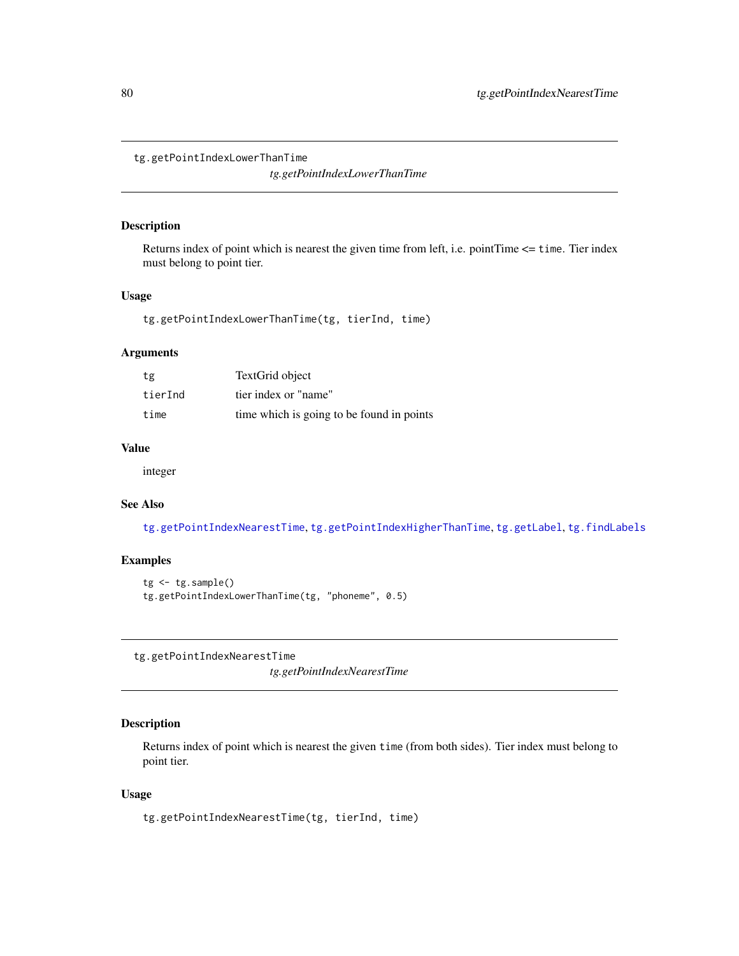<span id="page-79-2"></span><span id="page-79-1"></span>tg.getPointIndexLowerThanTime

*tg.getPointIndexLowerThanTime*

#### Description

Returns index of point which is nearest the given time from left, i.e. pointTime <= time. Tier index must belong to point tier.

#### Usage

tg.getPointIndexLowerThanTime(tg, tierInd, time)

## Arguments

| tg      | TextGrid object                           |
|---------|-------------------------------------------|
| tierInd | tier index or "name"                      |
| time    | time which is going to be found in points |

## Value

integer

## See Also

[tg.getPointIndexNearestTime](#page-79-0), [tg.getPointIndexHigherThanTime](#page-78-0), [tg.getLabel](#page-75-1), [tg.findLabels](#page-70-0)

#### Examples

```
tg < -tg.sample()tg.getPointIndexLowerThanTime(tg, "phoneme", 0.5)
```
<span id="page-79-0"></span>tg.getPointIndexNearestTime

*tg.getPointIndexNearestTime*

## Description

Returns index of point which is nearest the given time (from both sides). Tier index must belong to point tier.

#### Usage

```
tg.getPointIndexNearestTime(tg, tierInd, time)
```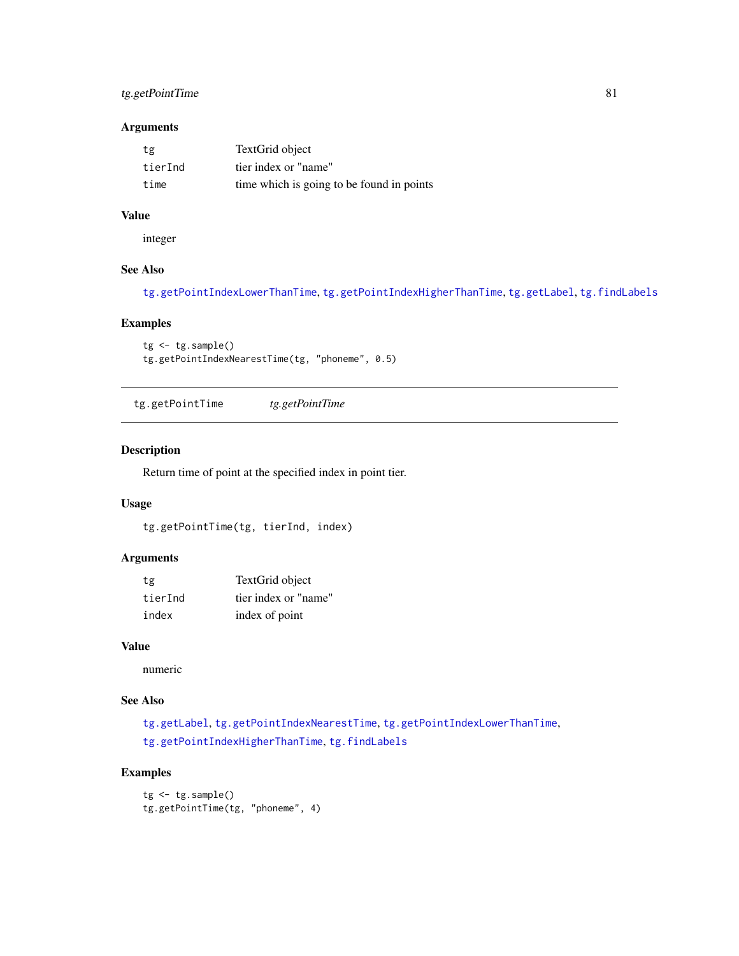## <span id="page-80-0"></span>tg.getPointTime 81

#### Arguments

| tg      | TextGrid object                           |
|---------|-------------------------------------------|
| tierInd | tier index or "name"                      |
| time    | time which is going to be found in points |

## Value

integer

## See Also

[tg.getPointIndexLowerThanTime](#page-79-1), [tg.getPointIndexHigherThanTime](#page-78-0), [tg.getLabel](#page-75-1), [tg.findLabels](#page-70-0)

## Examples

```
tg <- tg.sample()
tg.getPointIndexNearestTime(tg, "phoneme", 0.5)
```
tg.getPointTime *tg.getPointTime*

#### Description

Return time of point at the specified index in point tier.

## Usage

tg.getPointTime(tg, tierInd, index)

#### Arguments

| tg      | TextGrid object      |
|---------|----------------------|
| tierInd | tier index or "name" |
| index   | index of point       |

#### Value

numeric

## See Also

[tg.getLabel](#page-75-1), [tg.getPointIndexNearestTime](#page-79-0), [tg.getPointIndexLowerThanTime](#page-79-1), [tg.getPointIndexHigherThanTime](#page-78-0), [tg.findLabels](#page-70-0)

```
tg <- tg.sample()
tg.getPointTime(tg, "phoneme", 4)
```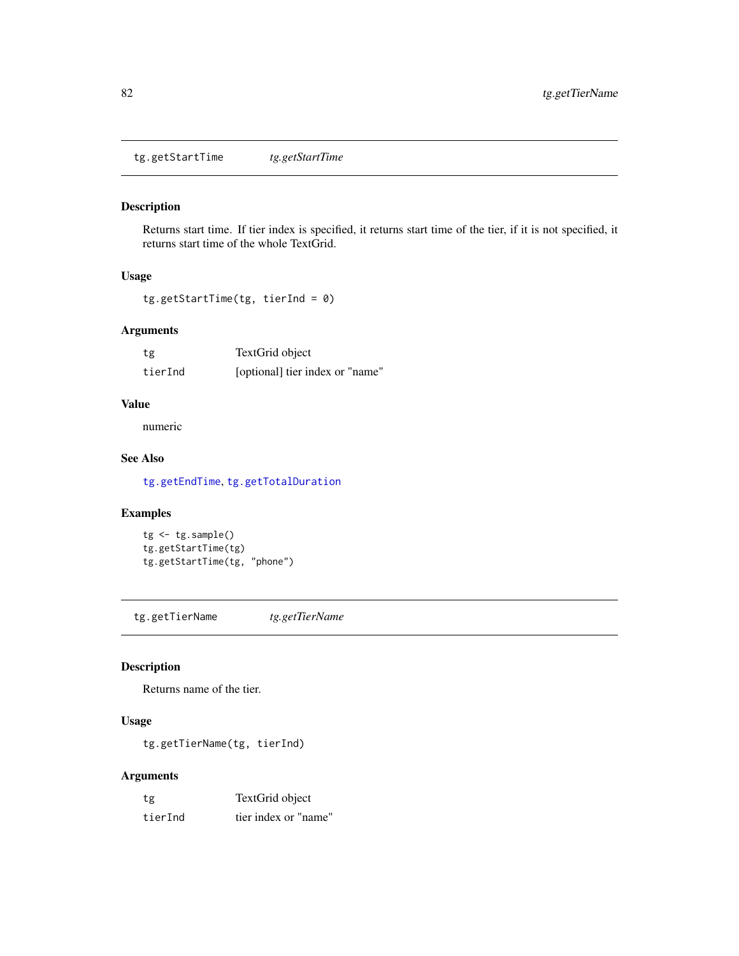<span id="page-81-2"></span><span id="page-81-0"></span>tg.getStartTime *tg.getStartTime*

## Description

Returns start time. If tier index is specified, it returns start time of the tier, if it is not specified, it returns start time of the whole TextGrid.

## Usage

tg.getStartTime(tg, tierInd = 0)

## Arguments

| tg      | TextGrid object                 |
|---------|---------------------------------|
| tierInd | [optional] tier index or "name" |

#### Value

numeric

## See Also

[tg.getEndTime](#page-72-0), [tg.getTotalDuration](#page-82-0)

#### Examples

```
tg <- tg.sample()
tg.getStartTime(tg)
tg.getStartTime(tg, "phone")
```
<span id="page-81-1"></span>tg.getTierName *tg.getTierName*

## Description

Returns name of the tier.

## Usage

tg.getTierName(tg, tierInd)

## Arguments

| tg      | TextGrid object      |
|---------|----------------------|
| tierInd | tier index or "name" |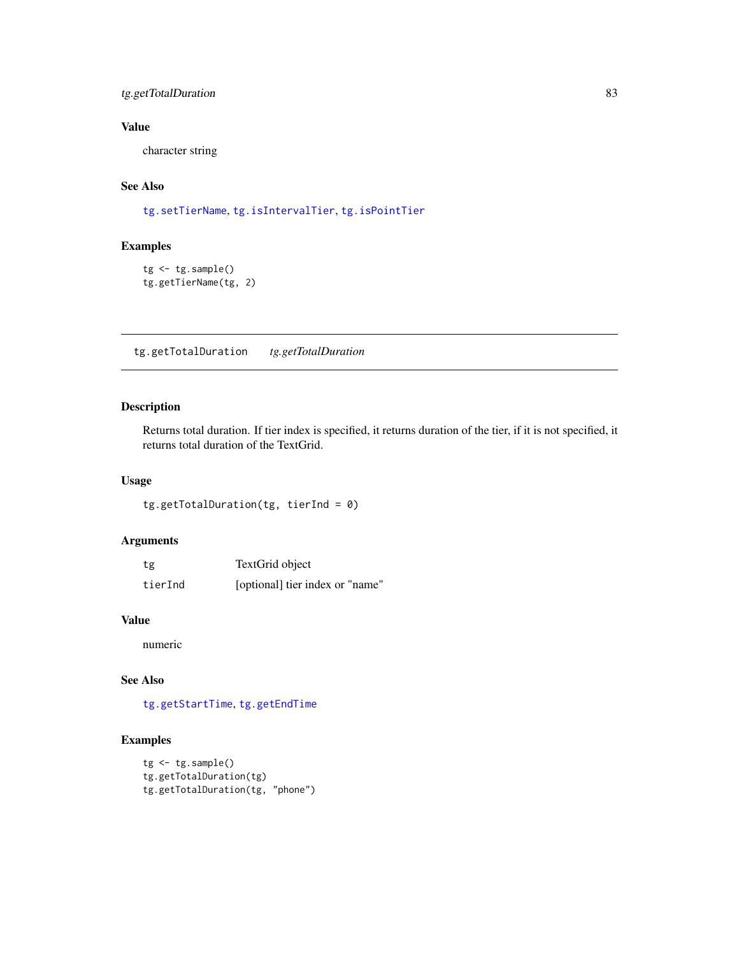## <span id="page-82-1"></span>tg.getTotalDuration 83

## Value

character string

## See Also

[tg.setTierName](#page-99-0), [tg.isIntervalTier](#page-88-0), [tg.isPointTier](#page-89-0)

## Examples

```
tg <- tg.sample()
tg.getTierName(tg, 2)
```
<span id="page-82-0"></span>tg.getTotalDuration *tg.getTotalDuration*

#### Description

Returns total duration. If tier index is specified, it returns duration of the tier, if it is not specified, it returns total duration of the TextGrid.

#### Usage

tg.getTotalDuration(tg, tierInd = 0)

## Arguments

| tg      | TextGrid object                 |
|---------|---------------------------------|
| tierInd | [optional] tier index or "name" |

## Value

numeric

## See Also

[tg.getStartTime](#page-81-0), [tg.getEndTime](#page-72-0)

```
tg <- tg.sample()
tg.getTotalDuration(tg)
tg.getTotalDuration(tg, "phone")
```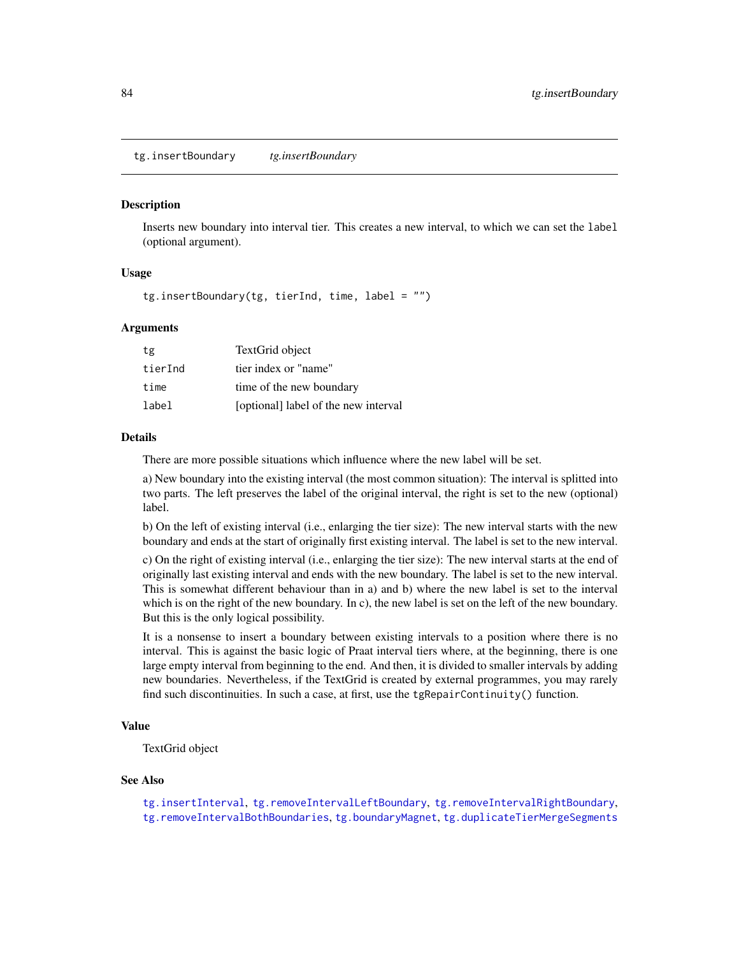<span id="page-83-1"></span><span id="page-83-0"></span>tg.insertBoundary *tg.insertBoundary*

#### **Description**

Inserts new boundary into interval tier. This creates a new interval, to which we can set the label (optional argument).

#### Usage

tg.insertBoundary(tg, tierInd, time, label = "")

#### Arguments

| tg      | TextGrid object                      |
|---------|--------------------------------------|
| tierInd | tier index or "name"                 |
| time    | time of the new boundary             |
| label   | [optional] label of the new interval |

#### Details

There are more possible situations which influence where the new label will be set.

a) New boundary into the existing interval (the most common situation): The interval is splitted into two parts. The left preserves the label of the original interval, the right is set to the new (optional) label.

b) On the left of existing interval (i.e., enlarging the tier size): The new interval starts with the new boundary and ends at the start of originally first existing interval. The label is set to the new interval.

c) On the right of existing interval (i.e., enlarging the tier size): The new interval starts at the end of originally last existing interval and ends with the new boundary. The label is set to the new interval. This is somewhat different behaviour than in a) and b) where the new label is set to the interval which is on the right of the new boundary. In c), the new label is set on the left of the new boundary. But this is the only logical possibility.

It is a nonsense to insert a boundary between existing intervals to a position where there is no interval. This is against the basic logic of Praat interval tiers where, at the beginning, there is one large empty interval from beginning to the end. And then, it is divided to smaller intervals by adding new boundaries. Nevertheless, if the TextGrid is created by external programmes, you may rarely find such discontinuities. In such a case, at first, use the tgRepairContinuity() function.

#### Value

TextGrid object

#### See Also

[tg.insertInterval](#page-84-0), [tg.removeIntervalLeftBoundary](#page-93-0), [tg.removeIntervalRightBoundary](#page-94-0), [tg.removeIntervalBothBoundaries](#page-91-0), [tg.boundaryMagnet](#page-63-0), [tg.duplicateTierMergeSegments](#page-69-0)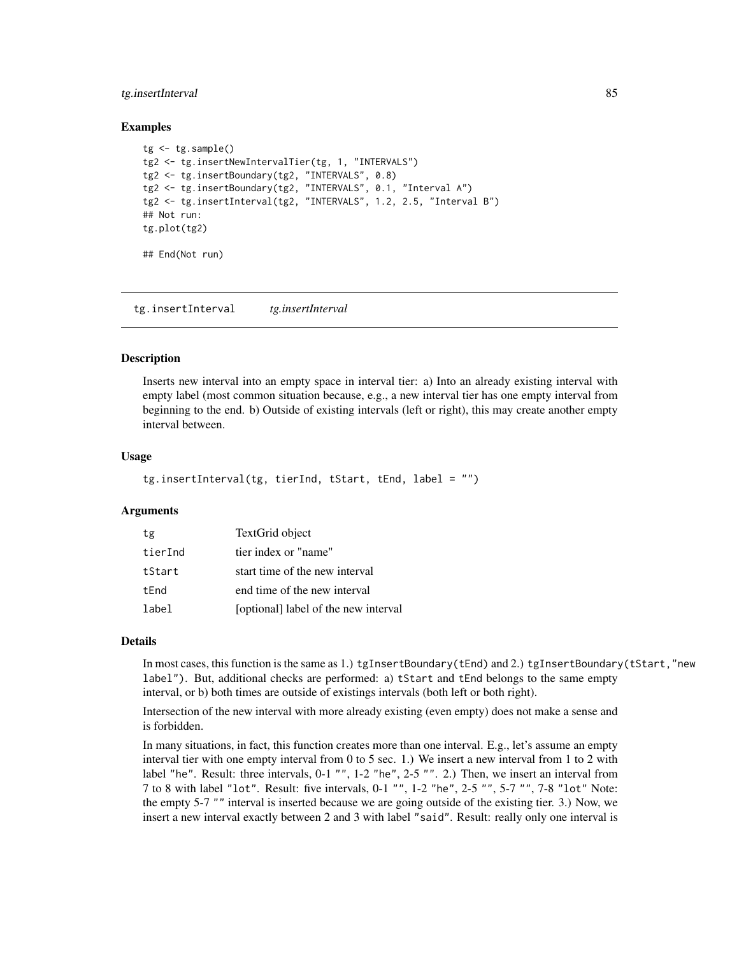#### <span id="page-84-1"></span>tg.insertInterval 85

#### Examples

```
tg < -tg.sample()tg2 <- tg.insertNewIntervalTier(tg, 1, "INTERVALS")
tg2 <- tg.insertBoundary(tg2, "INTERVALS", 0.8)
tg2 <- tg.insertBoundary(tg2, "INTERVALS", 0.1, "Interval A")
tg2 <- tg.insertInterval(tg2, "INTERVALS", 1.2, 2.5, "Interval B")
## Not run:
tg.plot(tg2)
## End(Not run)
```
<span id="page-84-0"></span>tg.insertInterval *tg.insertInterval*

#### Description

Inserts new interval into an empty space in interval tier: a) Into an already existing interval with empty label (most common situation because, e.g., a new interval tier has one empty interval from beginning to the end. b) Outside of existing intervals (left or right), this may create another empty interval between.

#### Usage

```
tg.insertInterval(tg, tierInd, tStart, tEnd, label = "")
```
#### Arguments

| tg      | TextGrid object                      |
|---------|--------------------------------------|
| tierInd | tier index or "name"                 |
| tStart  | start time of the new interval       |
| tEnd    | end time of the new interval         |
| label   | [optional] label of the new interval |

#### Details

In most cases, this function is the same as 1.) tgInsertBoundary(tEnd) and 2.) tgInsertBoundary(tStart,"new label"). But, additional checks are performed: a) tStart and tEnd belongs to the same empty interval, or b) both times are outside of existings intervals (both left or both right).

Intersection of the new interval with more already existing (even empty) does not make a sense and is forbidden.

In many situations, in fact, this function creates more than one interval. E.g., let's assume an empty interval tier with one empty interval from 0 to 5 sec. 1.) We insert a new interval from 1 to 2 with label "he". Result: three intervals, 0-1 "", 1-2 "he", 2-5 "". 2.) Then, we insert an interval from 7 to 8 with label "lot". Result: five intervals, 0-1 "", 1-2 "he", 2-5 "", 5-7 "", 7-8 "lot" Note: the empty 5-7 "" interval is inserted because we are going outside of the existing tier. 3.) Now, we insert a new interval exactly between 2 and 3 with label "said". Result: really only one interval is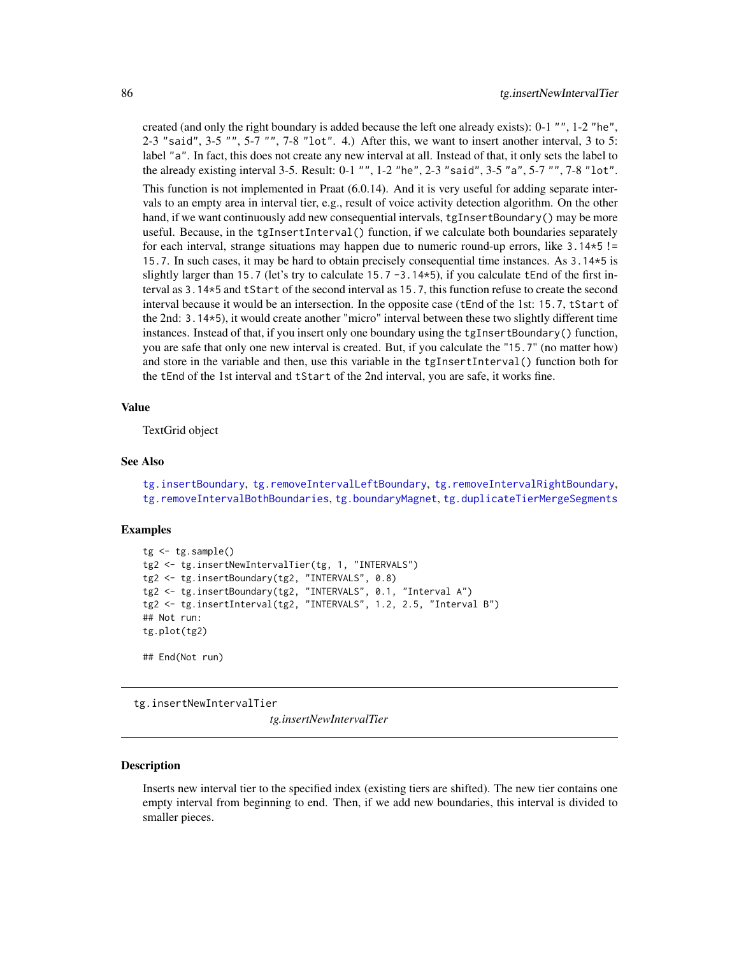<span id="page-85-1"></span>created (and only the right boundary is added because the left one already exists): 0-1 "", 1-2 "he", 2-3 "said", 3-5 "", 5-7 "", 7-8 "lot". 4.) After this, we want to insert another interval, 3 to 5: label "a". In fact, this does not create any new interval at all. Instead of that, it only sets the label to the already existing interval 3-5. Result: 0-1 "", 1-2 "he", 2-3 "said", 3-5 "a", 5-7 "", 7-8 "lot".

This function is not implemented in Praat (6.0.14). And it is very useful for adding separate intervals to an empty area in interval tier, e.g., result of voice activity detection algorithm. On the other hand, if we want continuously add new consequential intervals, tgInsertBoundary() may be more useful. Because, in the tgInsertInterval() function, if we calculate both boundaries separately for each interval, strange situations may happen due to numeric round-up errors, like 3.14\*5 != 15.7. In such cases, it may be hard to obtain precisely consequential time instances. As 3.14\*5 is slightly larger than 15.7 (let's try to calculate 15.7 -3.14 $\star$ 5), if you calculate tEnd of the first interval as 3.14\*5 and tStart of the second interval as 15.7, this function refuse to create the second interval because it would be an intersection. In the opposite case (tEnd of the 1st: 15.7, tStart of the 2nd: 3.14\*5), it would create another "micro" interval between these two slightly different time instances. Instead of that, if you insert only one boundary using the tgInsertBoundary() function, you are safe that only one new interval is created. But, if you calculate the "15.7" (no matter how) and store in the variable and then, use this variable in the tgInsertInterval() function both for the tEnd of the 1st interval and tStart of the 2nd interval, you are safe, it works fine.

#### Value

TextGrid object

#### See Also

[tg.insertBoundary](#page-83-0), [tg.removeIntervalLeftBoundary](#page-93-0), [tg.removeIntervalRightBoundary](#page-94-0), [tg.removeIntervalBothBoundaries](#page-91-0), [tg.boundaryMagnet](#page-63-0), [tg.duplicateTierMergeSegments](#page-69-0)

#### Examples

```
tg < -tg.sample()tg2 <- tg.insertNewIntervalTier(tg, 1, "INTERVALS")
tg2 <- tg.insertBoundary(tg2, "INTERVALS", 0.8)
tg2 <- tg.insertBoundary(tg2, "INTERVALS", 0.1, "Interval A")
tg2 <- tg.insertInterval(tg2, "INTERVALS", 1.2, 2.5, "Interval B")
## Not run:
tg.plot(tg2)
## End(Not run)
```
<span id="page-85-0"></span>tg.insertNewIntervalTier

*tg.insertNewIntervalTier*

#### **Description**

Inserts new interval tier to the specified index (existing tiers are shifted). The new tier contains one empty interval from beginning to end. Then, if we add new boundaries, this interval is divided to smaller pieces.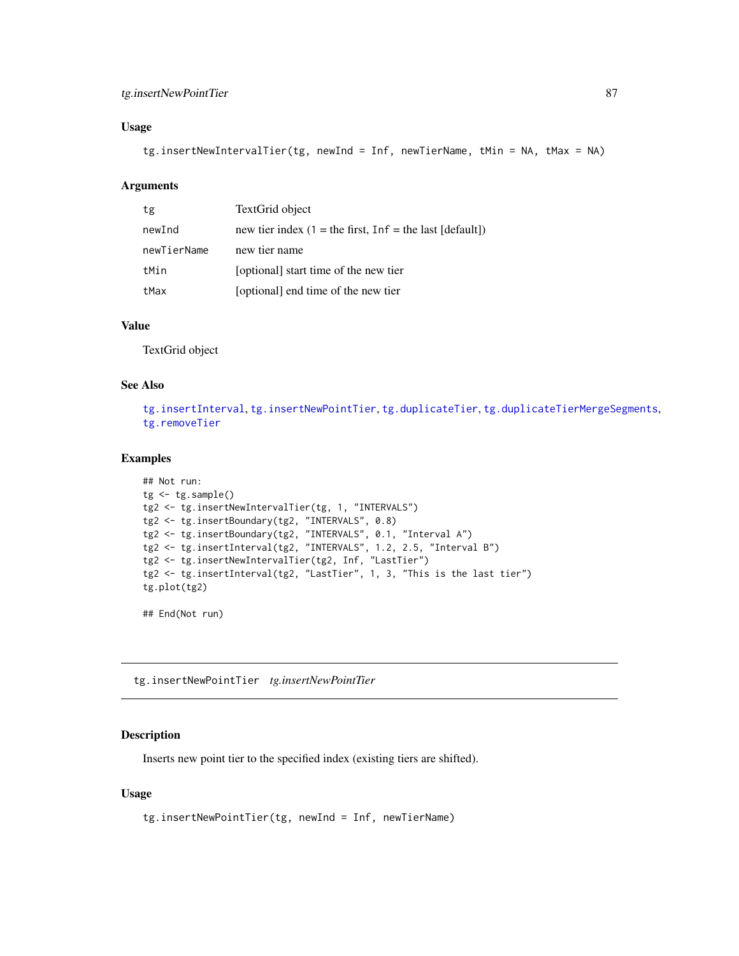## <span id="page-86-1"></span>tg.insertNewPointTier 87

## Usage

tg.insertNewIntervalTier(tg, newInd = Inf, newTierName, tMin = NA, tMax = NA)

#### Arguments

| tg          | TextGrid object                                            |
|-------------|------------------------------------------------------------|
| newInd      | new tier index $(1 =$ the first, Inf = the last [default]) |
| newTierName | new tier name                                              |
| tMin        | [optional] start time of the new tier                      |
| tMax        | [optional] end time of the new tier                        |

## Value

TextGrid object

#### See Also

[tg.insertInterval](#page-84-0), [tg.insertNewPointTier](#page-86-0), [tg.duplicateTier](#page-68-0), [tg.duplicateTierMergeSegments](#page-69-0), [tg.removeTier](#page-95-0)

## Examples

```
## Not run:
tg < -tg.sample()tg2 <- tg.insertNewIntervalTier(tg, 1, "INTERVALS")
tg2 <- tg.insertBoundary(tg2, "INTERVALS", 0.8)
tg2 <- tg.insertBoundary(tg2, "INTERVALS", 0.1, "Interval A")
tg2 <- tg.insertInterval(tg2, "INTERVALS", 1.2, 2.5, "Interval B")
tg2 <- tg.insertNewIntervalTier(tg2, Inf, "LastTier")
tg2 <- tg.insertInterval(tg2, "LastTier", 1, 3, "This is the last tier")
tg.plot(tg2)
```
## End(Not run)

<span id="page-86-0"></span>tg.insertNewPointTier *tg.insertNewPointTier*

#### Description

Inserts new point tier to the specified index (existing tiers are shifted).

#### Usage

tg.insertNewPointTier(tg, newInd = Inf, newTierName)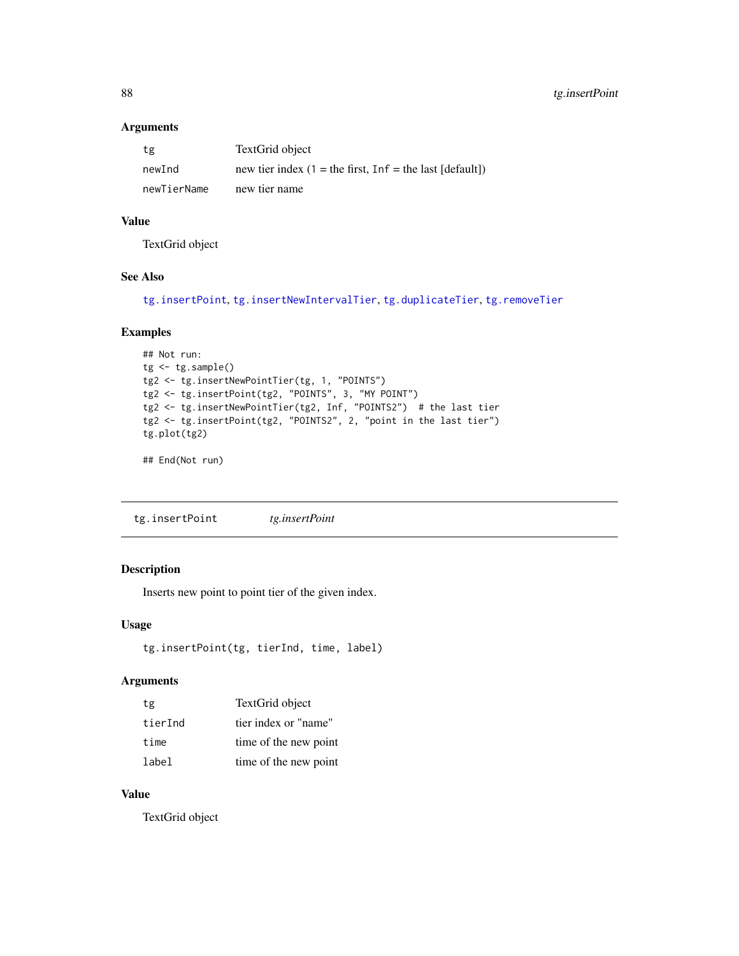## Arguments

| tg          | TextGrid object                                               |
|-------------|---------------------------------------------------------------|
| newInd      | new tier index $(1 =$ the first, $Inf =$ the last $[default]$ |
| newTierName | new tier name                                                 |

## Value

TextGrid object

#### See Also

[tg.insertPoint](#page-87-0), [tg.insertNewIntervalTier](#page-85-0), [tg.duplicateTier](#page-68-0), [tg.removeTier](#page-95-0)

## Examples

```
## Not run:
tg <- tg.sample()
tg2 <- tg.insertNewPointTier(tg, 1, "POINTS")
tg2 <- tg.insertPoint(tg2, "POINTS", 3, "MY POINT")
tg2 <- tg.insertNewPointTier(tg2, Inf, "POINTS2") # the last tier
tg2 <- tg.insertPoint(tg2, "POINTS2", 2, "point in the last tier")
tg.plot(tg2)
```
## End(Not run)

<span id="page-87-0"></span>tg.insertPoint *tg.insertPoint*

## Description

Inserts new point to point tier of the given index.

## Usage

```
tg.insertPoint(tg, tierInd, time, label)
```
#### Arguments

| tg      | TextGrid object       |
|---------|-----------------------|
| tierInd | tier index or "name"  |
| time    | time of the new point |
| label   | time of the new point |

## Value

TextGrid object

<span id="page-87-1"></span>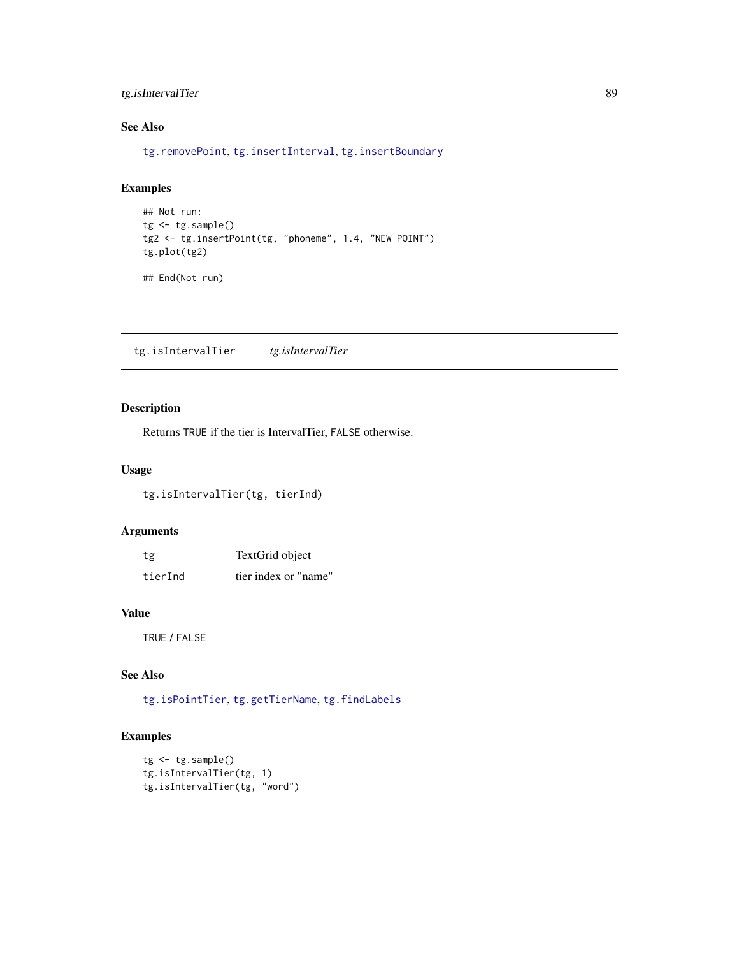## <span id="page-88-1"></span>tg.isIntervalTier 89

## See Also

[tg.removePoint](#page-95-1), [tg.insertInterval](#page-84-0), [tg.insertBoundary](#page-83-0)

## Examples

```
## Not run:
tg <- tg.sample()
tg2 <- tg.insertPoint(tg, "phoneme", 1.4, "NEW POINT")
tg.plot(tg2)
```
## End(Not run)

<span id="page-88-0"></span>tg.isIntervalTier *tg.isIntervalTier*

## Description

Returns TRUE if the tier is IntervalTier, FALSE otherwise.

## Usage

tg.isIntervalTier(tg, tierInd)

## Arguments

| tg      | TextGrid object      |
|---------|----------------------|
| tierInd | tier index or "name" |

## Value

TRUE / FALSE

## See Also

[tg.isPointTier](#page-89-0), [tg.getTierName](#page-81-1), [tg.findLabels](#page-70-0)

```
tg <- tg.sample()
tg.isIntervalTier(tg, 1)
tg.isIntervalTier(tg, "word")
```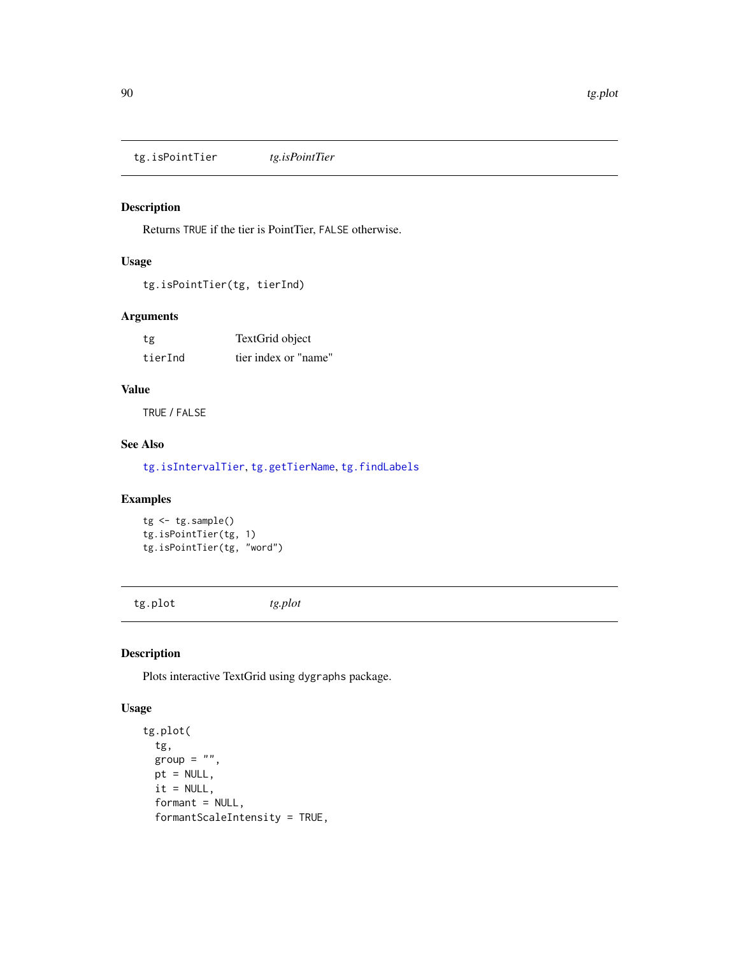<span id="page-89-2"></span><span id="page-89-0"></span>tg.isPointTier *tg.isPointTier*

## Description

Returns TRUE if the tier is PointTier, FALSE otherwise.

## Usage

```
tg.isPointTier(tg, tierInd)
```
## Arguments

| tg      | TextGrid object      |
|---------|----------------------|
| tierInd | tier index or "name" |

## Value

TRUE / FALSE

## See Also

[tg.isIntervalTier](#page-88-0), [tg.getTierName](#page-81-1), [tg.findLabels](#page-70-0)

#### Examples

```
tg <- tg.sample()
tg.isPointTier(tg, 1)
tg.isPointTier(tg, "word")
```
<span id="page-89-1"></span>tg.plot *tg.plot*

## Description

Plots interactive TextGrid using dygraphs package.

## Usage

```
tg.plot(
 tg,
 group = ",
 pt = NULL,it = NULL,format = NULL,formantScaleIntensity = TRUE,
```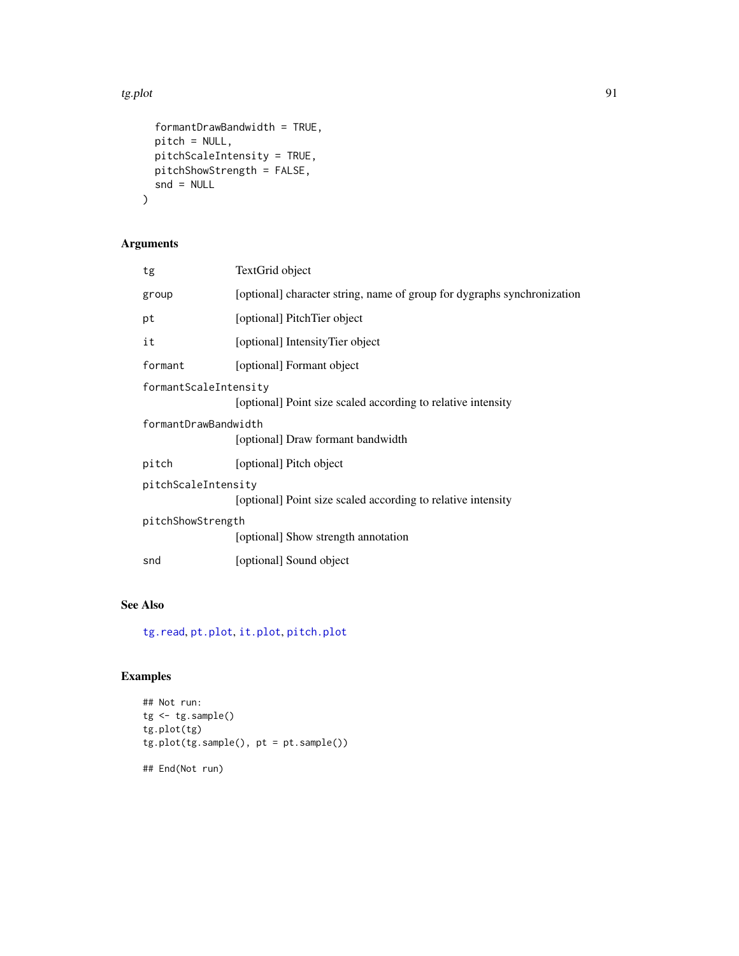#### <span id="page-90-0"></span>tg.plot 91

```
formantDrawBandwidth = TRUE,
 pitch = NULL,
 pitchScaleIntensity = TRUE,
 pitchShowStrength = FALSE,
 snd = NULL\mathcal{L}
```
## Arguments

| tg                                                                                  | TextGrid object                                                         |  |
|-------------------------------------------------------------------------------------|-------------------------------------------------------------------------|--|
| group                                                                               | [optional] character string, name of group for dygraphs synchronization |  |
| pt                                                                                  | [optional] PitchTier object                                             |  |
| it                                                                                  | [optional] IntensityTier object                                         |  |
| formant                                                                             | [optional] Formant object                                               |  |
| formantScaleIntensity                                                               | [optional] Point size scaled according to relative intensity            |  |
| formantDrawBandwidth                                                                | [optional] Draw formant bandwidth                                       |  |
| pitch                                                                               | [optional] Pitch object                                                 |  |
| pitchScaleIntensity<br>[optional] Point size scaled according to relative intensity |                                                                         |  |
| pitchShowStrength                                                                   |                                                                         |  |
|                                                                                     | [optional] Show strength annotation                                     |  |
| snd                                                                                 | [optional] Sound object                                                 |  |
|                                                                                     |                                                                         |  |

## See Also

[tg.read](#page-91-1), [pt.plot](#page-48-0), [it.plot](#page-28-0), [pitch.plot](#page-35-0)

```
## Not run:
tg <- tg.sample()
tg.plot(tg)
tg.plot(tg.sample(), pt = pt.sample())
## End(Not run)
```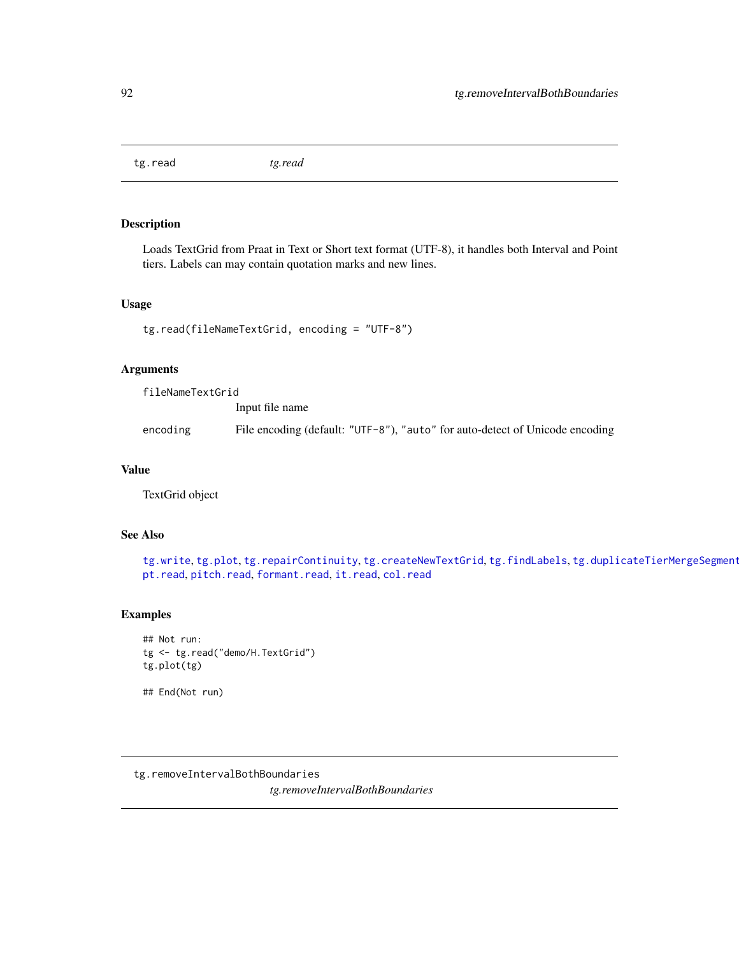<span id="page-91-2"></span><span id="page-91-1"></span>tg.read *tg.read*

## Description

Loads TextGrid from Praat in Text or Short text format (UTF-8), it handles both Interval and Point tiers. Labels can may contain quotation marks and new lines.

## Usage

```
tg.read(fileNameTextGrid, encoding = "UTF-8")
```
#### Arguments

fileNameTextGrid Input file name encoding File encoding (default: "UTF-8"), "auto" for auto-detect of Unicode encoding

## Value

TextGrid object

#### See Also

[tg.write](#page-99-1), [tg.plot](#page-89-1), [tg.repairContinuity](#page-96-0), [tg.createNewTextGrid](#page-65-1), [tg.findLabels](#page-70-0), tg.duplicateTierMergeSegment [pt.read](#page-48-1), [pitch.read](#page-36-0), [formant.read](#page-14-0), [it.read](#page-29-0), [col.read](#page-7-0)

#### Examples

```
## Not run:
tg <- tg.read("demo/H.TextGrid")
tg.plot(tg)
```
## End(Not run)

<span id="page-91-0"></span>tg.removeIntervalBothBoundaries

*tg.removeIntervalBothBoundaries*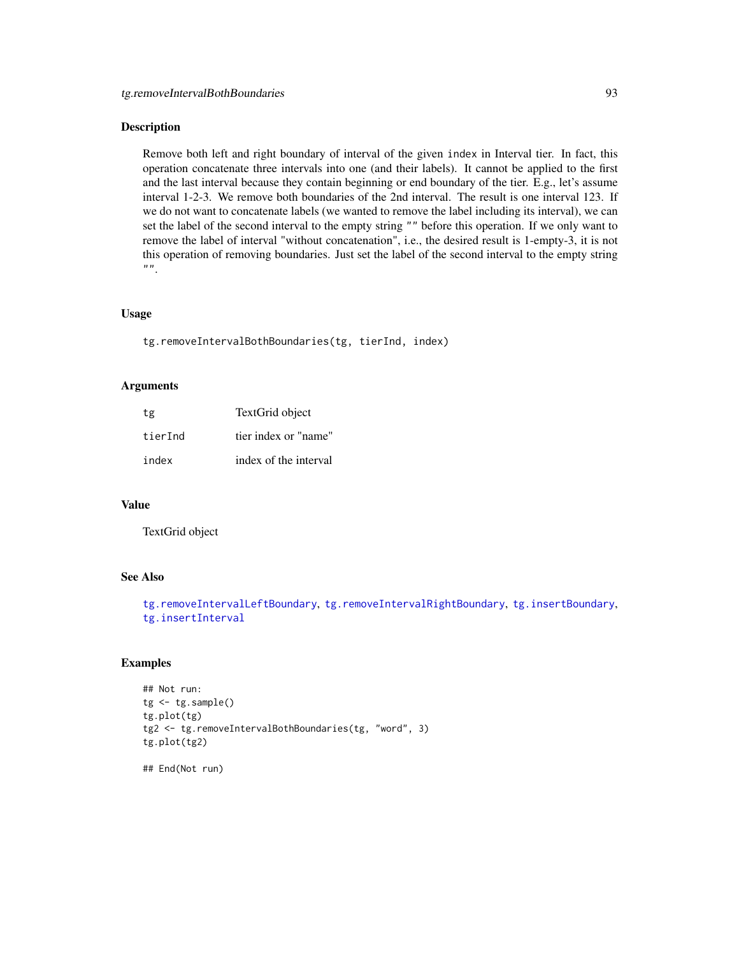#### <span id="page-92-0"></span>Description

Remove both left and right boundary of interval of the given index in Interval tier. In fact, this operation concatenate three intervals into one (and their labels). It cannot be applied to the first and the last interval because they contain beginning or end boundary of the tier. E.g., let's assume interval 1-2-3. We remove both boundaries of the 2nd interval. The result is one interval 123. If we do not want to concatenate labels (we wanted to remove the label including its interval), we can set the label of the second interval to the empty string "" before this operation. If we only want to remove the label of interval "without concatenation", i.e., the desired result is 1-empty-3, it is not this operation of removing boundaries. Just set the label of the second interval to the empty string  $"$ .

#### Usage

tg.removeIntervalBothBoundaries(tg, tierInd, index)

#### Arguments

| tg      | TextGrid object       |
|---------|-----------------------|
| tierInd | tier index or "name"  |
| index   | index of the interval |

## Value

TextGrid object

#### See Also

```
tg.removeIntervalLeftBoundary, tg.removeIntervalRightBoundary, tg.insertBoundary,
tg.insertInterval
```
#### Examples

```
## Not run:
tg <- tg.sample()
tg.plot(tg)
tg2 <- tg.removeIntervalBothBoundaries(tg, "word", 3)
tg.plot(tg2)
```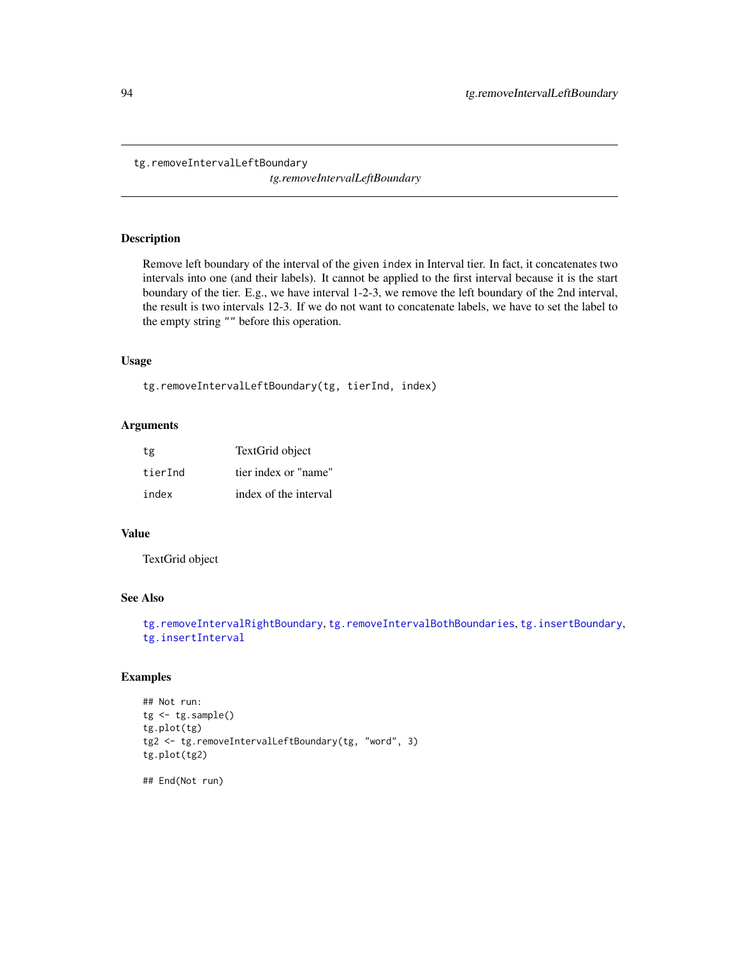```
tg.removeIntervalLeftBoundary
```
*tg.removeIntervalLeftBoundary*

## Description

Remove left boundary of the interval of the given index in Interval tier. In fact, it concatenates two intervals into one (and their labels). It cannot be applied to the first interval because it is the start boundary of the tier. E.g., we have interval 1-2-3, we remove the left boundary of the 2nd interval, the result is two intervals 12-3. If we do not want to concatenate labels, we have to set the label to the empty string "" before this operation.

## Usage

```
tg.removeIntervalLeftBoundary(tg, tierInd, index)
```
## Arguments

| tg      | TextGrid object       |
|---------|-----------------------|
| tierInd | tier index or "name"  |
| index   | index of the interval |

## Value

TextGrid object

## See Also

```
tg.removeIntervalRightBoundary, tg.removeIntervalBothBoundaries, tg.insertBoundary,
tg.insertInterval
```
## Examples

```
## Not run:
tg <- tg.sample()
tg.plot(tg)
tg2 <- tg.removeIntervalLeftBoundary(tg, "word", 3)
tg.plot(tg2)
```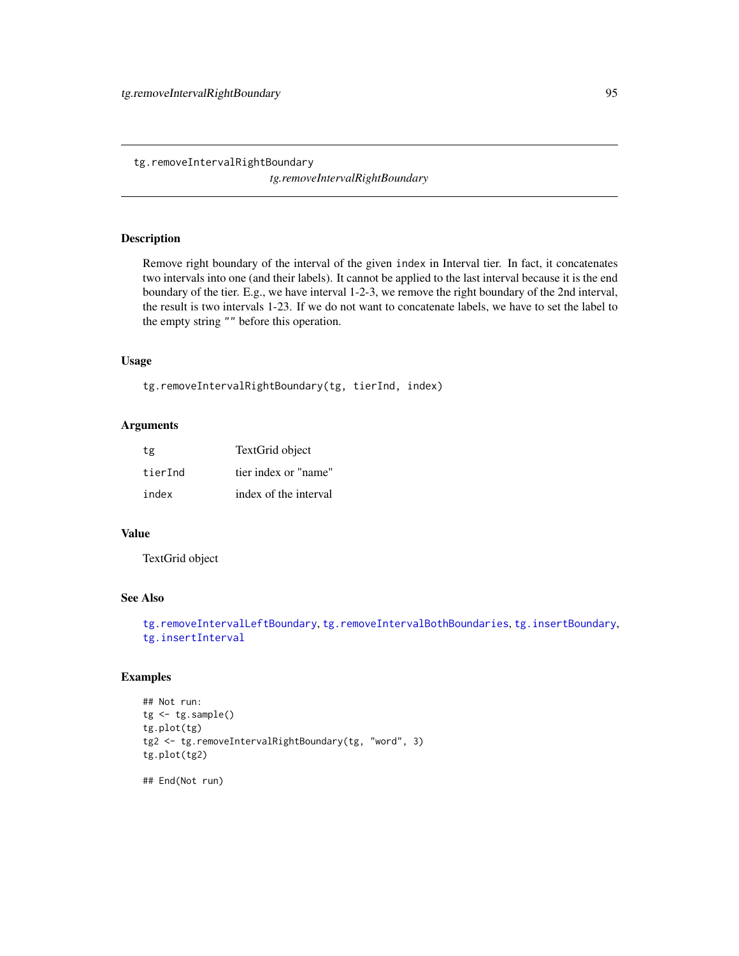<span id="page-94-1"></span><span id="page-94-0"></span>tg.removeIntervalRightBoundary

*tg.removeIntervalRightBoundary*

## Description

Remove right boundary of the interval of the given index in Interval tier. In fact, it concatenates two intervals into one (and their labels). It cannot be applied to the last interval because it is the end boundary of the tier. E.g., we have interval 1-2-3, we remove the right boundary of the 2nd interval, the result is two intervals 1-23. If we do not want to concatenate labels, we have to set the label to the empty string "" before this operation.

## Usage

```
tg.removeIntervalRightBoundary(tg, tierInd, index)
```
## Arguments

| tg      | TextGrid object       |
|---------|-----------------------|
| tierInd | tier index or "name"  |
| index   | index of the interval |

## Value

TextGrid object

## See Also

```
tg.removeIntervalLeftBoundary, tg.removeIntervalBothBoundaries, tg.insertBoundary,
tg.insertInterval
```
## Examples

```
## Not run:
tg <- tg.sample()
tg.plot(tg)
tg2 <- tg.removeIntervalRightBoundary(tg, "word", 3)
tg.plot(tg2)
```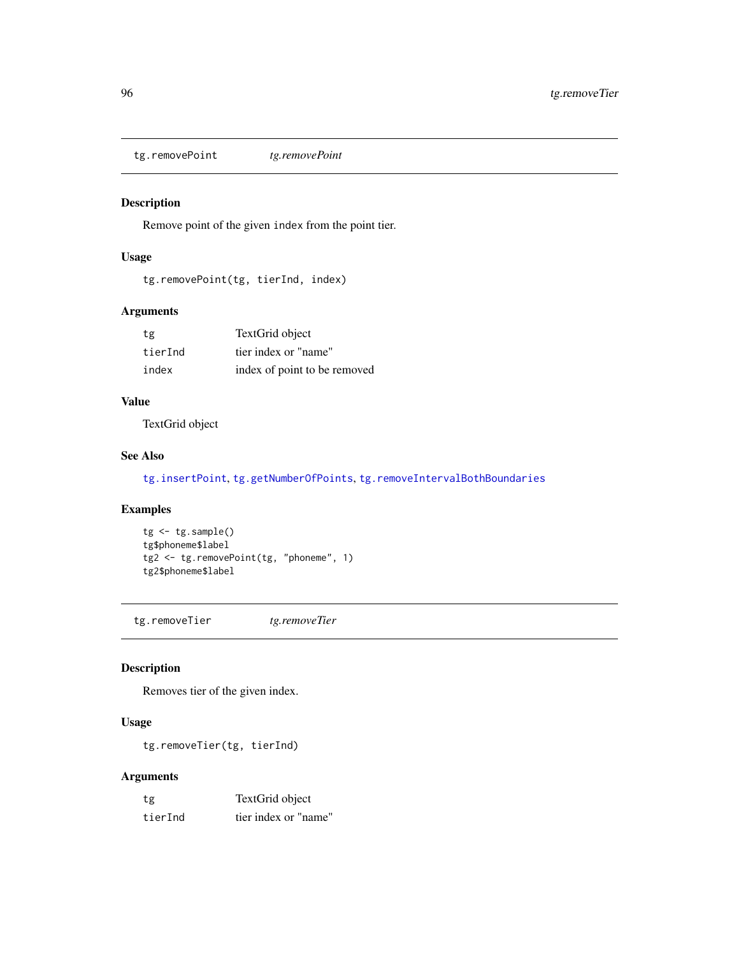<span id="page-95-2"></span><span id="page-95-1"></span>tg.removePoint *tg.removePoint*

## Description

Remove point of the given index from the point tier.

## Usage

```
tg.removePoint(tg, tierInd, index)
```
## Arguments

| tg      | TextGrid object              |
|---------|------------------------------|
| tierInd | tier index or "name"         |
| index   | index of point to be removed |

## Value

TextGrid object

## See Also

[tg.insertPoint](#page-87-0), [tg.getNumberOfPoints](#page-77-0), [tg.removeIntervalBothBoundaries](#page-91-0)

#### Examples

```
tg <- tg.sample()
tg$phoneme$label
tg2 <- tg.removePoint(tg, "phoneme", 1)
tg2$phoneme$label
```
<span id="page-95-0"></span>tg.removeTier *tg.removeTier*

## Description

Removes tier of the given index.

## Usage

tg.removeTier(tg, tierInd)

## Arguments

| tg      | TextGrid object      |
|---------|----------------------|
| tierInd | tier index or "name" |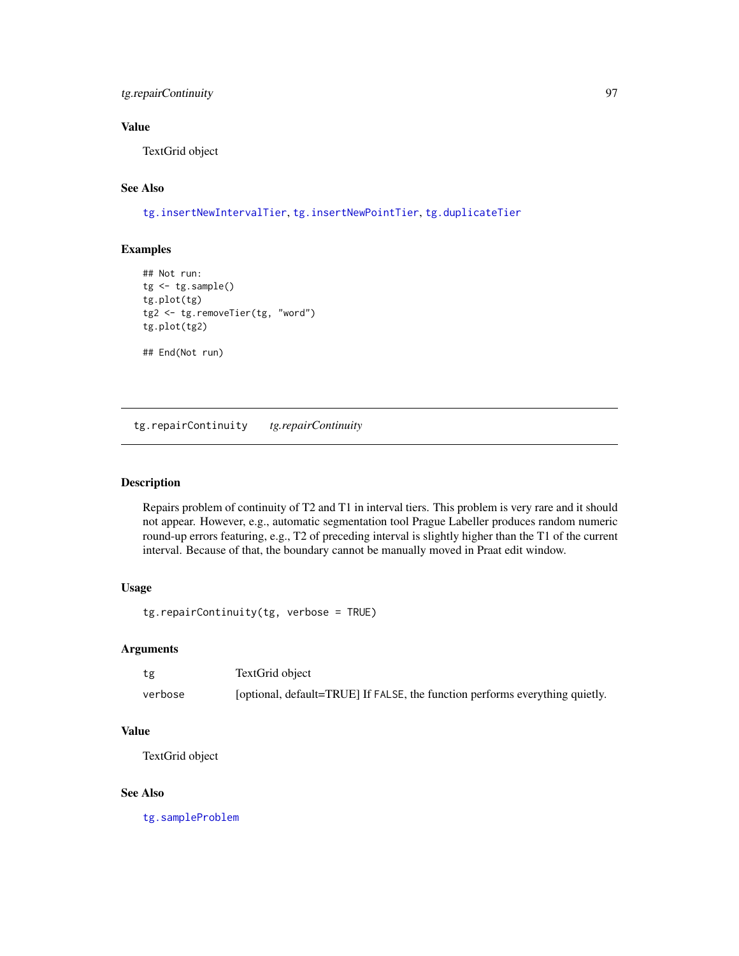## <span id="page-96-1"></span>tg.repairContinuity 97

## Value

TextGrid object

## See Also

[tg.insertNewIntervalTier](#page-85-0), [tg.insertNewPointTier](#page-86-0), [tg.duplicateTier](#page-68-0)

## Examples

```
## Not run:
tg < -tg.sample()tg.plot(tg)
tg2 <- tg.removeTier(tg, "word")
tg.plot(tg2)
```
## End(Not run)

<span id="page-96-0"></span>tg.repairContinuity *tg.repairContinuity*

#### Description

Repairs problem of continuity of T2 and T1 in interval tiers. This problem is very rare and it should not appear. However, e.g., automatic segmentation tool Prague Labeller produces random numeric round-up errors featuring, e.g., T2 of preceding interval is slightly higher than the T1 of the current interval. Because of that, the boundary cannot be manually moved in Praat edit window.

## Usage

tg.repairContinuity(tg, verbose = TRUE)

#### Arguments

| tg      | TextGrid object                                                              |
|---------|------------------------------------------------------------------------------|
| verbose | [optional, default=TRUE] If FALSE, the function performs everything quietly. |

## Value

TextGrid object

#### See Also

[tg.sampleProblem](#page-97-0)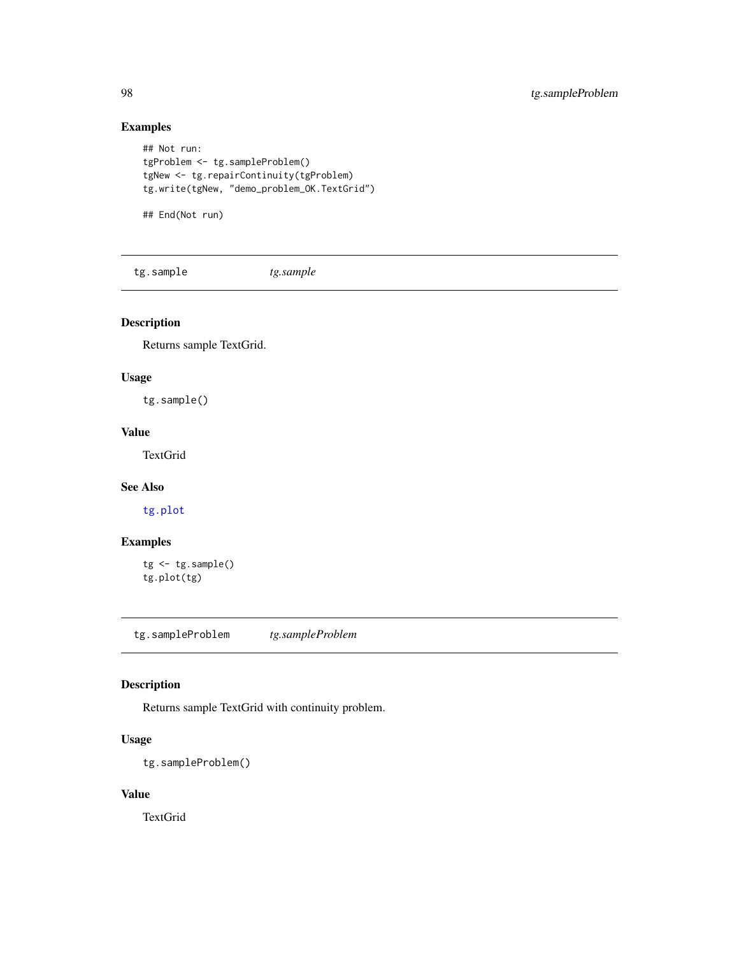## Examples

```
## Not run:
tgProblem <- tg.sampleProblem()
tgNew <- tg.repairContinuity(tgProblem)
tg.write(tgNew, "demo_problem_OK.TextGrid")
```
## End(Not run)

tg.sample *tg.sample*

## Description

Returns sample TextGrid.

## Usage

tg.sample()

## Value

TextGrid

#### See Also

[tg.plot](#page-89-1)

## Examples

```
tg <- tg.sample()
tg.plot(tg)
```
<span id="page-97-0"></span>tg.sampleProblem *tg.sampleProblem*

## Description

Returns sample TextGrid with continuity problem.

## Usage

tg.sampleProblem()

#### Value

TextGrid

<span id="page-97-1"></span>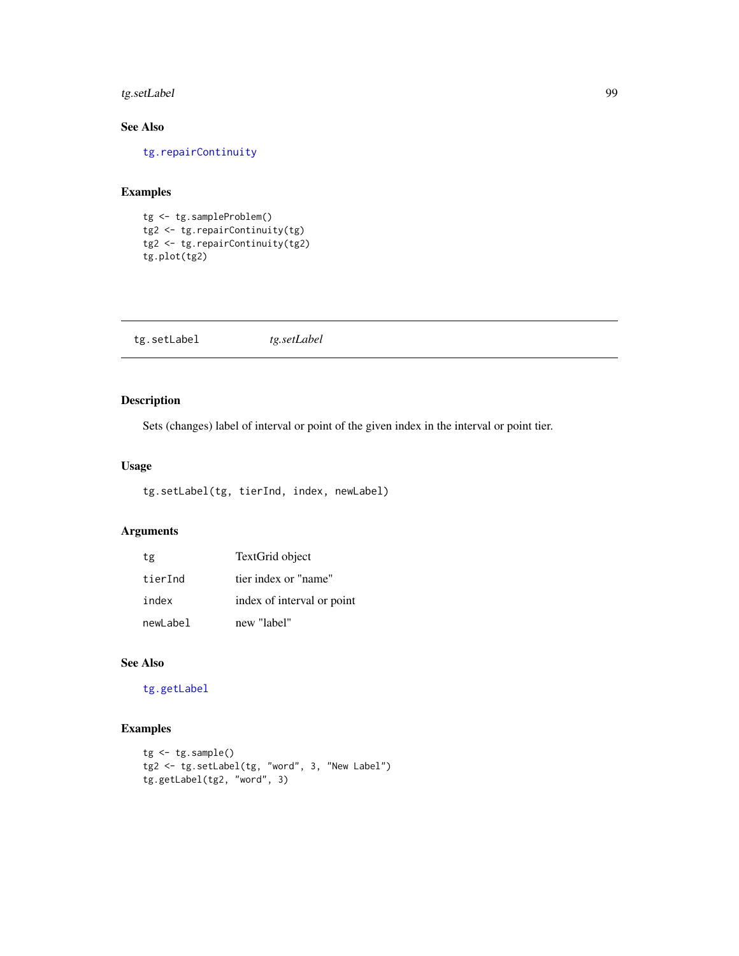## <span id="page-98-1"></span>tg.setLabel 99

## See Also

[tg.repairContinuity](#page-96-0)

## Examples

```
tg <- tg.sampleProblem()
tg2 <- tg.repairContinuity(tg)
tg2 <- tg.repairContinuity(tg2)
tg.plot(tg2)
```
<span id="page-98-0"></span>

| tg.setLabel<br>tg.setLabel |
|----------------------------|
|----------------------------|

## Description

Sets (changes) label of interval or point of the given index in the interval or point tier.

## Usage

tg.setLabel(tg, tierInd, index, newLabel)

## Arguments

| tg       | TextGrid object            |
|----------|----------------------------|
| tierInd  | tier index or "name"       |
| index    | index of interval or point |
| newLabel | new "label"                |

#### See Also

[tg.getLabel](#page-75-1)

```
tg <- tg.sample()
tg2 <- tg.setLabel(tg, "word", 3, "New Label")
tg.getLabel(tg2, "word", 3)
```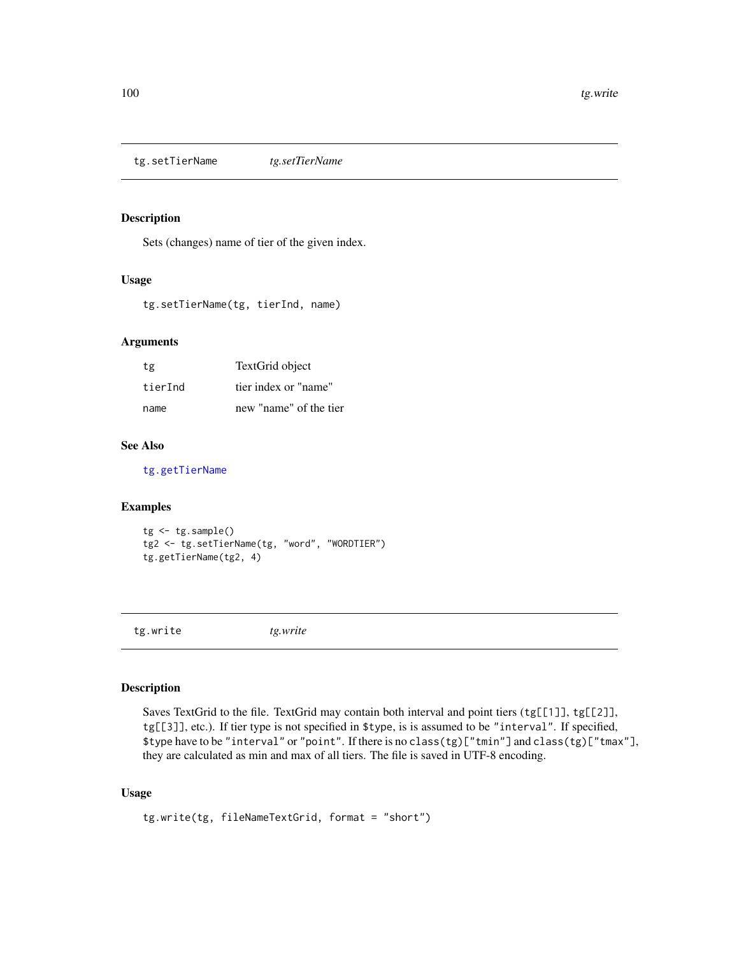<span id="page-99-2"></span><span id="page-99-0"></span>tg.setTierName *tg.setTierName*

## Description

Sets (changes) name of tier of the given index.

#### Usage

tg.setTierName(tg, tierInd, name)

#### Arguments

| tg      | TextGrid object        |
|---------|------------------------|
| tierInd | tier index or "name"   |
| name    | new "name" of the tier |

## See Also

[tg.getTierName](#page-81-1)

## Examples

```
tg <- tg.sample()
tg2 <- tg.setTierName(tg, "word", "WORDTIER")
tg.getTierName(tg2, 4)
```
<span id="page-99-1"></span>tg.write *tg.write*

#### Description

Saves TextGrid to the file. TextGrid may contain both interval and point tiers (tg[[1]], tg[[2]], tg[[3]], etc.). If tier type is not specified in \$type, is is assumed to be "interval". If specified, \$type have to be "interval" or "point". If there is no class(tg)["tmin"] and class(tg)["tmax"], they are calculated as min and max of all tiers. The file is saved in UTF-8 encoding.

#### Usage

```
tg.write(tg, fileNameTextGrid, format = "short")
```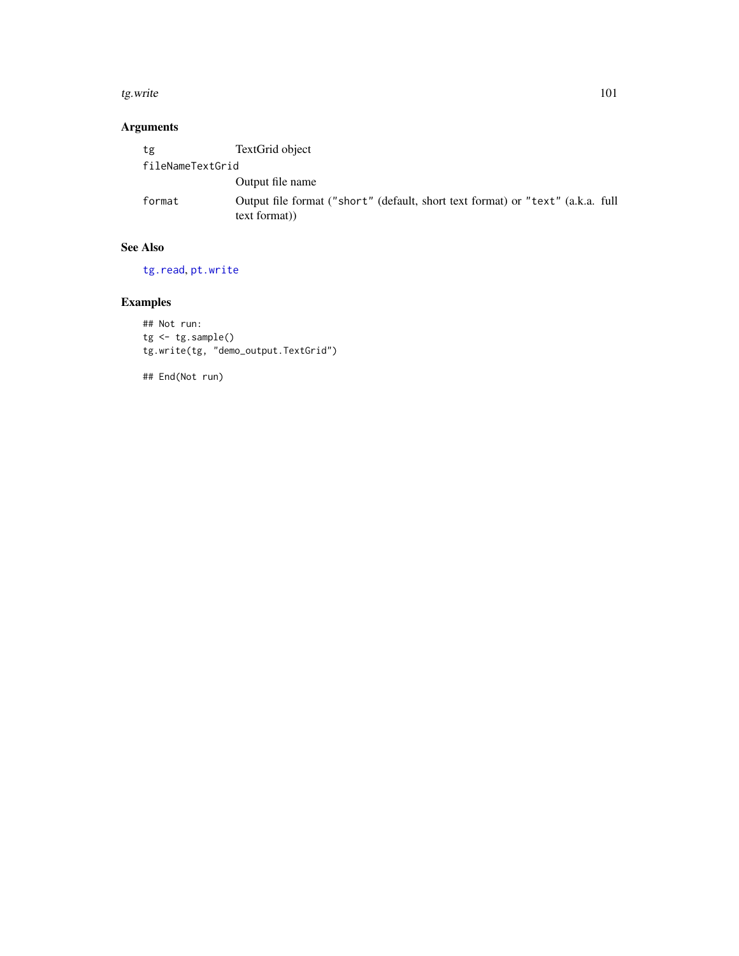#### <span id="page-100-0"></span>tg.write 101

## Arguments

| tg               | TextGrid object                                                                                 |
|------------------|-------------------------------------------------------------------------------------------------|
| fileNameTextGrid |                                                                                                 |
|                  | Output file name                                                                                |
| format           | Output file format ("short" (default, short text format) or "text" (a.k.a. full<br>text format) |

## See Also

[tg.read](#page-91-1), [pt.write](#page-50-0)

## Examples

## Not run: tg <- tg.sample() tg.write(tg, "demo\_output.TextGrid")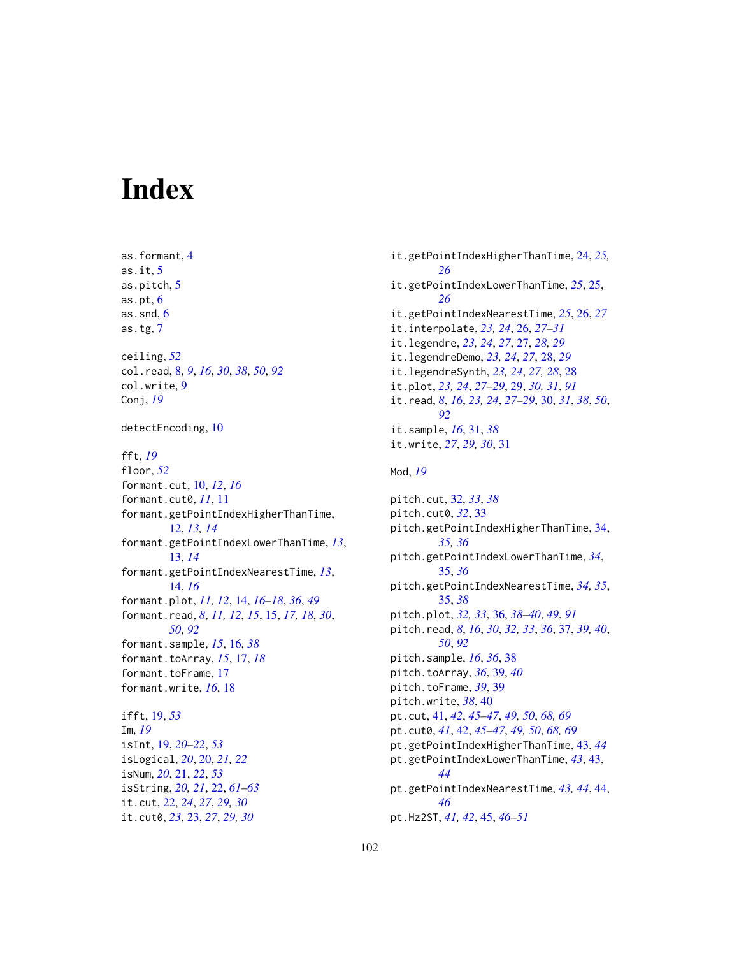# **Index**

as.formant, [4](#page-3-0) as.it,  $5$ as.pitch, [5](#page-4-0) as.pt $, 6$  $, 6$ as.snd, [6](#page-5-0) as.tg, [7](#page-6-0) ceiling, *[52](#page-51-0)* col.read, [8,](#page-7-1) *[9](#page-8-0)*, *[16](#page-15-0)*, *[30](#page-29-1)*, *[38](#page-37-0)*, *[50](#page-49-0)*, *[92](#page-91-2)* col.write, [9](#page-8-0) Conj, *[19](#page-18-0)* detectEncoding, [10](#page-9-0) fft, *[19](#page-18-0)* floor, *[52](#page-51-0)* formant.cut, [10,](#page-9-0) *[12](#page-11-0)*, *[16](#page-15-0)* formant.cut0, *[11](#page-10-0)*, [11](#page-10-0) formant.getPointIndexHigherThanTime, [12,](#page-11-0) *[13,](#page-12-0) [14](#page-13-0)* formant.getPointIndexLowerThanTime, *[13](#page-12-0)*, [13,](#page-12-0) *[14](#page-13-0)* formant.getPointIndexNearestTime, *[13](#page-12-0)*, [14,](#page-13-0) *[16](#page-15-0)* formant.plot, *[11,](#page-10-0) [12](#page-11-0)*, [14,](#page-13-0) *[16–](#page-15-0)[18](#page-17-0)*, *[36](#page-35-1)*, *[49](#page-48-2)* formant.read, *[8](#page-7-1)*, *[11,](#page-10-0) [12](#page-11-0)*, *[15](#page-14-1)*, [15,](#page-14-1) *[17,](#page-16-0) [18](#page-17-0)*, *[30](#page-29-1)*, *[50](#page-49-0)*, *[92](#page-91-2)* formant.sample, *[15](#page-14-1)*, [16,](#page-15-0) *[38](#page-37-0)* formant.toArray, *[15](#page-14-1)*, [17,](#page-16-0) *[18](#page-17-0)* formant.toFrame, [17](#page-16-0) formant.write, *[16](#page-15-0)*, [18](#page-17-0) ifft, [19,](#page-18-0) *[53](#page-52-0)* Im, *[19](#page-18-0)* isInt, [19,](#page-18-0) *[20](#page-19-0)[–22](#page-21-0)*, *[53](#page-52-0)* isLogical, *[20](#page-19-0)*, [20,](#page-19-0) *[21,](#page-20-0) [22](#page-21-0)* isNum, *[20](#page-19-0)*, [21,](#page-20-0) *[22](#page-21-0)*, *[53](#page-52-0)* isString, *[20,](#page-19-0) [21](#page-20-0)*, [22,](#page-21-0) *[61–](#page-60-0)[63](#page-62-0)* it.cut, [22,](#page-21-0) *[24](#page-23-0)*, *[27](#page-26-0)*, *[29,](#page-28-1) [30](#page-29-1)* it.cut0, *[23](#page-22-0)*, [23,](#page-22-0) *[27](#page-26-0)*, *[29,](#page-28-1) [30](#page-29-1)*

it.getPointIndexHigherThanTime, [24,](#page-23-0) *[25,](#page-24-0) [26](#page-25-0)* it.getPointIndexLowerThanTime, *[25](#page-24-0)*, [25,](#page-24-0) *[26](#page-25-0)* it.getPointIndexNearestTime, *[25](#page-24-0)*, [26,](#page-25-0) *[27](#page-26-0)* it.interpolate, *[23,](#page-22-0) [24](#page-23-0)*, [26,](#page-25-0) *[27](#page-26-0)[–31](#page-30-0)* it.legendre, *[23,](#page-22-0) [24](#page-23-0)*, *[27](#page-26-0)*, [27,](#page-26-0) *[28,](#page-27-0) [29](#page-28-1)* it.legendreDemo, *[23,](#page-22-0) [24](#page-23-0)*, *[27](#page-26-0)*, [28,](#page-27-0) *[29](#page-28-1)* it.legendreSynth, *[23,](#page-22-0) [24](#page-23-0)*, *[27,](#page-26-0) [28](#page-27-0)*, [28](#page-27-0) it.plot, *[23,](#page-22-0) [24](#page-23-0)*, *[27](#page-26-0)[–29](#page-28-1)*, [29,](#page-28-1) *[30,](#page-29-1) [31](#page-30-0)*, *[91](#page-90-0)* it.read, *[8](#page-7-1)*, *[16](#page-15-0)*, *[23,](#page-22-0) [24](#page-23-0)*, *[27](#page-26-0)[–29](#page-28-1)*, [30,](#page-29-1) *[31](#page-30-0)*, *[38](#page-37-0)*, *[50](#page-49-0)*, *[92](#page-91-2)* it.sample, *[16](#page-15-0)*, [31,](#page-30-0) *[38](#page-37-0)* it.write, *[27](#page-26-0)*, *[29,](#page-28-1) [30](#page-29-1)*, [31](#page-30-0) Mod, *[19](#page-18-0)* pitch.cut, [32,](#page-31-0) *[33](#page-32-0)*, *[38](#page-37-0)* pitch.cut0, *[32](#page-31-0)*, [33](#page-32-0) pitch.getPointIndexHigherThanTime, [34,](#page-33-0) *[35,](#page-34-0) [36](#page-35-1)* pitch.getPointIndexLowerThanTime, *[34](#page-33-0)*, [35,](#page-34-0) *[36](#page-35-1)* pitch.getPointIndexNearestTime, *[34,](#page-33-0) [35](#page-34-0)*, [35,](#page-34-0) *[38](#page-37-0)* pitch.plot, *[32,](#page-31-0) [33](#page-32-0)*, [36,](#page-35-1) *[38](#page-37-0)[–40](#page-39-0)*, *[49](#page-48-2)*, *[91](#page-90-0)* pitch.read, *[8](#page-7-1)*, *[16](#page-15-0)*, *[30](#page-29-1)*, *[32,](#page-31-0) [33](#page-32-0)*, *[36](#page-35-1)*, [37,](#page-36-1) *[39,](#page-38-0) [40](#page-39-0)*, *[50](#page-49-0)*, *[92](#page-91-2)* pitch.sample, *[16](#page-15-0)*, *[36](#page-35-1)*, [38](#page-37-0) pitch.toArray, *[36](#page-35-1)*, [39,](#page-38-0) *[40](#page-39-0)* pitch.toFrame, *[39](#page-38-0)*, [39](#page-38-0) pitch.write, *[38](#page-37-0)*, [40](#page-39-0) pt.cut, [41,](#page-40-0) *[42](#page-41-0)*, *[45](#page-44-0)[–47](#page-46-0)*, *[49,](#page-48-2) [50](#page-49-0)*, *[68,](#page-67-0) [69](#page-68-1)* pt.cut0, *[41](#page-40-0)*, [42,](#page-41-0) *[45](#page-44-0)[–47](#page-46-0)*, *[49,](#page-48-2) [50](#page-49-0)*, *[68,](#page-67-0) [69](#page-68-1)* pt.getPointIndexHigherThanTime, [43,](#page-42-0) *[44](#page-43-0)* pt.getPointIndexLowerThanTime, *[43](#page-42-0)*, [43,](#page-42-0) *[44](#page-43-0)* pt.getPointIndexNearestTime, *[43,](#page-42-0) [44](#page-43-0)*, [44,](#page-43-0) *[46](#page-45-0)* pt.Hz2ST, *[41,](#page-40-0) [42](#page-41-0)*, [45,](#page-44-0) *[46](#page-45-0)[–51](#page-50-1)*